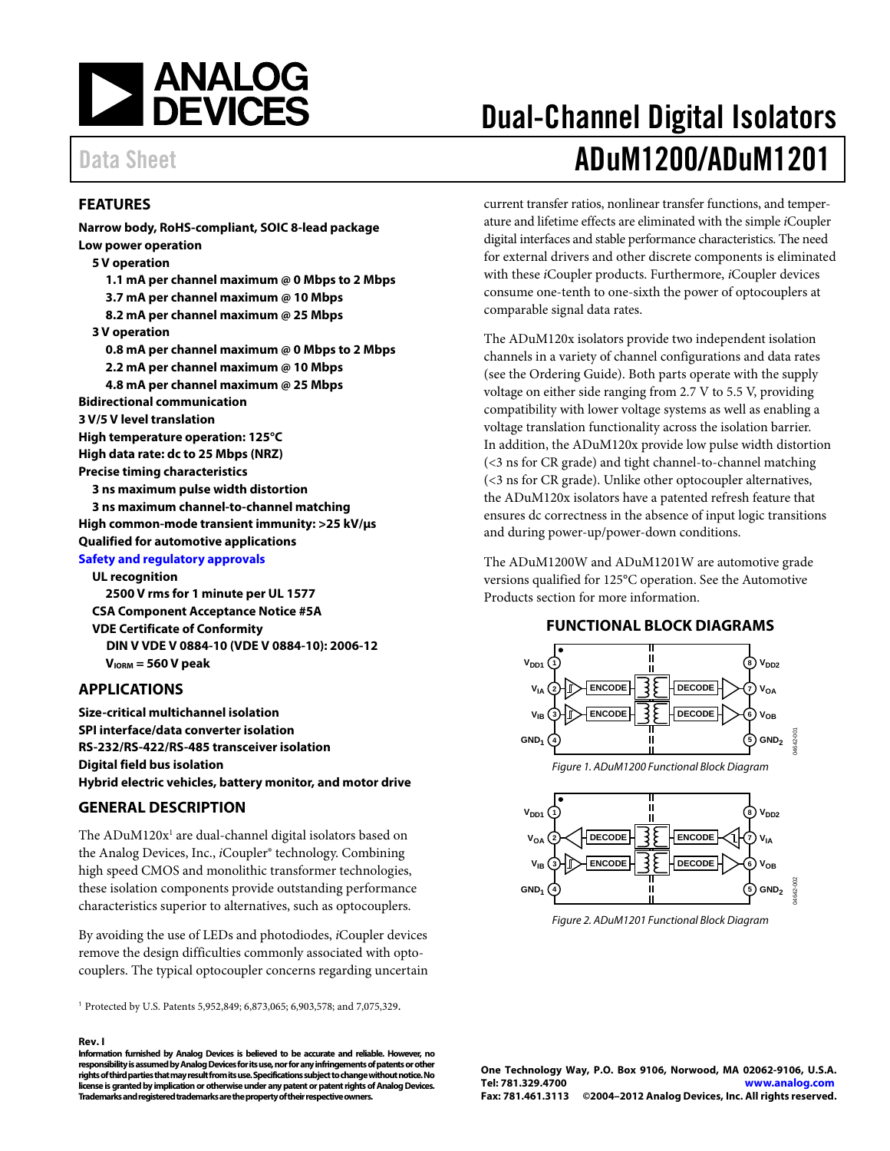<span id="page-0-0"></span>

### **FEATURES**

**Narrow body, RoHS-compliant, SOIC 8-lead package Low power operation 5 V operation 1.1 mA per channel maximum @ 0 Mbps to 2 Mbps 3.7 mA per channel maximum @ 10 Mbps 8.2 mA per channel maximum @ 25 Mbps 3 V operation 0.8 mA per channel maximum @ 0 Mbps to 2 Mbps 2.2 mA per channel maximum @ 10 Mbps 4.8 mA per channel maximum @ 25 Mbps Bidirectional communication 3 V/5 V level translation High temperature operation: 125°C High data rate: dc to 25 Mbps (NRZ) Precise timing characteristics 3 ns maximum pulse width distortion 3 ns maximum channel-to-channel matching High common-mode transient immunity: >25 kV/μs Qualified for automotive applications [Safety and regulatory approvals](http://www.analog.com/icouplersafety) UL recognition 2500 V rms for 1 minute per UL 1577** 

**CSA Component Acceptance Notice #5A VDE Certificate of Conformity DIN V VDE V 0884-10 (VDE V 0884-10): 2006-12 VIORM = 560 V peak** 

### **APPLICATIONS**

**Size-critical multichannel isolation SPI interface/data converter isolation RS-232/RS-422/RS-485 transceiver isolation Digital field bus isolation Hybrid electric vehicles, battery monitor, and motor drive** 

### **GENERAL DESCRIPTION**

The  $\mathrm{ADuM120x^1}$  are dual-channel digital isolators based on the Analog Devices, Inc., *i*Coupler® technology. Combining high speed CMOS and monolithic transformer technologies, these isolation components provide outstanding performance characteristics superior to alternatives, such as optocouplers.

By avoiding the use of LEDs and photodiodes, *i*Coupler devices remove the design difficulties commonly associated with optocouplers. The typical optocoupler concerns regarding uncertain

<sup>1</sup> Protected by U.S. Patents 5,952,849; 6,873,065; 6,903,578; and 7,075,329.

#### **Rev. I**

**Information furnished by [Analog Devices is](http://www.analog.com) believed to be accurate and reliable. However, no responsibility is assumed by Analog Devices for its use, nor for any infringements of patents or other rights of third parties that may result from its use. Specifications subject to change without notice. No license is granted by implication or otherwise under any patent or patent rights o[f Analog Devices.](http://www.analog.com)  Trademarks and registered trademarks are the property of their respective owners.** 

# Dual-Channel Digital Isolators Data Sheet **[ADuM1200/](http://www.analog.com/ADuM1200)[ADuM1201](http://www.analog.com/ADuM1201)**

current transfer ratios, nonlinear transfer functions, and temperature and lifetime effects are eliminated with the simple *i*Coupler digital interfaces and stable performance characteristics. The need for external drivers and other discrete components is eliminated with these *i*Coupler products. Furthermore, *i*Coupler devices consume one-tenth to one-sixth the power of optocouplers at comparable signal data rates.

The ADuM120x isolators provide two independent isolation channels in a variety of channel configurations and data rates (see the [Ordering Guide\).](#page-26-0) Both parts operate with the supply voltage on either side ranging from 2.7 V to 5.5 V, providing compatibility with lower voltage systems as well as enabling a voltage translation functionality across the isolation barrier. In addition, the ADuM120x provide low pulse width distortion (<3 ns for CR grade) and tight channel-to-channel matching (<3 ns for CR grade). Unlike other optocoupler alternatives, the ADuM120x isolators have a patented refresh feature that ensures dc correctness in the absence of input logic transitions and during power-up/power-down conditions.

The ADuM1200W and ADuM1201W are automotive grade versions qualified for 125°C operation. See the [Automotive](#page-27-0)  [Products](#page-27-0) section for more information.

#### **FUNCTIONAL BLOCK DIAGRAMS**



Figure 2. ADuM1201 Functional Block Diagram

**One Technology Way, P.O. Box 9106, Norwood, MA 02062-9106, U.S.A. Tel: 781.329.4700 www.analog.com Fax: 781.461.3113 ©2004–2012 [Analog Devices, Inc.](http://www.analog.com) All rights reserved.**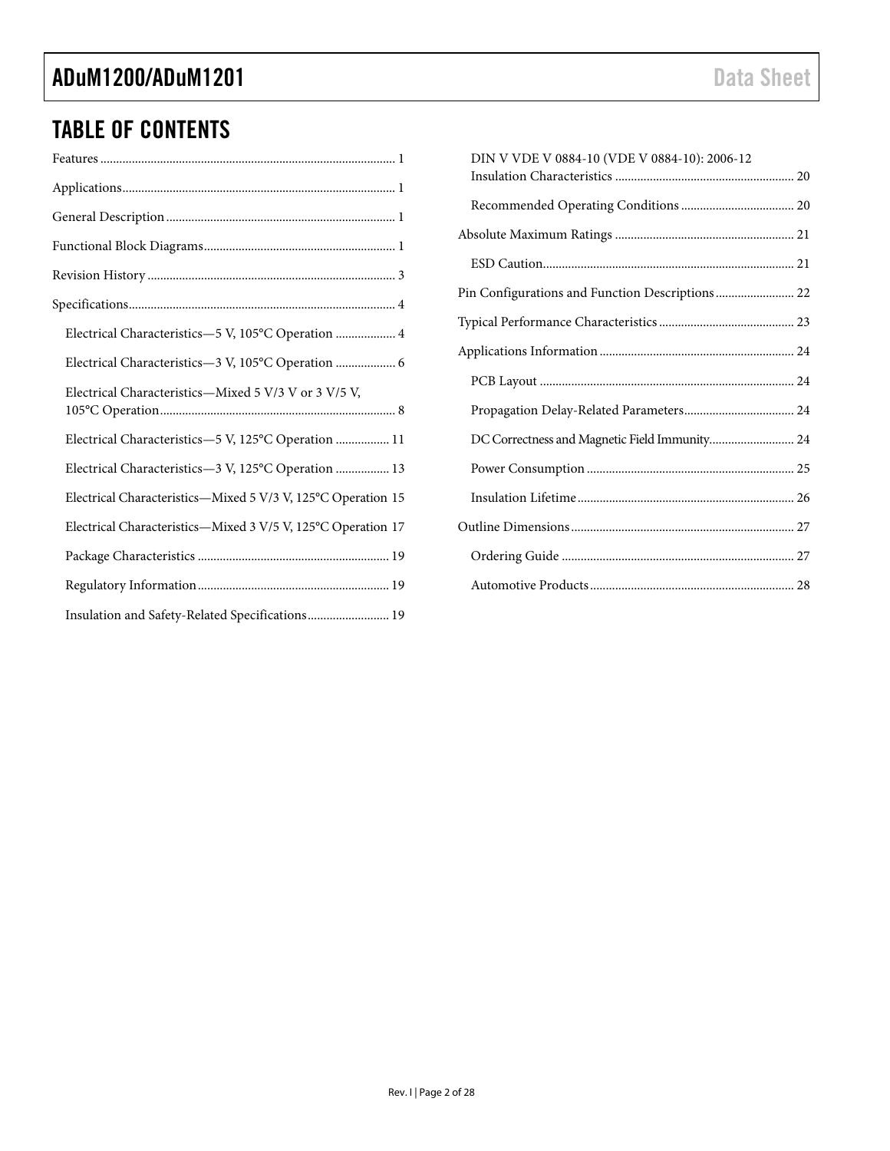## TABLE OF CONTENTS

| Electrical Characteristics-5 V, 105°C Operation  4           |
|--------------------------------------------------------------|
| Electrical Characteristics-3 V, 105°C Operation  6           |
| Electrical Characteristics-Mixed 5 V/3 V or 3 V/5 V,         |
| Electrical Characteristics-5 V, 125°C Operation  11          |
| Electrical Characteristics-3 V, 125°C Operation  13          |
| Electrical Characteristics-Mixed 5 V/3 V, 125°C Operation 15 |
| Electrical Characteristics-Mixed 3 V/5 V, 125°C Operation 17 |
|                                                              |
|                                                              |
| Insulation and Safety-Related Specifications 19              |

| DIN V VDE V 0884-10 (VDE V 0884-10): 2006-12    |  |
|-------------------------------------------------|--|
|                                                 |  |
|                                                 |  |
|                                                 |  |
| Pin Configurations and Function Descriptions 22 |  |
|                                                 |  |
|                                                 |  |
|                                                 |  |
|                                                 |  |
| DC Correctness and Magnetic Field Immunity 24   |  |
|                                                 |  |
|                                                 |  |
|                                                 |  |
|                                                 |  |
|                                                 |  |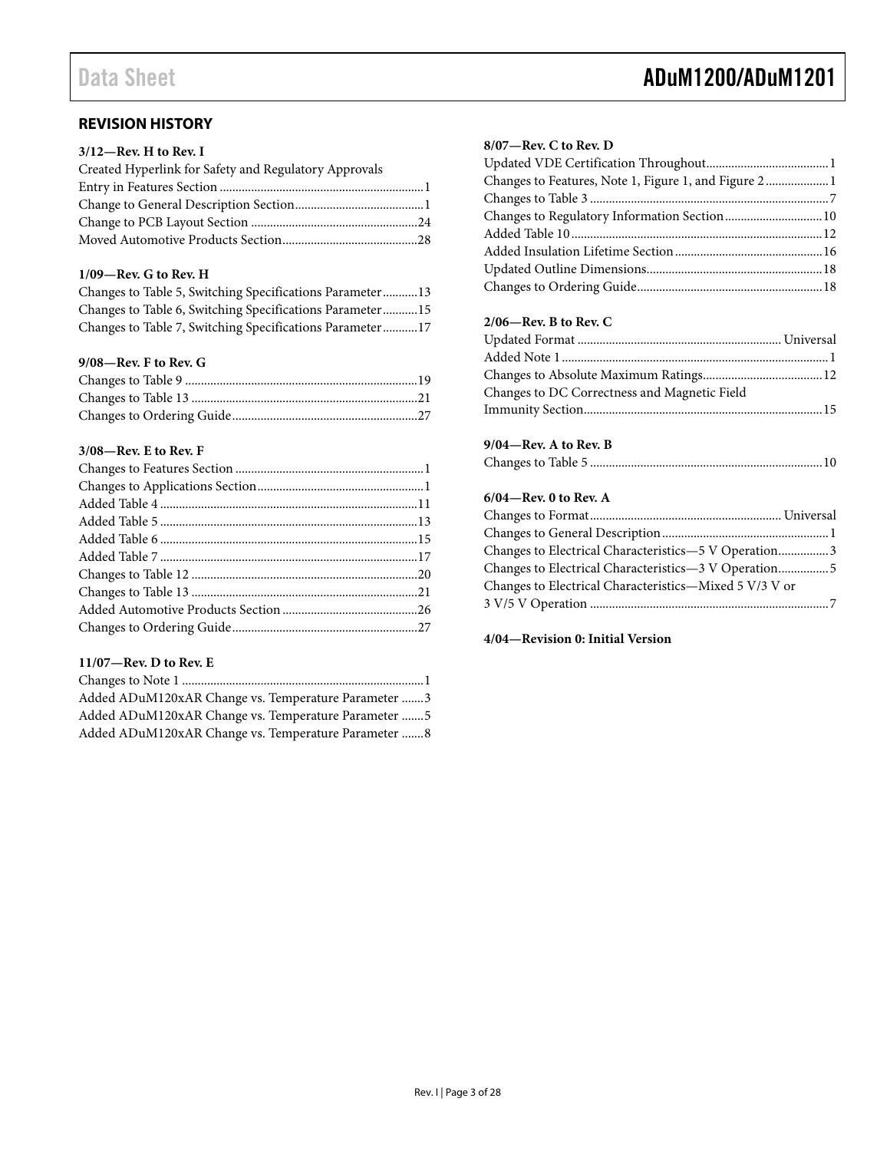### **REVISION HISTORY**

### **3/12—Rev. H to Rev. I**

| Created Hyperlink for Safety and Regulatory Approvals |  |
|-------------------------------------------------------|--|
|                                                       |  |
|                                                       |  |
|                                                       |  |
|                                                       |  |

### **1/09—Rev. G to Rev. H**

| Changes to Table 5, Switching Specifications Parameter 13 |  |
|-----------------------------------------------------------|--|
| Changes to Table 6, Switching Specifications Parameter15  |  |
| Changes to Table 7, Switching Specifications Parameter17  |  |

### **9/08—Rev. F to Rev. G**

### **3/08—Rev. E to Rev. F**

### **11/07—Rev. D to Rev. E**

| Added ADuM120xAR Change vs. Temperature Parameter 3 |  |
|-----------------------------------------------------|--|
| Added ADuM120xAR Change vs. Temperature Parameter 5 |  |
| Added ADuM120xAR Change vs. Temperature Parameter 8 |  |

## <span id="page-2-0"></span>Data Sheet **ADuM1200/ADuM1201**

### **8/07—Rev. C to Rev. D**

### **2/06—Rev. B to Rev. C**

| Changes to DC Correctness and Magnetic Field |  |
|----------------------------------------------|--|
|                                              |  |

### **9/04—Rev. A to Rev. B**

|--|--|--|

### **6/04—Rev. 0 to Rev. A**

| Changes to Electrical Characteristics-5 V Operation3   |  |
|--------------------------------------------------------|--|
|                                                        |  |
| Changes to Electrical Characteristics-Mixed 5 V/3 V or |  |
|                                                        |  |

### **4/04—Revision 0: Initial Version**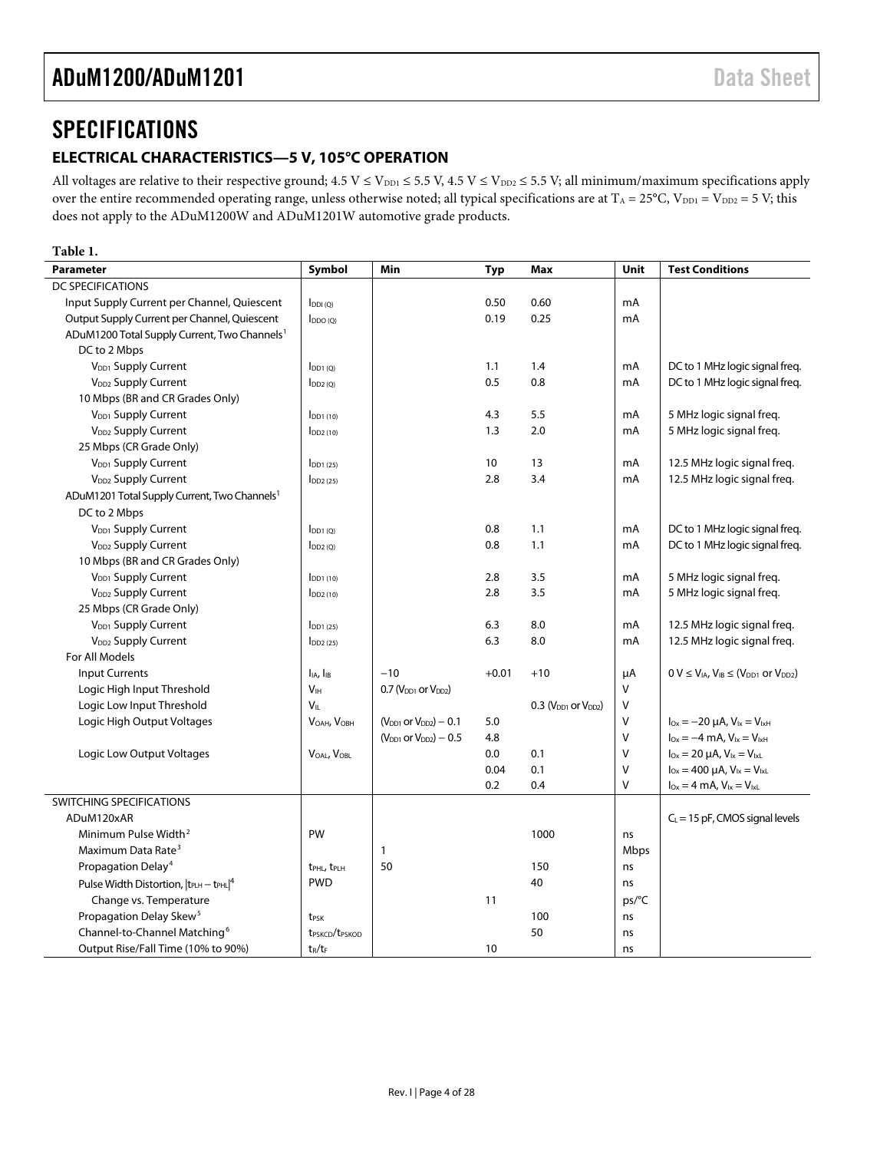### <span id="page-3-1"></span><span id="page-3-0"></span>**SPECIFICATIONS**

### **ELECTRICAL CHARACTERISTICS—5 V, 105°C OPERATION**

All voltages are relative to their respective ground;  $4.5~V \le V_{DD1} \le 5.5~V$ ,  $4.5~V \le V_{DD2} \le 5.5~V$ ; all minimum/maximum specifications apply over the entire recommended operating range, unless otherwise noted; all typical specifications are at  $T_A = 25^{\circ}C$ ,  $V_{DD1} = V_{DD2} = 5 V$ ; this does not apply to the ADuM1200W and ADuM1201W automotive grade products.

#### **Table 1.**

| <b>Parameter</b>                                         | Symbol                                 | Min                            | Typ     | Max                        | Unit    | <b>Test Conditions</b>                                         |
|----------------------------------------------------------|----------------------------------------|--------------------------------|---------|----------------------------|---------|----------------------------------------------------------------|
| DC SPECIFICATIONS                                        |                                        |                                |         |                            |         |                                                                |
| Input Supply Current per Channel, Quiescent              | $I_{DDI(Q)}$                           |                                | 0.50    | 0.60                       | mA      |                                                                |
| Output Supply Current per Channel, Quiescent             | $I_{DDO(O)}$                           |                                | 0.19    | 0.25                       | mA      |                                                                |
| ADuM1200 Total Supply Current, Two Channels <sup>1</sup> |                                        |                                |         |                            |         |                                                                |
| DC to 2 Mbps                                             |                                        |                                |         |                            |         |                                                                |
| V <sub>DD1</sub> Supply Current                          | $I_{DD1}$ (O)                          |                                | 1.1     | 1.4                        | mA      | DC to 1 MHz logic signal freq.                                 |
| V <sub>DD2</sub> Supply Current                          | $I_{DD2(0)}$                           |                                | 0.5     | 0.8                        | mA      | DC to 1 MHz logic signal freq.                                 |
| 10 Mbps (BR and CR Grades Only)                          |                                        |                                |         |                            |         |                                                                |
| V <sub>DD1</sub> Supply Current                          | $I_{DD1(10)}$                          |                                | 4.3     | 5.5                        | mA      | 5 MHz logic signal freq.                                       |
| V <sub>DD2</sub> Supply Current                          | $I_{DD2(10)}$                          |                                | 1.3     | 2.0                        | mA      | 5 MHz logic signal freq.                                       |
| 25 Mbps (CR Grade Only)                                  |                                        |                                |         |                            |         |                                                                |
| V <sub>DD1</sub> Supply Current                          | $I_{DD1(25)}$                          |                                | 10      | 13                         | mA      | 12.5 MHz logic signal freq.                                    |
| V <sub>DD2</sub> Supply Current                          | $I_{DD2(25)}$                          |                                | 2.8     | 3.4                        | mA      | 12.5 MHz logic signal freq.                                    |
| ADuM1201 Total Supply Current, Two Channels <sup>1</sup> |                                        |                                |         |                            |         |                                                                |
| DC to 2 Mbps                                             |                                        |                                |         |                            |         |                                                                |
| V <sub>DD1</sub> Supply Current                          | $I_{DD1(0)}$                           |                                | 0.8     | 1.1                        | mA      | DC to 1 MHz logic signal freq.                                 |
| V <sub>DD2</sub> Supply Current                          | $I_{DD2(Q)}$                           |                                | 0.8     | 1.1                        | mA      | DC to 1 MHz logic signal freq.                                 |
| 10 Mbps (BR and CR Grades Only)                          |                                        |                                |         |                            |         |                                                                |
| V <sub>DD1</sub> Supply Current                          | $IDD1$ (10)                            |                                | 2.8     | 3.5                        | mA      | 5 MHz logic signal freq.                                       |
| V <sub>DD2</sub> Supply Current                          | $I_{DD2(10)}$                          |                                | 2.8     | 3.5                        | mA      | 5 MHz logic signal freq.                                       |
| 25 Mbps (CR Grade Only)                                  |                                        |                                |         |                            |         |                                                                |
| V <sub>DD1</sub> Supply Current                          | $I_{DD1(25)}$                          |                                | 6.3     | 8.0                        | mA      | 12.5 MHz logic signal freq.                                    |
| V <sub>DD2</sub> Supply Current                          | $I_{DD2(25)}$                          |                                | 6.3     | 8.0                        | mA      | 12.5 MHz logic signal freq.                                    |
| For All Models                                           |                                        |                                |         |                            |         |                                                                |
| <b>Input Currents</b>                                    | I <sub>IA</sub> , I <sub>IB</sub>      | $-10$                          | $+0.01$ | $+10$                      | $\mu A$ | $0 V \leq V_{IA}$ , $V_{IB} \leq (V_{DD1}$ or $V_{DD2})$       |
| Logic High Input Threshold                               | V <sub>IH</sub>                        | $0.7$ ( $VDD1$ or $VDD2$ )     |         |                            | $\vee$  |                                                                |
| Logic Low Input Threshold                                | VIL                                    |                                |         | $0.3$ ( $VDD1$ or $VDD2$ ) | $\vee$  |                                                                |
| Logic High Output Voltages                               | VOAH, VOBH                             | $(V_{DD1}$ or $V_{DD2}) - 0.1$ | 5.0     |                            | $\vee$  | $I_{\text{Ox}} = -20 \mu A$ , $V_{\text{lx}} = V_{\text{lxH}}$ |
|                                                          |                                        | $(V_{DD1}$ or $V_{DD2}) - 0.5$ | 4.8     |                            | $\vee$  | $I_{Ox} = -4$ mA, $V_{1x} = V_{1xH}$                           |
| Logic Low Output Voltages                                | VOAL, VOBL                             |                                | 0.0     | 0.1                        | $\vee$  | $I_{Ox} = 20 \mu A$ , $V_{1x} = V_{1xL}$                       |
|                                                          |                                        |                                | 0.04    | 0.1                        | $\vee$  | $I_{Ox} = 400 \mu A$ , $V_{1x} = V_{1xL}$                      |
|                                                          |                                        |                                | 0.2     | 0.4                        | $\vee$  | $I_{Ox} = 4$ mA, $V_{1x} = V_{1xL}$                            |
| <b>SWITCHING SPECIFICATIONS</b>                          |                                        |                                |         |                            |         |                                                                |
| ADuM120xAR                                               |                                        |                                |         |                            |         | $C_L$ = 15 pF, CMOS signal levels                              |
| Minimum Pulse Width <sup>2</sup>                         | PW                                     |                                |         | 1000                       | ns      |                                                                |
| Maximum Data Rate <sup>3</sup>                           |                                        | $\mathbf{1}$                   |         |                            | Mbps    |                                                                |
| Propagation Delay <sup>4</sup>                           | t <sub>PHL</sub> , t <sub>PLH</sub>    | 50                             |         | 150                        | ns      |                                                                |
| Pulse Width Distortion, $ t_{PLH} - t_{PHL} ^4$          | <b>PWD</b>                             |                                |         | 40                         | ns      |                                                                |
| Change vs. Temperature                                   |                                        |                                | 11      |                            | ps/°C   |                                                                |
| Propagation Delay Skew <sup>5</sup>                      | t <sub>PSK</sub>                       |                                |         | 100                        | ns      |                                                                |
| Channel-to-Channel Matching <sup>6</sup>                 | t <sub>PSKCD</sub> /t <sub>PSKOD</sub> |                                |         | 50                         | ns      |                                                                |
| Output Rise/Fall Time (10% to 90%)                       | $t_R/t_F$                              |                                | 10      |                            | ns      |                                                                |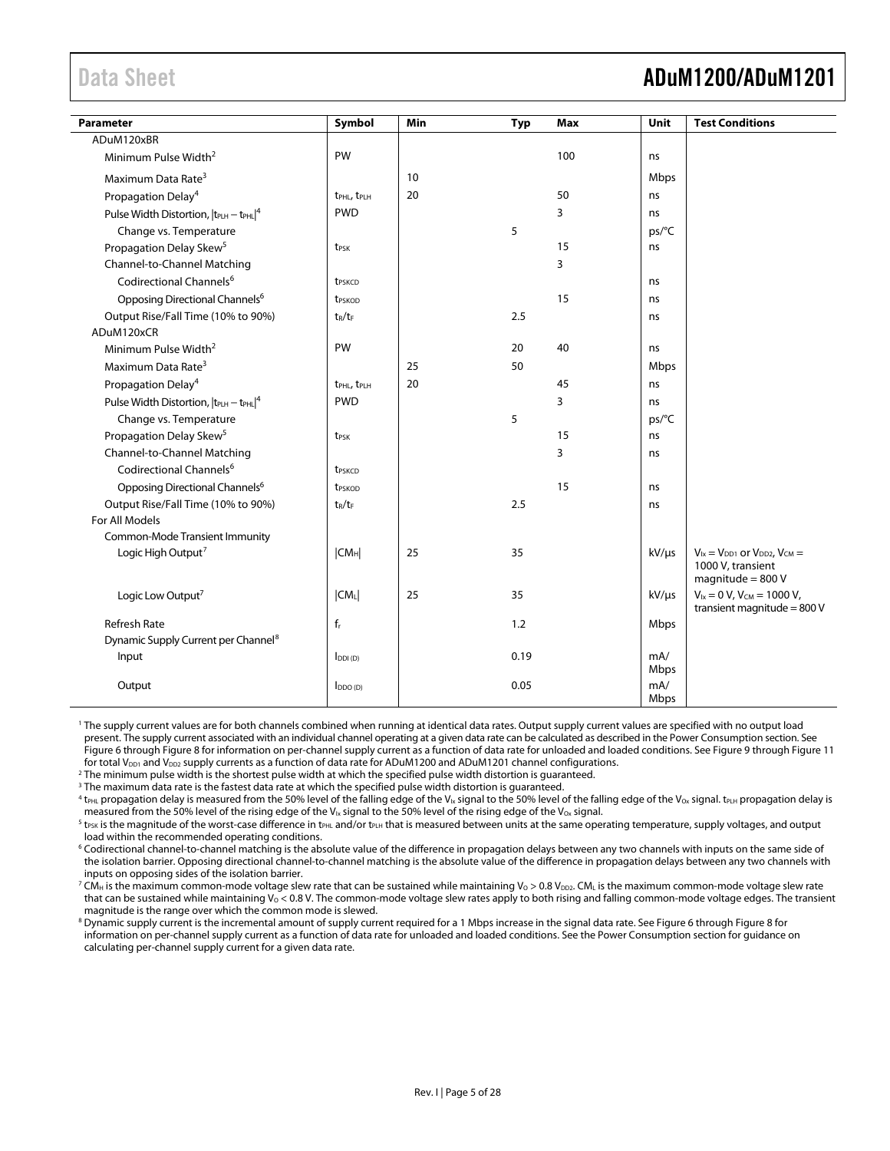## <span id="page-4-0"></span>Data Sheet **ADuM1200/ADuM1201**

| <b>Parameter</b>                                | Symbol                              | Min | <b>Typ</b> | Max | Unit        | <b>Test Conditions</b>                                                                  |
|-------------------------------------------------|-------------------------------------|-----|------------|-----|-------------|-----------------------------------------------------------------------------------------|
| ADuM120xBR                                      |                                     |     |            |     |             |                                                                                         |
| Minimum Pulse Width <sup>2</sup>                | PW                                  |     |            | 100 | ns          |                                                                                         |
| Maximum Data Rate <sup>3</sup>                  |                                     | 10  |            |     | Mbps        |                                                                                         |
| Propagation Delay <sup>4</sup>                  | t <sub>PHL</sub> , t <sub>PLH</sub> | 20  |            | 50  | ns          |                                                                                         |
| Pulse Width Distortion, $ t_{PLH} - t_{PHL} ^4$ | <b>PWD</b>                          |     |            | 3   | ns          |                                                                                         |
| Change vs. Temperature                          |                                     |     | 5          |     | ps/°C       |                                                                                         |
| Propagation Delay Skew <sup>5</sup>             | t <sub>PSK</sub>                    |     |            | 15  | ns          |                                                                                         |
| Channel-to-Channel Matching                     |                                     |     |            | 3   |             |                                                                                         |
| Codirectional Channels <sup>6</sup>             | t <sub>PSKCD</sub>                  |     |            |     | ns          |                                                                                         |
| Opposing Directional Channels <sup>6</sup>      | <b>t</b> <sub>PSKOD</sub>           |     |            | 15  | ns          |                                                                                         |
| Output Rise/Fall Time (10% to 90%)              | $t_R/t_F$                           |     | 2.5        |     | ns          |                                                                                         |
| ADuM120xCR                                      |                                     |     |            |     |             |                                                                                         |
| Minimum Pulse Width <sup>2</sup>                | PW                                  |     | 20         | 40  | ns          |                                                                                         |
| Maximum Data Rate <sup>3</sup>                  |                                     | 25  | 50         |     | Mbps        |                                                                                         |
| Propagation Delay <sup>4</sup>                  | t <sub>PHL</sub> , t <sub>PLH</sub> | 20  |            | 45  | ns          |                                                                                         |
| Pulse Width Distortion, $ t_{PLH} - t_{PHL} ^4$ | <b>PWD</b>                          |     |            | 3   | ns          |                                                                                         |
| Change vs. Temperature                          |                                     |     | 5          |     | ps/°C       |                                                                                         |
| Propagation Delay Skew <sup>5</sup>             | t <sub>PSK</sub>                    |     |            | 15  | ns          |                                                                                         |
| Channel-to-Channel Matching                     |                                     |     |            | 3   | ns          |                                                                                         |
| Codirectional Channels <sup>6</sup>             | t <sub>PSKCD</sub>                  |     |            |     |             |                                                                                         |
| Opposing Directional Channels <sup>6</sup>      | t <sub>PSKOD</sub>                  |     |            | 15  | ns          |                                                                                         |
| Output Rise/Fall Time (10% to 90%)              | $t_R/t_F$                           |     | 2.5        |     | ns          |                                                                                         |
| For All Models                                  |                                     |     |            |     |             |                                                                                         |
| Common-Mode Transient Immunity                  |                                     |     |            |     |             |                                                                                         |
| Logic High Output <sup>7</sup>                  | CM <sub>H</sub>                     | 25  | 35         |     | $kV/\mu s$  | $V_{1x} = V_{DD1}$ or $V_{DD2}$ , $V_{CM} =$<br>1000 V, transient<br>magnitude = $800V$ |
| Logic Low Output <sup>7</sup>                   | $ CM_L $                            | 25  | 35         |     | $kV/\mu s$  | $V_{1x} = 0 V$ , $V_{CM} = 1000 V$ ,<br>transient magnitude = 800 V                     |
| <b>Refresh Rate</b>                             | $f_r$                               |     | 1.2        |     | Mbps        |                                                                                         |
| Dynamic Supply Current per Channel <sup>8</sup> |                                     |     |            |     |             |                                                                                         |
| Input                                           | $I_{DDI(D)}$                        |     | 0.19       |     | mA/<br>Mbps |                                                                                         |
| Output                                          | $I_{DDO(D)}$                        |     | 0.05       |     | mA/<br>Mbps |                                                                                         |

1 The supply current values are for both channels combined when running at identical data rates. Output supply current values are specified with no output load present. The supply current associated with an individual channel operating at a given data rate can be calculated as described in the Power Consumption section. See Figure 6 [t](#page-22-1)hrough Figure 8 for information on per-channel supply current as a function of data rate for unloaded and loaded conditions. See Figure 9 through [Figure 11](#page-22-1) for total V<sub>DD1</sub> and V<sub>DD2</sub> supply currents as a function of data rate for ADuM1200 and ADuM1201 channel configurations.

2 The minimum pulse width is the shortest pulse width at which the specified pulse width distortion is guaranteed.

<sup>3</sup> The maximum data rate is the fastest data rate at which the specified pulse width distortion is guaranteed.

 $^4$  t<sub>PHL</sub> propagation delay is measured from the 50% level of the falling edge of the V<sub>Ix</sub> signal to the 50% level of the falling edge of the V<sub>ox</sub> signal. t<sub>PLH</sub> propagation delay is measured from the 50% level of the rising edge of the V<sub>Ix</sub> signal to the 50% level of the rising edge of the V<sub>Ox</sub> signal.

 $5$  t<sub>PSK</sub> is the magnitude of the worst-case difference in t<sub>PHL</sub> and/or t<sub>PLH</sub> that is measured between units at the same operating temperature, supply voltages, and output load within the recommended operating conditions.

6 Codirectional channel-to-channel matching is the absolute value of the difference in propagation delays between any two channels with inputs on the same side of the isolation barrier. Opposing directional channel-to-channel matching is the absolute value of the difference in propagation delays between any two channels with inputs on opposing sides of the isolation barrier.

 $^7$  CM $_{\rm H}$  is the maximum common-mode voltage slew rate that can be sustained while maintaining V $_{\rm O}$  > 0.8 V $_{\rm DD2}$  CM $_{\rm L}$  is the maximum common-mode voltage slew rate that can be sustained while maintaining  $V_0 < 0.8$  V. The common-mode voltage slew rates apply to both rising and falling common-mode voltage edges. The transient magnitude is the range over which the common mode is slewed.

information on per-channel supply current as a function of data rate for unloaded and loaded conditions. See the Power Consumption [section](#page-24-1) for guidance on  $^8$  Dynamic supply current is th[e](#page-22-1) incrementalamount of supply current required for a 1 Mbps increase in the signal data rate. See Figure 6 through Figure 8 for calculating per-channel supply current for a given data rate.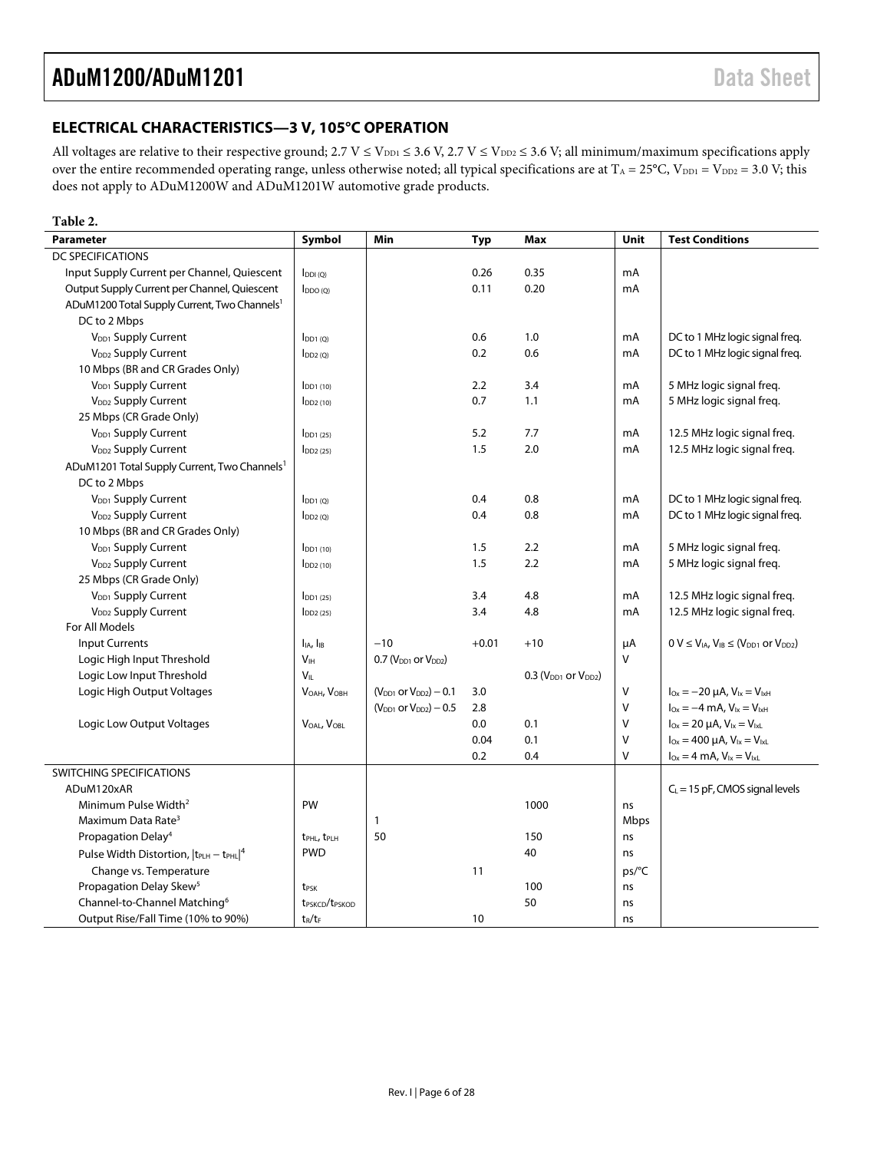### <span id="page-5-0"></span>**ELECTRICAL CHARACTERISTICS—3 V, 105°C OPERATION**

All voltages are relative to their respective ground;  $2.7 V \le V_{DD1} \le 3.6 V$ ,  $2.7 V \le V_{DD2} \le 3.6 V$ ; all minimum/maximum specifications apply over the entire recommended operating range, unless otherwise noted; all typical specifications are at  $T_A = 25^{\circ}C$ ,  $V_{DD1} = V_{DD2} = 3.0 V$ ; this does not apply to ADuM1200W and ADuM1201W automotive grade products.

#### **Table 2.**

| <b>Parameter</b>                                                | Symbol                                 | Min                             | <b>Typ</b> | <b>Max</b>                     | <b>Unit</b> | <b>Test Conditions</b>                                         |
|-----------------------------------------------------------------|----------------------------------------|---------------------------------|------------|--------------------------------|-------------|----------------------------------------------------------------|
| DC SPECIFICATIONS                                               |                                        |                                 |            |                                |             |                                                                |
| Input Supply Current per Channel, Quiescent                     | $I_{DDI(O)}$                           |                                 | 0.26       | 0.35                           | mA          |                                                                |
| Output Supply Current per Channel, Quiescent                    | $I_{DDO(Q)}$                           |                                 | 0.11       | 0.20                           | mA          |                                                                |
| ADuM1200 Total Supply Current, Two Channels <sup>1</sup>        |                                        |                                 |            |                                |             |                                                                |
| DC to 2 Mbps                                                    |                                        |                                 |            |                                |             |                                                                |
| V <sub>DD1</sub> Supply Current                                 | $I_{DD1(0)}$                           |                                 | 0.6        | 1.0                            | mA          | DC to 1 MHz logic signal freq.                                 |
| V <sub>DD2</sub> Supply Current                                 | $I_{DD2(Q)}$                           |                                 | 0.2        | 0.6                            | mA          | DC to 1 MHz logic signal freq.                                 |
| 10 Mbps (BR and CR Grades Only)                                 |                                        |                                 |            |                                |             |                                                                |
| V <sub>DD1</sub> Supply Current                                 | $I_{DD1(10)}$                          |                                 | 2.2        | 3.4                            | mA          | 5 MHz logic signal freg.                                       |
| V <sub>DD2</sub> Supply Current                                 | $I_{DD2(10)}$                          |                                 | 0.7        | 1.1                            | mA          | 5 MHz logic signal freg.                                       |
| 25 Mbps (CR Grade Only)                                         |                                        |                                 |            |                                |             |                                                                |
| V <sub>DD1</sub> Supply Current                                 | $I_{DD1(25)}$                          |                                 | 5.2        | 7.7                            | mA          | 12.5 MHz logic signal freq.                                    |
| V <sub>DD2</sub> Supply Current                                 | $I_{DD2(25)}$                          |                                 | 1.5        | 2.0                            | mA          | 12.5 MHz logic signal freq.                                    |
| ADuM1201 Total Supply Current, Two Channels <sup>1</sup>        |                                        |                                 |            |                                |             |                                                                |
| DC to 2 Mbps                                                    |                                        |                                 |            |                                |             |                                                                |
| V <sub>DD1</sub> Supply Current                                 | $I_{DD1(Q)}$                           |                                 | 0.4        | 0.8                            | mA          | DC to 1 MHz logic signal freq.                                 |
| V <sub>DD2</sub> Supply Current                                 | $I_{DD2(Q)}$                           |                                 | 0.4        | 0.8                            | mA          | DC to 1 MHz logic signal freq.                                 |
| 10 Mbps (BR and CR Grades Only)                                 |                                        |                                 |            |                                |             |                                                                |
| V <sub>DD1</sub> Supply Current                                 | $I_{DD1(10)}$                          |                                 | 1.5        | 2.2                            | mA          | 5 MHz logic signal freq.                                       |
| V <sub>DD2</sub> Supply Current                                 | $I_{DD2(10)}$                          |                                 | 1.5        | 2.2                            | mA          | 5 MHz logic signal freq.                                       |
| 25 Mbps (CR Grade Only)                                         |                                        |                                 |            |                                |             |                                                                |
| V <sub>DD1</sub> Supply Current                                 | $I$ <sub>DD1</sub> $(25)$              |                                 | 3.4        | 4.8                            | mA          | 12.5 MHz logic signal freq.                                    |
| V <sub>DD2</sub> Supply Current                                 | $I_{DD2(25)}$                          |                                 | 3.4        | 4.8                            | mA          | 12.5 MHz logic signal freq.                                    |
| For All Models                                                  |                                        |                                 |            |                                |             |                                                                |
| <b>Input Currents</b>                                           | $I_{IA}$ , $I_{IB}$                    | $-10$                           | $+0.01$    | $+10$                          | μA          | $0 V \le V_{IA}$ , $V_{IB} \le (V_{DD1}$ or $V_{DD2})$         |
| Logic High Input Threshold                                      | V <sub>IH</sub>                        | $0.7$ ( $VDD1$ or $VDD2$ )      |            |                                | V           |                                                                |
| Logic Low Input Threshold                                       | $V_{IL}$                               |                                 |            | 0.3 ( $V_{DD1}$ or $V_{DD2}$ ) |             |                                                                |
| Logic High Output Voltages                                      | VOAH, VOBH                             | $(V_{DD1}$ or $V_{DD2}$ ) – 0.1 | 3.0        |                                | V           | $I_{\text{Ox}} = -20 \mu A$ , $V_{\text{lx}} = V_{\text{lxH}}$ |
|                                                                 |                                        | $(V_{DD1}$ or $V_{DD2}$ ) – 0.5 | 2.8        |                                | $\vee$      | $I_{0x} = -4$ mA, $V_{1x} = V_{1x}H$                           |
| Logic Low Output Voltages                                       | VOAL, VOBL                             |                                 | 0.0        | 0.1                            | $\vee$      | $I_{Ox} = 20 \mu A$ , $V_{ix} = V_{ixL}$                       |
|                                                                 |                                        |                                 | 0.04       | 0.1                            | $\vee$      | $I_{Ox} = 400 \mu A$ , $V_{ix} = V_{ixL}$                      |
|                                                                 |                                        |                                 | 0.2        | 0.4                            | V           | $I_{Ox} = 4$ mA, $V_{1x} = V_{1xL}$                            |
| SWITCHING SPECIFICATIONS                                        |                                        |                                 |            |                                |             |                                                                |
| ADuM120xAR                                                      |                                        |                                 |            |                                |             | $C_L$ = 15 pF, CMOS signal levels                              |
| Minimum Pulse Width <sup>2</sup>                                | PW                                     |                                 |            | 1000                           | ns          |                                                                |
| Maximum Data Rate <sup>3</sup>                                  |                                        | 1                               |            |                                | Mbps        |                                                                |
| Propagation Delay <sup>4</sup>                                  | t <sub>PHL</sub> , t <sub>PLH</sub>    | 50                              |            | 150                            | ns          |                                                                |
| Pulse Width Distortion,  t <sub>PLH</sub> - t <sub>PHL</sub>  4 | <b>PWD</b>                             |                                 |            | 40                             | ns          |                                                                |
| Change vs. Temperature                                          |                                        |                                 | 11         |                                | ps/°C       |                                                                |
| Propagation Delay Skew <sup>5</sup>                             | t <sub>PSK</sub>                       |                                 |            | 100                            | ns          |                                                                |
| Channel-to-Channel Matching <sup>6</sup>                        | t <sub>PSKCD</sub> /t <sub>PSKOD</sub> |                                 |            | 50                             | ns          |                                                                |
| Output Rise/Fall Time (10% to 90%)                              | $t_R/t_F$                              |                                 | 10         |                                | ns          |                                                                |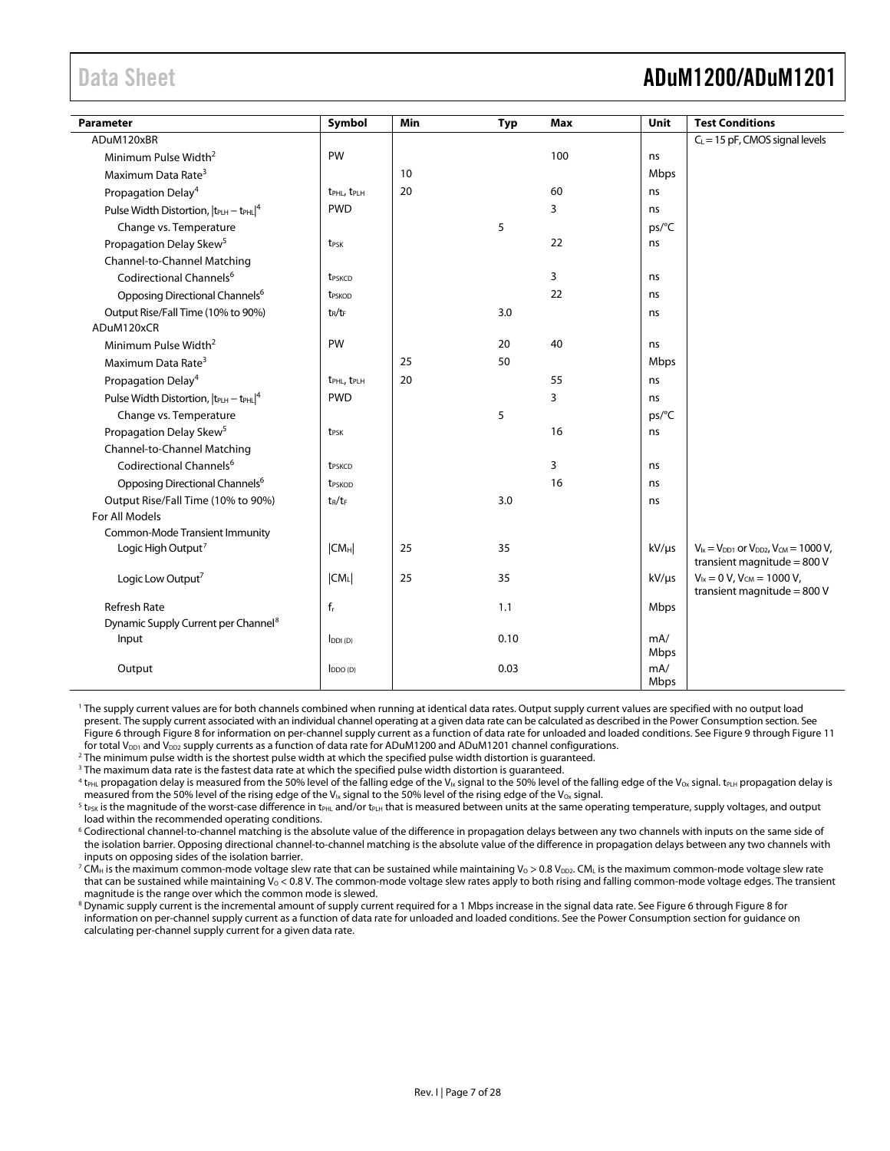## <span id="page-6-0"></span>Data Sheet **ADuM1200/ADuM1201**

| Parameter                                       | Symbol                              | Min | <b>Typ</b> | <b>Max</b> | Unit        | <b>Test Conditions</b>                                                                |
|-------------------------------------------------|-------------------------------------|-----|------------|------------|-------------|---------------------------------------------------------------------------------------|
| ADuM120xBR                                      |                                     |     |            |            |             | $C_L$ = 15 pF, CMOS signal levels                                                     |
| Minimum Pulse Width <sup>2</sup>                | PW                                  |     |            | 100        | ns          |                                                                                       |
| Maximum Data Rate <sup>3</sup>                  |                                     | 10  |            |            | Mbps        |                                                                                       |
| Propagation Delay <sup>4</sup>                  | t <sub>PHL</sub> , t <sub>PLH</sub> | 20  |            | 60         | ns          |                                                                                       |
| Pulse Width Distortion, $ t_{PLH} - t_{PHL} ^4$ | <b>PWD</b>                          |     |            | 3          | ns          |                                                                                       |
| Change vs. Temperature                          |                                     |     | 5          |            | ps/°C       |                                                                                       |
| Propagation Delay Skew <sup>5</sup>             | t <sub>PSK</sub>                    |     |            | 22         | ns          |                                                                                       |
| Channel-to-Channel Matching                     |                                     |     |            |            |             |                                                                                       |
| Codirectional Channels <sup>6</sup>             | t <sub>PSKCD</sub>                  |     |            | 3          | ns          |                                                                                       |
| Opposing Directional Channels <sup>6</sup>      | t <sub>PSKOD</sub>                  |     |            | 22         | ns          |                                                                                       |
| Output Rise/Fall Time (10% to 90%)              | $t_R/t_F$                           |     | 3.0        |            | ns          |                                                                                       |
| ADuM120xCR                                      |                                     |     |            |            |             |                                                                                       |
| Minimum Pulse Width <sup>2</sup>                | PW                                  |     | 20         | 40         | ns          |                                                                                       |
| Maximum Data Rate <sup>3</sup>                  |                                     | 25  | 50         |            | Mbps        |                                                                                       |
| Propagation Delay <sup>4</sup>                  | t <sub>PHL</sub> , t <sub>PLH</sub> | 20  |            | 55         | ns          |                                                                                       |
| Pulse Width Distortion, $ t_{PLH} - t_{PHL} ^4$ | <b>PWD</b>                          |     |            | 3          | ns          |                                                                                       |
| Change vs. Temperature                          |                                     |     | 5          |            | ps/°C       |                                                                                       |
| Propagation Delay Skew <sup>5</sup>             | t <sub>PSK</sub>                    |     |            | 16         | ns          |                                                                                       |
| Channel-to-Channel Matching                     |                                     |     |            |            |             |                                                                                       |
| Codirectional Channels <sup>6</sup>             | t <sub>PSKCD</sub>                  |     |            | 3          | ns          |                                                                                       |
| Opposing Directional Channels <sup>6</sup>      | t <sub>PSKOD</sub>                  |     |            | 16         | ns          |                                                                                       |
| Output Rise/Fall Time (10% to 90%)              | $t_R/t_F$                           |     | 3.0        |            | ns          |                                                                                       |
| For All Models                                  |                                     |     |            |            |             |                                                                                       |
| Common-Mode Transient Immunity                  |                                     |     |            |            |             |                                                                                       |
| Logic High Output <sup>7</sup>                  | CM <sub>H</sub>                     | 25  | 35         |            | $kV/\mu s$  | $V_{1x} = V_{DD1}$ or $V_{DD2}$ , $V_{CM} = 1000 V$ ,<br>transient magnitude = $800V$ |
| Logic Low Output <sup>7</sup>                   | $ CM_L $                            | 25  | 35         |            | $kV/\mu s$  | $V_{ix} = 0 V$ , $V_{CM} = 1000 V$ ,<br>transient magnitude = $800V$                  |
| <b>Refresh Rate</b>                             | $f_r$                               |     | 1.1        |            | Mbps        |                                                                                       |
| Dynamic Supply Current per Channel <sup>8</sup> |                                     |     |            |            |             |                                                                                       |
| Input                                           | $I_{DDI(D)}$                        |     | 0.10       |            | mA/<br>Mbps |                                                                                       |
| Output                                          | $I_{DDO(D)}$                        |     | 0.03       |            | mA/<br>Mbps |                                                                                       |

1 The supply current values are for both channels combined when running at identical data rates. Output supply current values are specified with no output load present. The supply current associated with an individual channel operating at a given data rate can be calculated as described in the Power Consumption [section. S](#page-24-1)ee Figure 6 throug[h](#page-22-1) Figure 8 for information on per-channel supply current as a function of data rate for unloaded and loaded conditions. See Figure 9 [t](#page-22-1)hrough Figure 11 for total V<sub>DD1</sub> and V<sub>DD2</sub> supply currents as a function of data rate for ADuM1200 and ADuM1201 channel configurations.

2 The minimum pulse width is the shortest pulse width at which the specified pulse width distortion is guaranteed.

 $^3$  The maximum data rate is the fastest data rate at which the specified pulse width distortion is guaranteed.

 $^4$  t<sub>PHL</sub> propagation delay is measured from the 50% level of the falling edge of the V<sub>Ix</sub> signal to the 50% level of the falling edge of the V<sub>Ox</sub> signal. t<sub>PLH</sub> propagation delay is

measured from the 50% level of the rising edge of the V<sub>Ix</sub> signal to the 50% level of the rising edge of the V<sub>ox</sub> signal.<br><sup>5</sup> t<sub>rsk</sub> is the magnitude of the worst-case difference in t<sub>PHL</sub> and/or t<sub>PLH</sub> that is measured load within the recommended operating conditions.

6 Codirectional channel-to-channel matching is the absolute value of the difference in propagation delays between any two channels with inputs on the same side of the isolation barrier. Opposing directional channel-to-channel matching is the absolute value of the difference in propagation delays between any two channels with inputs on opposing sides of the isolation barrier.

 $^7$  CM $_{\rm H}$  is the maximum common-mode voltage slew rate that can be sustained while maintaining Vo > 0.8 V $_{\rm D22}$  CM $_{\rm L}$  is the maximum common-mode voltage slew rate that can be sustained while maintaining  $V_0 < 0.8$  V. The common-mode voltage slew rates apply to both rising and falling common-mode voltage edges. The transient magnitude is the range over which the common mode is slewed.

information on per-channel supply current as a function of data rate for unloaded and loaded conditions. See the Power Consumption [section](#page-24-1) for guidance on  $^8$  Dynamic supply current is [t](#page-22-1)he incremental amount of supply current required for a 1 Mbps increase in the signal data rate. See Figure 6 throug[h](#page-22-1) Figure 8 for calculating per-channel supply current for a given data rate.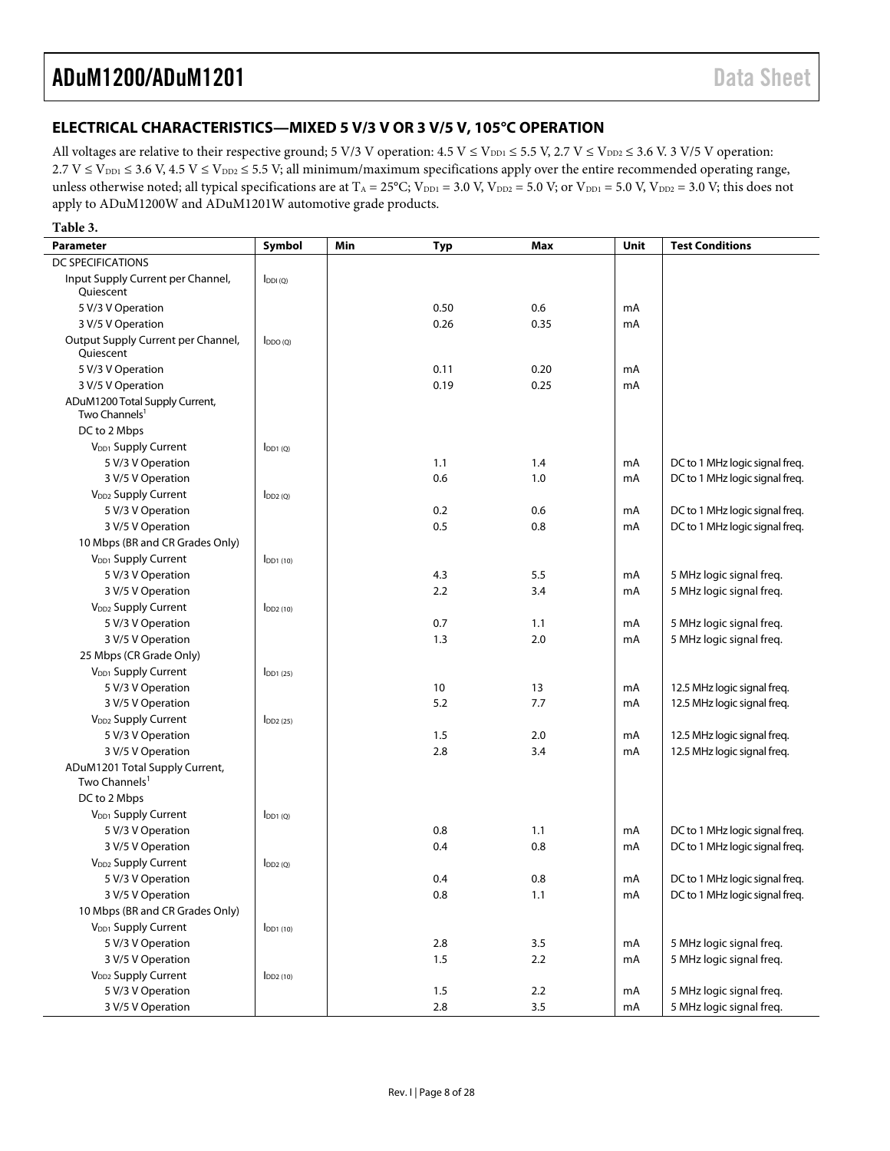### <span id="page-7-0"></span>**ELECTRICAL CHARACTERISTICS—MIXED 5 V/3 V OR 3 V/5 V, 105°C OPERATION**

All voltages are relative to their respective ground; 5 V/3 V operation:  $4.5 V \le V_{DD1} \le 5.5 V$ ,  $2.7 V \le V_{DD2} \le 3.6 V$ . 3 V/5 V operation:  $2.7 \text{ V} \le V_{\text{DD1}} \le 3.6 \text{ V}, 4.5 \text{ V} \le V_{\text{DD2}} \le 5.5 \text{ V};$  all minimum/maximum specifications apply over the entire recommended operating range, unless otherwise noted; all typical specifications are at  $T_A = 25^{\circ}$ C; V<sub>DD1</sub> = 3.0 V, V<sub>DD2</sub> = 5.0 V; or V<sub>DD1</sub> = 5.0 V, V<sub>DD2</sub> = 3.0 V; this does not apply to ADuM1200W and ADuM1201W automotive grade products.

| Table 3.                                                    |                           |     |            |         |      |                                |
|-------------------------------------------------------------|---------------------------|-----|------------|---------|------|--------------------------------|
| <b>Parameter</b>                                            | Symbol                    | Min | <b>Typ</b> | Max     | Unit | <b>Test Conditions</b>         |
| <b>DC SPECIFICATIONS</b>                                    |                           |     |            |         |      |                                |
| Input Supply Current per Channel,<br>Quiescent              | $I_{DDI(Q)}$              |     |            |         |      |                                |
| 5 V/3 V Operation                                           |                           |     | 0.50       | 0.6     | mA   |                                |
| 3 V/5 V Operation                                           |                           |     | 0.26       | 0.35    | mA   |                                |
| Output Supply Current per Channel,<br>Quiescent             | $I_{DDO(O)}$              |     |            |         |      |                                |
| 5 V/3 V Operation                                           |                           |     | 0.11       | 0.20    | mA   |                                |
| 3 V/5 V Operation                                           |                           |     | 0.19       | 0.25    | mA   |                                |
| ADuM1200 Total Supply Current,<br>Two Channels <sup>1</sup> |                           |     |            |         |      |                                |
| DC to 2 Mbps                                                |                           |     |            |         |      |                                |
| V <sub>DD1</sub> Supply Current                             | $I_{DD1(0)}$              |     |            |         |      |                                |
| 5 V/3 V Operation                                           |                           |     | 1.1        | 1.4     | mA   | DC to 1 MHz logic signal freq. |
| 3 V/5 V Operation                                           |                           |     | 0.6        | 1.0     | mA   | DC to 1 MHz logic signal freq. |
| V <sub>DD2</sub> Supply Current                             | $I_{DD2(0)}$              |     |            |         |      |                                |
| 5 V/3 V Operation                                           |                           |     | 0.2        | 0.6     | mA   | DC to 1 MHz logic signal freq. |
| 3 V/5 V Operation                                           |                           |     | 0.5        | 0.8     | mA   | DC to 1 MHz logic signal freg. |
| 10 Mbps (BR and CR Grades Only)                             |                           |     |            |         |      |                                |
| V <sub>DD1</sub> Supply Current                             | $IDD1$ (10)               |     |            |         |      |                                |
| 5 V/3 V Operation                                           |                           |     | 4.3        | 5.5     | mA   | 5 MHz logic signal freq.       |
| 3 V/5 V Operation                                           |                           |     | 2.2        | 3.4     | mA   | 5 MHz logic signal freq.       |
| V <sub>DD2</sub> Supply Current                             | $I_{DD2(10)}$             |     |            |         |      |                                |
| 5 V/3 V Operation                                           |                           |     | 0.7        | 1.1     | mA   | 5 MHz logic signal freq.       |
| 3 V/5 V Operation                                           |                           |     | 1.3        | 2.0     | mA   | 5 MHz logic signal freq.       |
| 25 Mbps (CR Grade Only)                                     |                           |     |            |         |      |                                |
| V <sub>DD1</sub> Supply Current                             | $I$ <sub>DD1</sub> $(25)$ |     |            |         |      |                                |
| 5 V/3 V Operation                                           |                           |     | 10         | 13      | mA   | 12.5 MHz logic signal freq.    |
| 3 V/5 V Operation                                           |                           |     | 5.2        | 7.7     | mA   | 12.5 MHz logic signal freq.    |
| V <sub>DD2</sub> Supply Current                             | $I_{DD2(25)}$             |     |            |         |      |                                |
| 5 V/3 V Operation                                           |                           |     | 1.5        | 2.0     | mA   | 12.5 MHz logic signal freq.    |
| 3 V/5 V Operation                                           |                           |     | 2.8        | 3.4     | mA   | 12.5 MHz logic signal freq.    |
| ADuM1201 Total Supply Current,<br>Two Channels <sup>1</sup> |                           |     |            |         |      |                                |
| DC to 2 Mbps                                                |                           |     |            |         |      |                                |
| V <sub>DD1</sub> Supply Current                             | $I_{DD1(Q)}$              |     |            |         |      |                                |
| 5 V/3 V Operation                                           |                           |     | 0.8        | 1.1     | mA   | DC to 1 MHz logic signal freq. |
| 3 V/5 V Operation                                           |                           |     | 0.4        | 0.8     | mA   | DC to 1 MHz logic signal freq. |
| V <sub>DD2</sub> Supply Current                             | $I_{DD2(Q)}$              |     |            |         |      |                                |
| 5 V/3 V Operation                                           |                           |     | 0.4        | $0.8\,$ | mA   | DC to 1 MHz logic signal freq. |
| 3 V/5 V Operation                                           |                           |     | 0.8        | 1.1     | mA   | DC to 1 MHz logic signal freq. |
| 10 Mbps (BR and CR Grades Only)                             |                           |     |            |         |      |                                |
| V <sub>DD1</sub> Supply Current                             | $IDD1$ (10)               |     |            |         |      |                                |
| 5 V/3 V Operation                                           |                           |     | 2.8        | 3.5     | mA   | 5 MHz logic signal freq.       |
| 3 V/5 V Operation                                           |                           |     | 1.5        | 2.2     | mA   | 5 MHz logic signal freq.       |
| V <sub>DD2</sub> Supply Current                             | $I_{DD2(10)}$             |     |            |         |      |                                |
| 5 V/3 V Operation                                           |                           |     | 1.5        | 2.2     | mA   | 5 MHz logic signal freq.       |
| 3 V/5 V Operation                                           |                           |     | 2.8        | 3.5     | mA   | 5 MHz logic signal freq.       |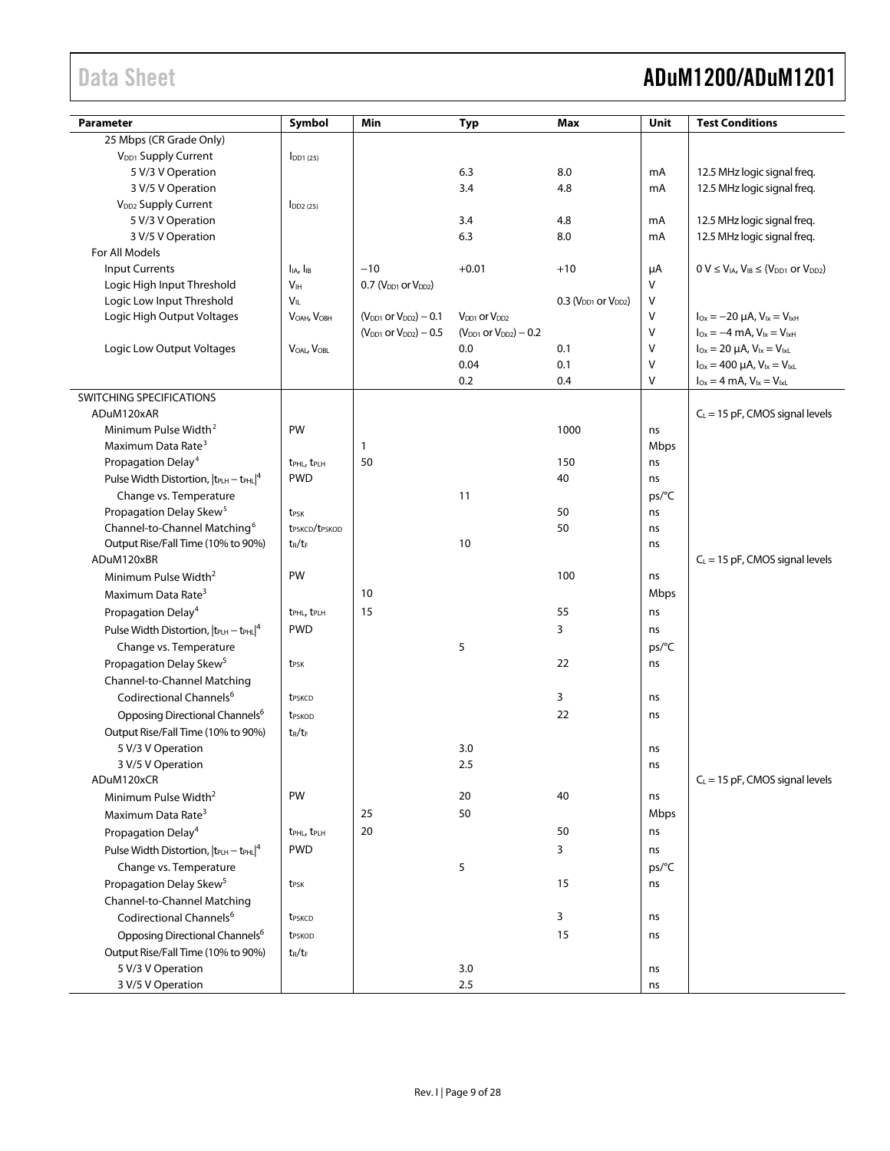## Data Sheet **ADuM1200/ADuM1201**

| Parameter                                                     | Symbol                                 | Min                                           | <b>Typ</b>                      | Max                              | Unit   | <b>Test Conditions</b>                                   |
|---------------------------------------------------------------|----------------------------------------|-----------------------------------------------|---------------------------------|----------------------------------|--------|----------------------------------------------------------|
| 25 Mbps (CR Grade Only)                                       |                                        |                                               |                                 |                                  |        |                                                          |
| V <sub>DD1</sub> Supply Current                               | $I_{DD1(25)}$                          |                                               |                                 |                                  |        |                                                          |
| 5 V/3 V Operation                                             |                                        |                                               | 6.3                             | 8.0                              | mA     | 12.5 MHz logic signal freq.                              |
| 3 V/5 V Operation                                             |                                        |                                               | 3.4                             | 4.8                              | mA     | 12.5 MHz logic signal freq.                              |
| V <sub>DD2</sub> Supply Current                               | $I_{DD2(25)}$                          |                                               |                                 |                                  |        |                                                          |
| 5 V/3 V Operation                                             |                                        |                                               | 3.4                             | 4.8                              | mA     | 12.5 MHz logic signal freq.                              |
| 3 V/5 V Operation                                             |                                        |                                               | 6.3                             | 8.0                              | mA     | 12.5 MHz logic signal freq.                              |
| For All Models                                                |                                        |                                               |                                 |                                  |        |                                                          |
| <b>Input Currents</b>                                         | I <sub>IA</sub> , I <sub>IB</sub>      | $-10$                                         | $+0.01$                         | $+10$                            | μA     | $0 V \leq V_{IA}$ , $V_{IB} \leq (V_{DD1}$ or $V_{DD2})$ |
| Logic High Input Threshold                                    | V <sub>IH</sub>                        | $0.7$ (V <sub>DD1</sub> or V <sub>DD2</sub> ) |                                 |                                  | V      |                                                          |
| Logic Low Input Threshold                                     | VIL                                    |                                               |                                 | $0.3$ ( $V_{DD1}$ or $V_{DD2}$ ) | V      |                                                          |
| Logic High Output Voltages                                    | $V_{OAH}$ , $V_{OBH}$                  | $(V_{DD1}$ or $V_{DD2}) - 0.1$                | $V_{DD1}$ or $V_{DD2}$          |                                  | V      | $I_{Ox} = -20 \mu A$ , $V_{1x} = V_{1xH}$                |
|                                                               |                                        | $(V_{DD1}$ or $V_{DD2}) - 0.5$                | $(V_{DD1}$ or $V_{DD2}$ ) – 0.2 |                                  | V      | $I_{Ox} = -4$ mA, $V_{1x} = V_{1xH}$                     |
| Logic Low Output Voltages                                     | VOAL, VOBL                             |                                               | 0.0                             | 0.1                              | $\vee$ | $I_{Ox} = 20 \mu A$ , $V_{1x} = V_{1xL}$                 |
|                                                               |                                        |                                               | 0.04                            | 0.1                              | V      | $I_{Ox} = 400 \mu A$ , $V_{Ix} = V_{IxL}$                |
|                                                               |                                        |                                               | 0.2                             | 0.4                              | V      | $I_{Ox} = 4 \text{ mA}, V_{1x} = V_{1xL}$                |
| SWITCHING SPECIFICATIONS                                      |                                        |                                               |                                 |                                  |        |                                                          |
| ADuM120xAR                                                    |                                        |                                               |                                 |                                  |        | $C_L$ = 15 pF, CMOS signal levels                        |
| Minimum Pulse Width <sup>2</sup>                              | PW                                     |                                               |                                 | 1000                             | ns     |                                                          |
| Maximum Data Rate <sup>3</sup>                                |                                        | $\mathbf{1}$                                  |                                 |                                  | Mbps   |                                                          |
| Propagation Delay <sup>4</sup>                                | t <sub>PHL</sub> , t <sub>PLH</sub>    | 50                                            |                                 | 150                              | ns     |                                                          |
| Pulse Width Distortion, $ t_{\text{PLH}} - t_{\text{PHL}} ^4$ | <b>PWD</b>                             |                                               |                                 | 40                               | ns     |                                                          |
| Change vs. Temperature                                        |                                        |                                               | 11                              |                                  | ps/°C  |                                                          |
| Propagation Delay Skew <sup>5</sup>                           | t <sub>PSK</sub>                       |                                               |                                 | 50                               | ns     |                                                          |
| Channel-to-Channel Matching <sup>6</sup>                      | t <sub>PSKCD</sub> /t <sub>PSKOD</sub> |                                               |                                 | 50                               | ns     |                                                          |
| Output Rise/Fall Time (10% to 90%)                            | $t_R/t_F$                              |                                               | 10                              |                                  | ns     |                                                          |
| ADuM120xBR<br>Minimum Pulse Width <sup>2</sup>                | PW                                     |                                               |                                 | 100                              | ns     | $C_L = 15$ pF, CMOS signal levels                        |
|                                                               |                                        |                                               |                                 |                                  |        |                                                          |
| Maximum Data Rate <sup>3</sup>                                |                                        | 10                                            |                                 |                                  | Mbps   |                                                          |
| Propagation Delay <sup>4</sup>                                | t <sub>PHL</sub> , t <sub>PLH</sub>    | 15                                            |                                 | 55                               | ns     |                                                          |
| Pulse Width Distortion, $ t_{\text{PLH}} - t_{\text{PHL}} ^4$ | <b>PWD</b>                             |                                               |                                 | 3                                | ns     |                                                          |
| Change vs. Temperature                                        |                                        |                                               | 5                               |                                  | ps/°C  |                                                          |
| Propagation Delay Skew <sup>5</sup>                           | t <sub>PSK</sub>                       |                                               |                                 | 22                               | ns     |                                                          |
| Channel-to-Channel Matching                                   |                                        |                                               |                                 |                                  |        |                                                          |
| Codirectional Channels <sup>6</sup>                           | t <sub>PSKCD</sub>                     |                                               |                                 | 3                                | ns     |                                                          |
| Opposing Directional Channels <sup>6</sup>                    | t <sub>PSKOD</sub>                     |                                               |                                 | 22                               | ns     |                                                          |
| Output Rise/Fall Time (10% to 90%)                            | tr/tf                                  |                                               |                                 |                                  |        |                                                          |
| 5 V/3 V Operation                                             |                                        |                                               | 3.0                             |                                  | ns     |                                                          |
| 3 V/5 V Operation                                             |                                        |                                               | 2.5                             |                                  | ns     |                                                          |
| ADuM120xCR                                                    |                                        |                                               |                                 |                                  |        | $C_L$ = 15 pF, CMOS signal levels                        |
| Minimum Pulse Width <sup>2</sup>                              | PW                                     |                                               | 20                              | 40                               | ns     |                                                          |
| Maximum Data Rate <sup>3</sup>                                |                                        | 25                                            | 50                              |                                  | Mbps   |                                                          |
| Propagation Delay <sup>4</sup>                                | t <sub>PHL</sub> , t <sub>PLH</sub>    | 20                                            |                                 | 50                               | ns     |                                                          |
| Pulse Width Distortion, $ t_{\text{PLH}} - t_{\text{PHL}} ^4$ | <b>PWD</b>                             |                                               |                                 | 3                                | ns     |                                                          |
| Change vs. Temperature                                        |                                        |                                               | 5                               |                                  | ps/°C  |                                                          |
| Propagation Delay Skew <sup>5</sup>                           | t <sub>PSK</sub>                       |                                               |                                 | 15                               | ns     |                                                          |
| Channel-to-Channel Matching                                   |                                        |                                               |                                 |                                  |        |                                                          |
| Codirectional Channels <sup>6</sup>                           | t <sub>PSKCD</sub>                     |                                               |                                 | 3                                | ns     |                                                          |
| Opposing Directional Channels <sup>6</sup>                    | t <sub>PSKOD</sub>                     |                                               |                                 | 15                               | ns     |                                                          |
| Output Rise/Fall Time (10% to 90%)                            | $t_R/t_F$                              |                                               |                                 |                                  |        |                                                          |
| 5 V/3 V Operation                                             |                                        |                                               | 3.0                             |                                  | ns     |                                                          |
| 3 V/5 V Operation                                             |                                        |                                               | 2.5                             |                                  | ns     |                                                          |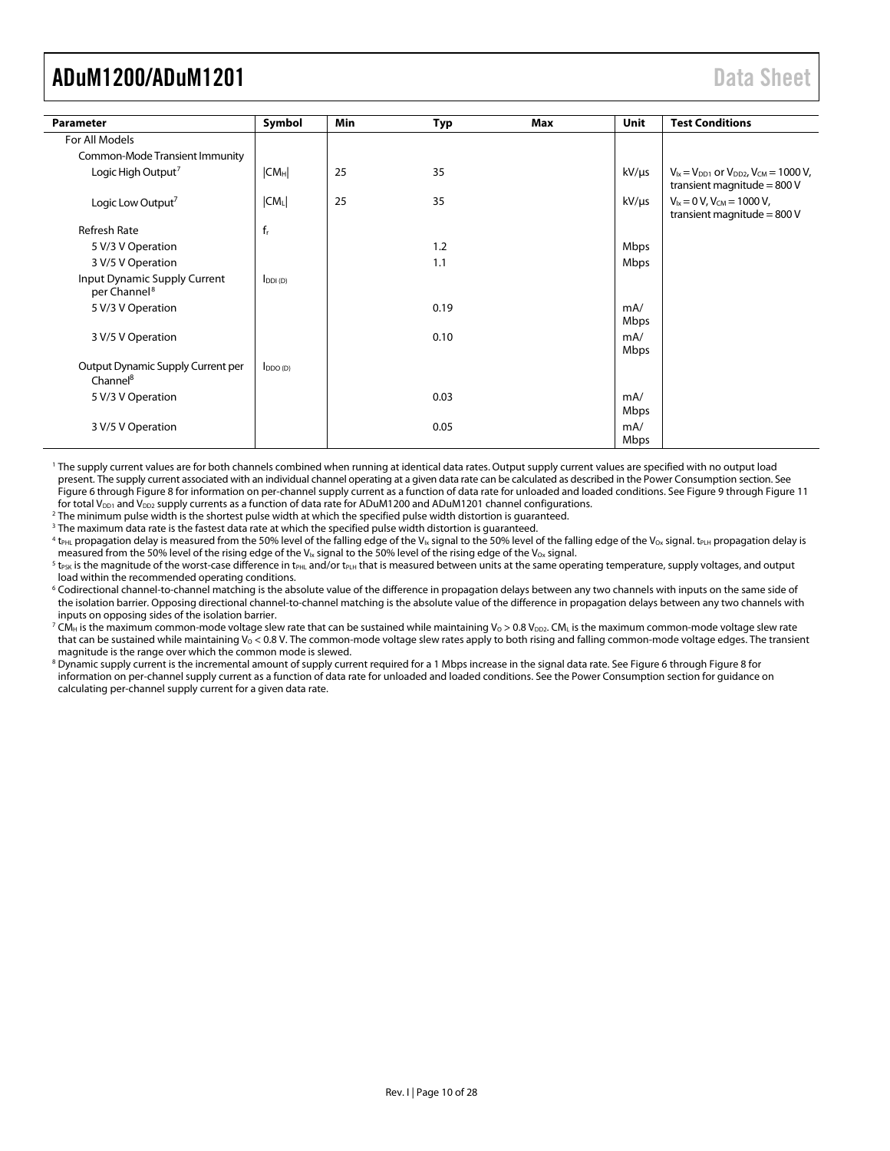<span id="page-9-0"></span>

| Parameter                                                 | Symbol       | <b>Min</b> | Typ  | Max | Unit        | <b>Test Conditions</b>                                                               |
|-----------------------------------------------------------|--------------|------------|------|-----|-------------|--------------------------------------------------------------------------------------|
| For All Models                                            |              |            |      |     |             |                                                                                      |
| Common-Mode Transient Immunity                            |              |            |      |     |             |                                                                                      |
| Logic High Output <sup>7</sup>                            | $ CM_H $     | 25         | 35   |     | $kV/\mu s$  | $V_{1x} = V_{DD1}$ or $V_{DD2}$ , $V_{CM} = 1000$ V,<br>transient magnitude = $800V$ |
| Logic Low Output <sup>7</sup>                             | $ CM_L $     | 25         | 35   |     | $kV/\mu s$  | $V_{ix} = 0 V$ , $V_{CM} = 1000 V$ ,<br>transient magnitude = $800V$                 |
| <b>Refresh Rate</b>                                       | $f_r$        |            |      |     |             |                                                                                      |
| 5 V/3 V Operation                                         |              |            | 1.2  |     | Mbps        |                                                                                      |
| 3 V/5 V Operation                                         |              |            | 1.1  |     | Mbps        |                                                                                      |
| Input Dynamic Supply Current<br>per Channel <sup>8</sup>  | $I_{DDI(D)}$ |            |      |     |             |                                                                                      |
| 5 V/3 V Operation                                         |              |            | 0.19 |     | mA/<br>Mbps |                                                                                      |
| 3 V/5 V Operation                                         |              |            | 0.10 |     | mA/<br>Mbps |                                                                                      |
| Output Dynamic Supply Current per<br>Channel <sup>8</sup> | $I_{DDO(D)}$ |            |      |     |             |                                                                                      |
| 5 V/3 V Operation                                         |              |            | 0.03 |     | mA/<br>Mbps |                                                                                      |
| 3 V/5 V Operation                                         |              |            | 0.05 |     | mA/<br>Mbps |                                                                                      |

1 The supply current values are for both channels combined when running at identical data rates. Output supply current values are specified with no output load present. The supply current associated with an individual channel operating at a given data rate can be calculated as described in the Power Consumption [section. S](#page-24-1)ee Figure 6 [t](#page-22-1)hrough Figure 8 for information on per-channel supply current as a function of data rate for unloaded and loaded conditions. See Figure 9 through [Figure 11](#page-22-1) for total V<sub>DD1</sub> and V<sub>DD2</sub> supply currents as a function of data rate for ADuM1200 and ADuM1201 channel configurations.

2 The minimum pulse width is the shortest pulse width at which the specified pulse width distortion is guaranteed.

<sup>3</sup> The maximum data rate is the fastest data rate at which the specified pulse width distortion is guaranteed.

 $^4$  t<sub>PHL</sub> propagation delay is measured from the 50% level of the falling edge of the V<sub>Ix</sub> signal to the 50% level of the falling edge of the V<sub>ox</sub> signal. t<sub>PLH</sub> propagation delay is measured from the 50% level of the rising edge of the V<sub>Ix</sub> signal to the 50% level of the rising edge of the V<sub>Ox</sub> signal.

 $5$  t<sub>PSK</sub> is the magnitude of the worst-case difference in t<sub>PHL</sub> and/or t<sub>PLH</sub> that is measured between units at the same operating temperature, supply voltages, and output load within the recommended operating conditions.

6 Codirectional channel-to-channel matching is the absolute value of the difference in propagation delays between any two channels with inputs on the same side of the isolation barrier. Opposing directional channel-to-channel matching is the absolute value of the difference in propagation delays between any two channels with inputs on opposing sides of the isolation barrier.

 $^7$  CM $_{\rm H}$  is the maximum common-mode voltage slew rate that can be sustained while maintaining Vo > 0.8 V $_{\rm DD2}$ . CM $_{\rm L}$  is the maximum common-mode voltage slew rate that can be sustained while maintaining  $V_0 < 0.8$  V. The common-mode voltage slew rates apply to both rising and falling common-mode voltage edges. The transient magnitude is the range over which the common mode is slewed.

information on per-channel supply current as a function of data rate for unloaded and loaded conditions. See the Power Consumption section for guidance on  $^8$  Dynamic supply current is [t](#page-22-1)he incremental amount of supply current required for a 1 Mbps increase in the signal data rate. See Figure 6 throug[h](#page-22-1) Figure 8 for calculating per-channel supply current for a given data rate.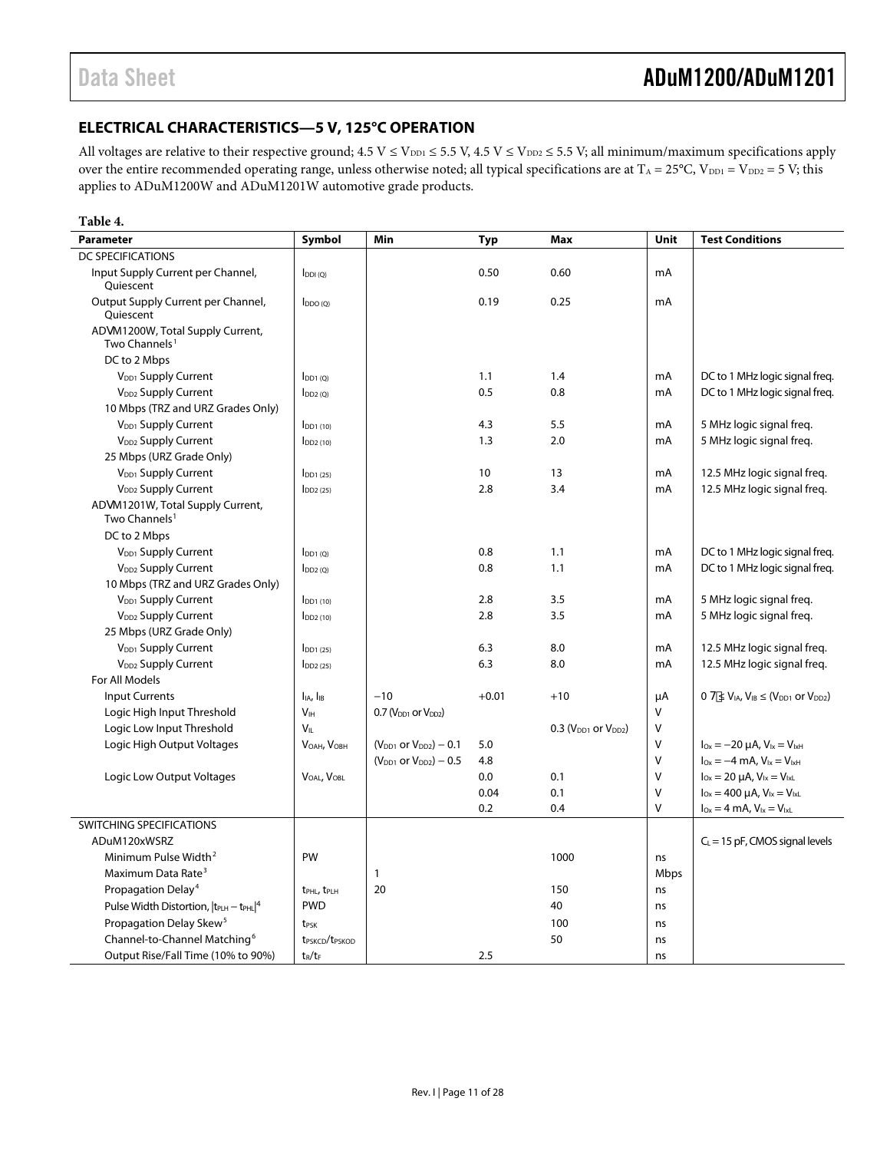### <span id="page-10-0"></span>**ELECTRICAL CHARACTERISTICS—5 V, 125°C OPERATION**

All voltages are relative to their respective ground;  $4.5 V \le V_{DD1} \le 5.5 V$ ,  $4.5 V \le V_{DD2} \le 5.5 V$ ; all minimum/maximum specifications apply over the entire recommended operating range, unless otherwise noted; all typical specifications are at  $T_A = 25^{\circ}C$ ,  $V_{DD1} = V_{DD2} = 5 V$ ; this applies to ADuM1200W and ADuM1201W automotive grade products.

#### **Table 4.**

| <b>Parameter</b>                                              | Symbol                                 | Min                             | <b>Typ</b> | Max                        | Unit   | <b>Test Conditions</b>                                         |
|---------------------------------------------------------------|----------------------------------------|---------------------------------|------------|----------------------------|--------|----------------------------------------------------------------|
| <b>DC SPECIFICATIONS</b>                                      |                                        |                                 |            |                            |        |                                                                |
| Input Supply Current per Channel,<br>Oujescent                | $I_{DDI(Q)}$                           |                                 | 0.50       | 0.60                       | mA     |                                                                |
| Output Supply Current per Channel,<br>Ouiescent               | $I_{DDO(Q)}$                           |                                 | 0.19       | 0.25                       | mA     |                                                                |
| ADgM1200W, Total Supply Current,<br>Two Channels <sup>1</sup> |                                        |                                 |            |                            |        |                                                                |
| DC to 2 Mbps                                                  |                                        |                                 |            |                            |        |                                                                |
| V <sub>DD1</sub> Supply Current                               | $I_{DD1(0)}$                           |                                 | 1.1        | 1.4                        | mA     | DC to 1 MHz logic signal freg.                                 |
| V <sub>DD2</sub> Supply Current                               | $I_{DD2(Q)}$                           |                                 | 0.5        | 0.8                        | mA     | DC to 1 MHz logic signal freq.                                 |
| 10 Mbps (TRZ and URZ Grades Only)                             |                                        |                                 |            |                            |        |                                                                |
| V <sub>DD1</sub> Supply Current                               | $I_{DD1(10)}$                          |                                 | 4.3        | 5.5                        | mA     | 5 MHz logic signal freq.                                       |
| V <sub>DD2</sub> Supply Current                               | $I_{DD2(10)}$                          |                                 | 1.3        | 2.0                        | mA     | 5 MHz logic signal freg.                                       |
| 25 Mbps (URZ Grade Only)                                      |                                        |                                 |            |                            |        |                                                                |
| V <sub>DD1</sub> Supply Current                               | $I$ <sub>DD1</sub> $(25)$              |                                 | 10         | 13                         | mA     | 12.5 MHz logic signal freq.                                    |
| V <sub>DD2</sub> Supply Current                               | $\log(25)$                             |                                 | 2.8        | 3.4                        | mA     | 12.5 MHz logic signal freg.                                    |
| ADgM1201W, Total Supply Current,<br>Two Channels <sup>1</sup> |                                        |                                 |            |                            |        |                                                                |
| DC to 2 Mbps                                                  |                                        |                                 |            |                            |        |                                                                |
| V <sub>DD1</sub> Supply Current                               | $I_{DD1(Q)}$                           |                                 | 0.8        | 1.1                        | mA     | DC to 1 MHz logic signal freq.                                 |
| V <sub>DD2</sub> Supply Current                               | $\mathsf{IDD2}$ (Q)                    |                                 | 0.8        | 1.1                        | mA     | DC to 1 MHz logic signal freq.                                 |
| 10 Mbps (TRZ and URZ Grades Only)                             |                                        |                                 |            |                            |        |                                                                |
| V <sub>DD1</sub> Supply Current                               | $I$ <sub>DD1</sub> $(10)$              |                                 | 2.8        | 3.5                        | mA     | 5 MHz logic signal freq.                                       |
| V <sub>DD2</sub> Supply Current                               | $I_{DD2(10)}$                          |                                 | 2.8        | 3.5                        | mA     | 5 MHz logic signal freg.                                       |
| 25 Mbps (URZ Grade Only)                                      |                                        |                                 |            |                            |        |                                                                |
| V <sub>DD1</sub> Supply Current                               | $I_{DD1(25)}$                          |                                 | 6.3        | 8.0                        | mA     | 12.5 MHz logic signal freq.                                    |
| V <sub>DD2</sub> Supply Current                               | $\log(25)$                             |                                 | 6.3        | 8.0                        | mA     | 12.5 MHz logic signal freq.                                    |
| For All Models                                                |                                        |                                 |            |                            |        |                                                                |
| <b>Input Currents</b>                                         | I <sub>IA</sub> , I <sub>IB</sub>      | $-10$                           | $+0.01$    | $+10$                      | μA     | $0 H \leq V_{IA}$ , $V_{IB} \leq (V_{DD1}$ or $V_{DD2})$       |
| Logic High Input Threshold                                    | V <sub>IH</sub>                        | $0.7 (V_{DD1}$ or $V_{DD2})$    |            |                            | V      |                                                                |
| Logic Low Input Threshold                                     | $V_{IL}$                               |                                 |            | $0.3$ ( $VDD1$ or $VDD2$ ) | $\vee$ |                                                                |
| Logic High Output Voltages                                    | VOAH, VOBH                             | $(V_{DD1}$ or $V_{DD2}) - 0.1$  | 5.0        |                            | V      | $I_{\text{Ox}} = -20 \mu A$ , $V_{\text{lx}} = V_{\text{lxH}}$ |
|                                                               |                                        | $(V_{DD1}$ or $V_{DD2}$ ) – 0.5 | 4.8        |                            | $\vee$ | $I_{Ox} = -4$ mA, $V_{1x} = V_{1xH}$                           |
| Logic Low Output Voltages                                     | VOAL, VOBL                             |                                 | 0.0        | 0.1                        | V      | $I_{Ox} = 20 \mu A$ , $V_{Ix} = V_{IxL}$                       |
|                                                               |                                        |                                 | 0.04       | 0.1                        | $\vee$ | $I_{0x} = 400 \mu A$ , $V_{1x} = V_{1xL}$                      |
|                                                               |                                        |                                 | 0.2        | 0.4                        | v      | $I_{Ox} = 4$ mA, $V_{1x} = V_{1xL}$                            |
| SWITCHING SPECIFICATIONS                                      |                                        |                                 |            |                            |        |                                                                |
| ADuM120xWSRZ                                                  |                                        |                                 |            |                            |        | $C_L = 15$ pF, CMOS signal levels                              |
| Minimum Pulse Width <sup>2</sup>                              | PW                                     |                                 |            | 1000                       | ns     |                                                                |
| Maximum Data Rate <sup>3</sup>                                |                                        | 1                               |            |                            | Mbps   |                                                                |
| Propagation Delay <sup>4</sup>                                | t <sub>PHL</sub> , t <sub>PLH</sub>    | 20                              |            | 150                        | ns     |                                                                |
| Pulse Width Distortion, $ t_{\text{PLH}} - t_{\text{PHL}} ^4$ | <b>PWD</b>                             |                                 |            | 40                         | ns     |                                                                |
| Propagation Delay Skew <sup>5</sup>                           | t <sub>PSK</sub>                       |                                 |            | 100                        | ns     |                                                                |
| Channel-to-Channel Matching <sup>6</sup>                      | t <sub>PSKCD</sub> /t <sub>PSKOD</sub> |                                 |            | 50                         | ns     |                                                                |
| Output Rise/Fall Time (10% to 90%)                            | $t_R/t_F$                              |                                 | 2.5        |                            | ns     |                                                                |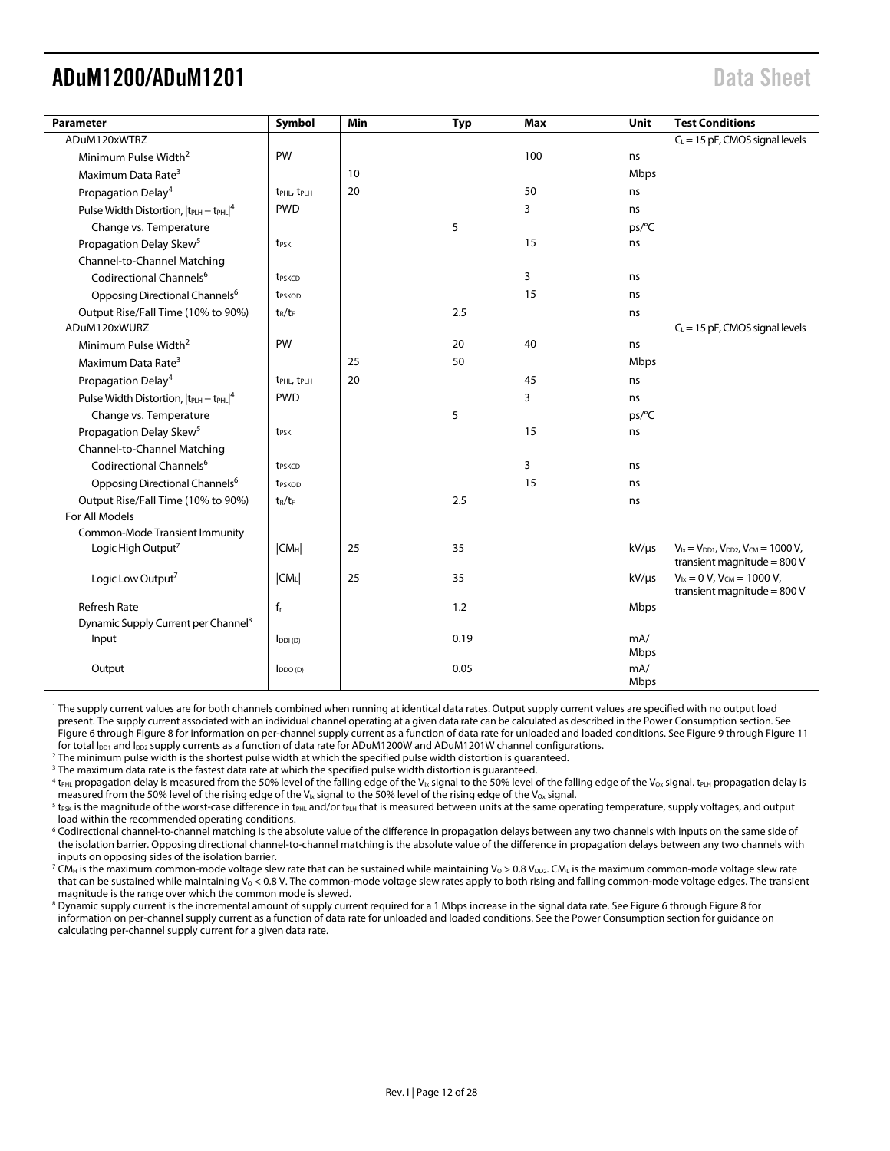<span id="page-11-0"></span>

| Parameter                                       | Symbol                              | Min | <b>Typ</b> | Max | Unit        | <b>Test Conditions</b>                                                               |
|-------------------------------------------------|-------------------------------------|-----|------------|-----|-------------|--------------------------------------------------------------------------------------|
| ADuM120xWTRZ                                    |                                     |     |            |     |             | $C_L$ = 15 pF, CMOS signal levels                                                    |
| Minimum Pulse Width <sup>2</sup>                | PW                                  |     |            | 100 | ns          |                                                                                      |
| Maximum Data Rate <sup>3</sup>                  |                                     | 10  |            |     | Mbps        |                                                                                      |
| Propagation Delay <sup>4</sup>                  | t <sub>PHL</sub> , t <sub>PLH</sub> | 20  |            | 50  | ns          |                                                                                      |
| Pulse Width Distortion, $ t_{PLH} - t_{PHL} ^4$ | <b>PWD</b>                          |     |            | 3   | ns          |                                                                                      |
| Change vs. Temperature                          |                                     |     | 5          |     | ps/°C       |                                                                                      |
| Propagation Delay Skew <sup>5</sup>             | t <sub>PSK</sub>                    |     |            | 15  | ns          |                                                                                      |
| Channel-to-Channel Matching                     |                                     |     |            |     |             |                                                                                      |
| Codirectional Channels <sup>6</sup>             | <b>t</b> <sub>PSKCD</sub>           |     |            | 3   | ns          |                                                                                      |
| Opposing Directional Channels <sup>6</sup>      | <b>t</b> <sub>PSKOD</sub>           |     |            | 15  | ns          |                                                                                      |
| Output Rise/Fall Time (10% to 90%)              | $t_R/t_F$                           |     | 2.5        |     | ns          |                                                                                      |
| ADuM120xWURZ                                    |                                     |     |            |     |             | $C_L$ = 15 pF, CMOS signal levels                                                    |
| Minimum Pulse Width <sup>2</sup>                | PW                                  |     | 20         | 40  | ns          |                                                                                      |
| Maximum Data Rate <sup>3</sup>                  |                                     | 25  | 50         |     | Mbps        |                                                                                      |
| Propagation Delay <sup>4</sup>                  | t <sub>PHL</sub> , t <sub>PLH</sub> | 20  |            | 45  | ns          |                                                                                      |
| Pulse Width Distortion, $ t_{PLH} - t_{PHL} ^4$ | <b>PWD</b>                          |     |            | 3   | ns          |                                                                                      |
| Change vs. Temperature                          |                                     |     | 5          |     | ps/°C       |                                                                                      |
| Propagation Delay Skew <sup>5</sup>             | t <sub>PSK</sub>                    |     |            | 15  | ns          |                                                                                      |
| Channel-to-Channel Matching                     |                                     |     |            |     |             |                                                                                      |
| Codirectional Channels <sup>6</sup>             | t <sub>PSKCD</sub>                  |     |            | 3   | ns          |                                                                                      |
| Opposing Directional Channels <sup>6</sup>      | t <sub>PSKOD</sub>                  |     |            | 15  | ns          |                                                                                      |
| Output Rise/Fall Time (10% to 90%)              | $t_R/t_F$                           |     | 2.5        |     | ns          |                                                                                      |
| For All Models                                  |                                     |     |            |     |             |                                                                                      |
| <b>Common-Mode Transient Immunity</b>           |                                     |     |            |     |             |                                                                                      |
| Logic High Output <sup>7</sup>                  | $ CM_H $                            | 25  | 35         |     | kV/µs       | $V_{1x} = V_{DD1}$ , $V_{DD2}$ , $V_{CM} = 1000 V$ ,<br>transient magnitude = $800V$ |
| Logic Low Output <sup>7</sup>                   | $ CM_L $                            | 25  | 35         |     | $kV/\mu s$  | $V_{1x} = 0 V$ , $V_{CM} = 1000 V$ ,                                                 |
| <b>Refresh Rate</b>                             | $f_r$                               |     | 1.2        |     | Mbps        | transient magnitude = $800V$                                                         |
| Dynamic Supply Current per Channel <sup>8</sup> |                                     |     |            |     |             |                                                                                      |
| Input                                           | $I_{DDI(D)}$                        |     | 0.19       |     | mA/<br>Mbps |                                                                                      |
| Output                                          | $I_{DDO(D)}$                        |     | 0.05       |     | mA/<br>Mbps |                                                                                      |

1 The supply current values are for both channels combined when running at identical data rates. Output supply current values are specified with no output load present. The supply current associated with an individual channel operating at a given data rate can be calculated as described in th[e Power Consumption section.](#page-24-1) See [Figure 6 t](#page-22-1)hrough [Figure 8 f](#page-22-1)or information on per-channel supply current as a function of data rate for unloaded and loaded conditions. See [Figure 9 t](#page-22-1)hrough [Figure 11](#page-22-1)  for total  $I_{DD1}$  and  $I_{DD2}$  supply currents as a function of data rate for ADuM1200W and ADuM1201W channel configurations.

<sup>2</sup> The minimum pulse width is the shortest pulse width at which the specified pulse width distortion is guaranteed.

 $^3$  The maximum data rate is the fastest data rate at which the specified pulse width distortion is guaranteed.

 $^4$  t<sub>PHL</sub> propagation delay is measured from the 50% level of the falling edge of the V<sub>Ix</sub> signal to the 50% level of the falling edge of the V<sub>Ox</sub> signal. t<sub>PLH</sub> propagation delay is measured from the 50% level of the rising edge of the V<sub>Ix</sub> signal to the 50% level of the rising edge of the V<sub>Ox</sub> signal.

 $5$  t<sub>PSK</sub> is the magnitude of the worst-case difference in t<sub>PHL</sub> and/or t<sub>PLH</sub> that is measured between units at the same operating temperature, supply voltages, and output load within the recommended operating conditions.

6 Codirectional channel-to-channel matching is the absolute value of the difference in propagation delays between any two channels with inputs on the same side of the isolation barrier. Opposing directional channel-to-channel matching is the absolute value of the difference in propagation delays between any two channels with inputs on opposing sides of the isolation barrier.

 $^7$  CM $_{\rm H}$  is the maximum common-mode voltage slew rate that can be sustained while maintaining Vo > 0.8 V $_{\rm D22}$  CM $_{\rm L}$  is the maximum common-mode voltage slew rate that can be sustained while maintaining  $V_0 < 0.8$  V. The common-mode voltage slew rates apply to both rising and falling common-mode voltage edges. The transient magnitude is the range over which the common mode is slewed.

 $^8$  Dynamic supply current is the incremental amount of supply current required for a 1 Mbps increase in the signal data rate. See [Figure 6 t](#page-22-1)hroug[h Figure 8](#page-22-1) for information on per-channel supply current as a function of data rate for unloaded and loaded conditions. See the [Power Consumption section](#page-24-1) for guidance on calculating per-channel supply current for a given data rate.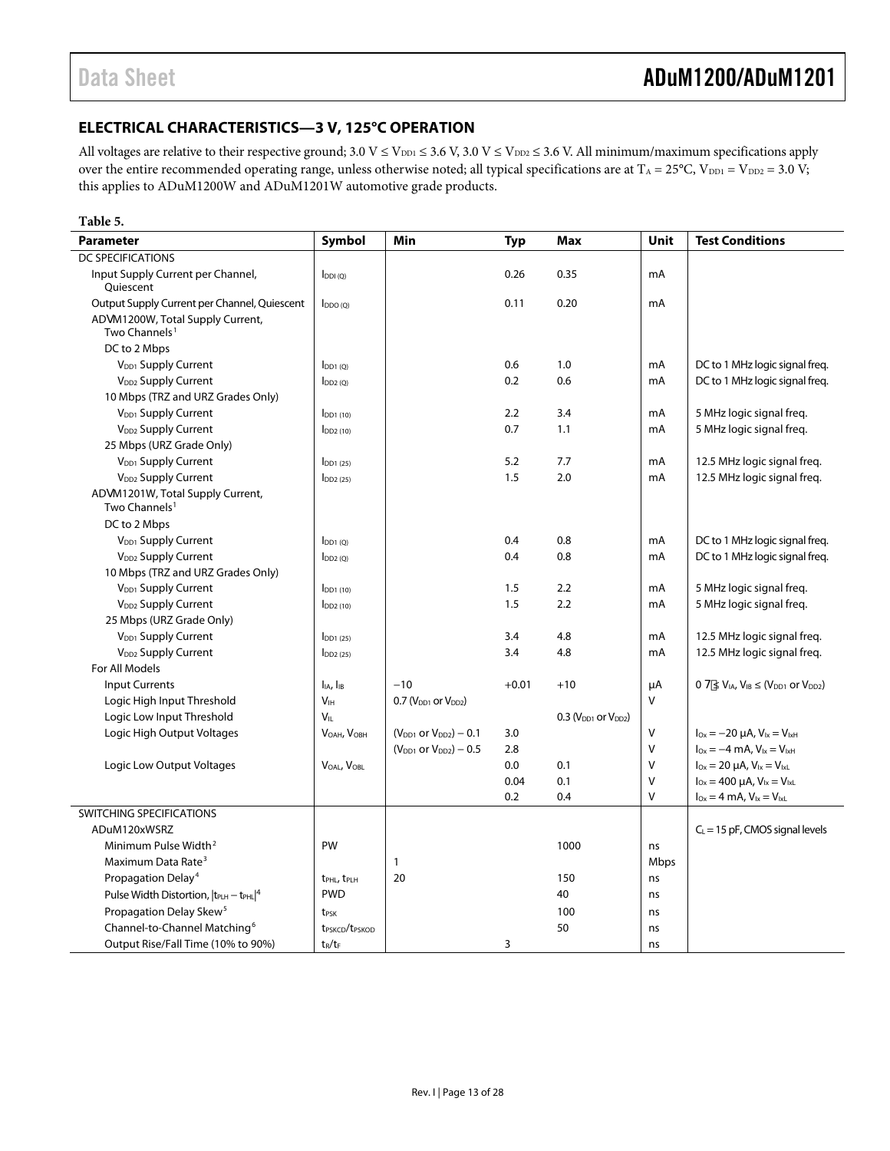### <span id="page-12-0"></span>**ELECTRICAL CHARACTERISTICS—3 V, 125°C OPERATION**

All voltages are relative to their respective ground;  $3.0 V \le V_{DD1} \le 3.6 V$ ,  $3.0 V \le V_{DD2} \le 3.6 V$ . All minimum/maximum specifications apply over the entire recommended operating range, unless otherwise noted; all typical specifications are at  $T_A = 25^{\circ}C$ ,  $V_{DD1} = V_{DD2} = 3.0 V$ ; this applies to ADuM1200W and ADuM1201W automotive grade products.

#### **Table 5.**

| <b>Parameter</b>                                              | Symbol                                 | Min                             | <b>Typ</b> | Max                        | <b>Unit</b> | <b>Test Conditions</b>                                   |
|---------------------------------------------------------------|----------------------------------------|---------------------------------|------------|----------------------------|-------------|----------------------------------------------------------|
| DC SPECIFICATIONS                                             |                                        |                                 |            |                            |             |                                                          |
| Input Supply Current per Channel,<br>Quiescent                | $I_{DDI(Q)}$                           |                                 | 0.26       | 0.35                       | mA          |                                                          |
| Output Supply Current per Channel, Quiescent                  | $I_{DDO(O)}$                           |                                 | 0.11       | 0.20                       | mA          |                                                          |
| ADqM1200W, Total Supply Current,<br>Two Channels <sup>1</sup> |                                        |                                 |            |                            |             |                                                          |
| DC to 2 Mbps                                                  |                                        |                                 |            |                            |             |                                                          |
| V <sub>DD1</sub> Supply Current                               | $I_{DD1(0)}$                           |                                 | 0.6        | 1.0                        | mA          | DC to 1 MHz logic signal freq.                           |
| V <sub>DD2</sub> Supply Current                               | $I_{DD2(0)}$                           |                                 | 0.2        | 0.6                        | mA          | DC to 1 MHz logic signal freg.                           |
| 10 Mbps (TRZ and URZ Grades Only)                             |                                        |                                 |            |                            |             |                                                          |
| V <sub>DD1</sub> Supply Current                               | $I_{DD1(10)}$                          |                                 | 2.2        | 3.4                        | mA          | 5 MHz logic signal freg.                                 |
| V <sub>DD2</sub> Supply Current                               | $I_{DD2(10)}$                          |                                 | 0.7        | 1.1                        | mA          | 5 MHz logic signal freg.                                 |
| 25 Mbps (URZ Grade Only)                                      |                                        |                                 |            |                            |             |                                                          |
| V <sub>DD1</sub> Supply Current                               | $IDD1$ (25)                            |                                 | 5.2        | 7.7                        | mA          | 12.5 MHz logic signal freq.                              |
| V <sub>DD2</sub> Supply Current                               | $\overline{1}$ DD <sub>2</sub> $(25)$  |                                 | 1.5        | 2.0                        | mA          | 12.5 MHz logic signal freq.                              |
| ADqM1201W, Total Supply Current,<br>Two Channels <sup>1</sup> |                                        |                                 |            |                            |             |                                                          |
| DC to 2 Mbps                                                  |                                        |                                 |            |                            |             |                                                          |
| V <sub>DD1</sub> Supply Current                               | $I_{DD1(Q)}$                           |                                 | 0.4        | 0.8                        | mA          | DC to 1 MHz logic signal freq.                           |
| V <sub>DD2</sub> Supply Current                               | $I_{DD2(Q)}$                           |                                 | 0.4        | 0.8                        | mA          | DC to 1 MHz logic signal freq.                           |
| 10 Mbps (TRZ and URZ Grades Only)                             |                                        |                                 |            |                            |             |                                                          |
| V <sub>DD1</sub> Supply Current                               | $IDD1$ (10)                            |                                 | 1.5        | 2.2                        | mA          | 5 MHz logic signal freq.                                 |
| V <sub>DD2</sub> Supply Current                               | $I_{DD2(10)}$                          |                                 | 1.5        | 2.2                        | mA          | 5 MHz logic signal freq.                                 |
| 25 Mbps (URZ Grade Only)                                      |                                        |                                 |            |                            |             |                                                          |
| $V_{DD1}$ Supply Current                                      | $I_{DD1(25)}$                          |                                 | 3.4        | 4.8                        | mA          | 12.5 MHz logic signal freq.                              |
| V <sub>DD2</sub> Supply Current                               | $I_{DD2(25)}$                          |                                 | 3.4        | 4.8                        | mA          | 12.5 MHz logic signal freq.                              |
| For All Models                                                |                                        |                                 |            |                            |             |                                                          |
| <b>Input Currents</b>                                         | I <sub>IA</sub> , I <sub>IB</sub>      | $-10$                           | $+0.01$    | $+10$                      | μA          | $0 H \leq V_{IA}$ , $V_{IB} \leq (V_{DD1}$ or $V_{DD2})$ |
| Logic High Input Threshold                                    | V <sub>IH</sub>                        | $0.7$ ( $VDD1$ or $VDD2$ )      |            |                            | V           |                                                          |
| Logic Low Input Threshold                                     | Vır                                    |                                 |            | $0.3$ ( $VDD1$ or $VDD2$ ) |             |                                                          |
| Logic High Output Voltages                                    | VOAH, VOBH                             | $(V_{DD1}$ or $V_{DD2}$ ) – 0.1 | 3.0        |                            | V           | $I_{Ox} = -20 \mu A$ , $V_{1x} = V_{1xH}$                |
|                                                               |                                        | $(V_{DD1}$ or $V_{DD2}$ ) – 0.5 | 2.8        |                            | V           | $I_{Ox} = -4$ mA, $V_{1x} = V_{1xH}$                     |
| Logic Low Output Voltages                                     | VOAL, VOBL                             |                                 | 0.0        | 0.1                        | ٧           | $I_{0x} = 20 \mu A$ , $V_{1x} = V_{1xL}$                 |
|                                                               |                                        |                                 | 0.04       | 0.1                        | V           | $I_{Ox} = 400 \mu A$ , $V_{1x} = V_{1xL}$                |
|                                                               |                                        |                                 | 0.2        | 0.4                        | V           | $I_{Ox} = 4$ mA, $V_{Ix} = V_{IxL}$                      |
| SWITCHING SPECIFICATIONS                                      |                                        |                                 |            |                            |             |                                                          |
| ADuM120xWSRZ                                                  |                                        |                                 |            |                            |             | $C_L$ = 15 pF, CMOS signal levels                        |
| Minimum Pulse Width <sup>2</sup>                              | PW                                     |                                 |            | 1000                       | ns          |                                                          |
| Maximum Data Rate <sup>3</sup>                                |                                        | 1                               |            |                            | Mbps        |                                                          |
| Propagation Delay <sup>4</sup>                                | t <sub>PHL</sub> , t <sub>PLH</sub>    | 20                              |            | 150                        | ns          |                                                          |
| Pulse Width Distortion, $ t_{\text{PLH}} - t_{\text{PHL}} ^4$ | <b>PWD</b>                             |                                 |            | 40                         | ns          |                                                          |
| Propagation Delay Skew <sup>5</sup>                           | t <sub>PSK</sub>                       |                                 |            | 100                        | ns          |                                                          |
| Channel-to-Channel Matching <sup>6</sup>                      | t <sub>PSKCD</sub> /t <sub>PSKOD</sub> |                                 |            | 50                         | ns          |                                                          |
| Output Rise/Fall Time (10% to 90%)                            | $t_R/t_F$                              |                                 | 3          |                            | ns          |                                                          |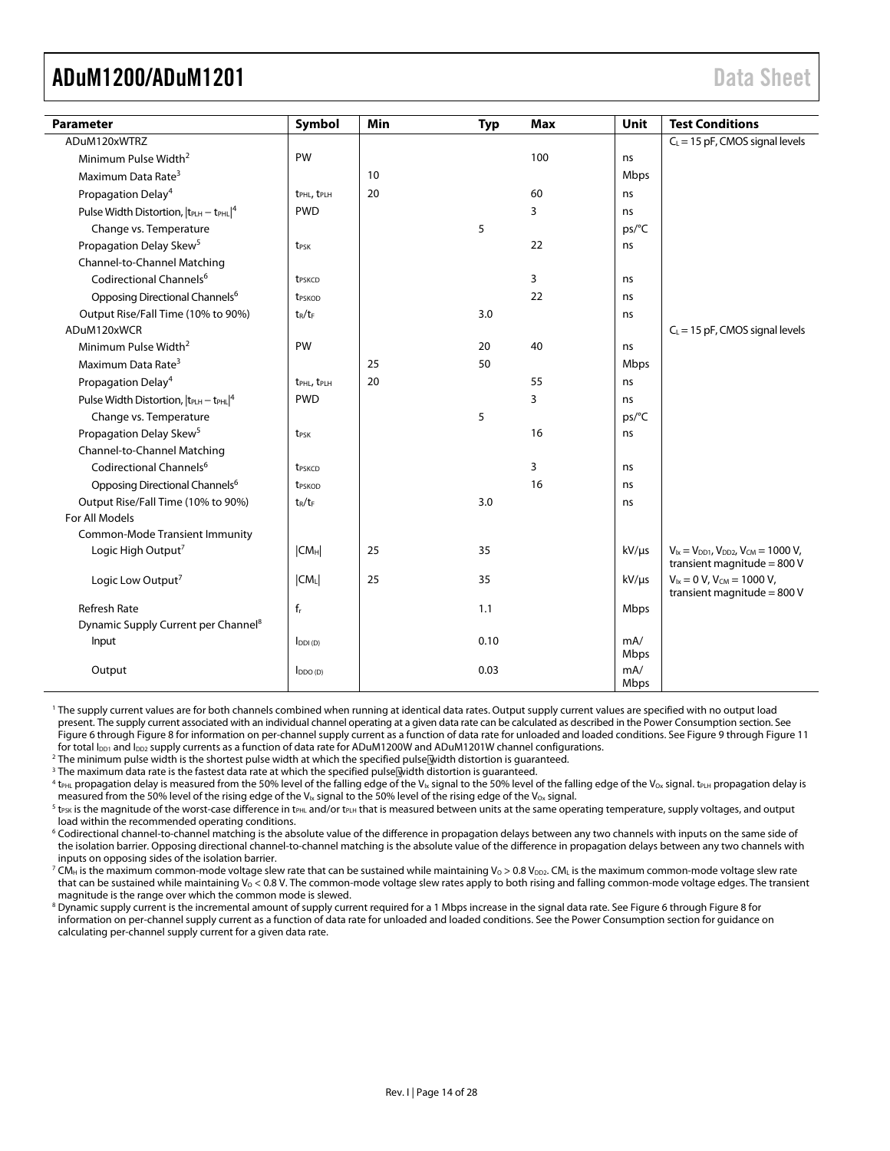<span id="page-13-0"></span>

| <b>Parameter</b>                                              | Symbol                              | Min | <b>Typ</b> | <b>Max</b> | Unit        | <b>Test Conditions</b>                                                                |
|---------------------------------------------------------------|-------------------------------------|-----|------------|------------|-------------|---------------------------------------------------------------------------------------|
| ADuM120xWTRZ                                                  |                                     |     |            |            |             | $C_L = 15$ pF, CMOS signal levels                                                     |
| Minimum Pulse Width <sup>2</sup>                              | PW                                  |     |            | 100        | ns          |                                                                                       |
| Maximum Data Rate <sup>3</sup>                                |                                     | 10  |            |            | Mbps        |                                                                                       |
| Propagation Delay <sup>4</sup>                                | t <sub>PHL</sub> , t <sub>PLH</sub> | 20  |            | 60         | ns          |                                                                                       |
| Pulse Width Distortion, $ t_{\text{PLH}} - t_{\text{PHL}} ^4$ | <b>PWD</b>                          |     |            | 3          | ns          |                                                                                       |
| Change vs. Temperature                                        |                                     |     | 5          |            | ps/°C       |                                                                                       |
| Propagation Delay Skew <sup>5</sup>                           | t <sub>PSK</sub>                    |     |            | 22         | ns          |                                                                                       |
| Channel-to-Channel Matching                                   |                                     |     |            |            |             |                                                                                       |
| Codirectional Channels <sup>6</sup>                           | t <sub>PSKCD</sub>                  |     |            | 3          | ns          |                                                                                       |
| Opposing Directional Channels <sup>6</sup>                    | t <sub>PSKOD</sub>                  |     |            | 22         | ns          |                                                                                       |
| Output Rise/Fall Time (10% to 90%)                            | $t_R/t_F$                           |     | 3.0        |            | ns          |                                                                                       |
| ADuM120xWCR                                                   |                                     |     |            |            |             | $C_L$ = 15 pF, CMOS signal levels                                                     |
| Minimum Pulse Width <sup>2</sup>                              | PW                                  |     | 20         | 40         | ns          |                                                                                       |
| Maximum Data Rate <sup>3</sup>                                |                                     | 25  | 50         |            | <b>Mbps</b> |                                                                                       |
| Propagation Delay <sup>4</sup>                                | t <sub>PHL</sub> , t <sub>PLH</sub> | 20  |            | 55         | ns          |                                                                                       |
| Pulse Width Distortion, $ t_{PLH} - t_{PHL} ^4$               | <b>PWD</b>                          |     |            | 3          | ns          |                                                                                       |
| Change vs. Temperature                                        |                                     |     | 5          |            | ps/°C       |                                                                                       |
| Propagation Delay Skew <sup>5</sup>                           | t <sub>PSK</sub>                    |     |            | 16         | ns          |                                                                                       |
| Channel-to-Channel Matching                                   |                                     |     |            |            |             |                                                                                       |
| Codirectional Channels <sup>6</sup>                           | t <sub>PSKCD</sub>                  |     |            | 3          | ns          |                                                                                       |
| Opposing Directional Channels <sup>6</sup>                    | t <sub>PSKOD</sub>                  |     |            | 16         | ns          |                                                                                       |
| Output Rise/Fall Time (10% to 90%)                            | $t_R/t_F$                           |     | 3.0        |            | ns          |                                                                                       |
| For All Models                                                |                                     |     |            |            |             |                                                                                       |
| <b>Common-Mode Transient Immunity</b>                         |                                     |     |            |            |             |                                                                                       |
| Logic High Output <sup>7</sup>                                | CM <sub>H</sub>                     | 25  | 35         |            | $kV/\mu s$  | $V_{1x} = V_{DD1}$ , $V_{DD2}$ , $V_{CM} = 1000 V$ ,<br>transient magnitude = $800$ V |
| Logic Low Output <sup>7</sup>                                 | $ CM_L $                            | 25  | 35         |            | $kV/\mu s$  | $V_{ix} = 0 V$ , $V_{CM} = 1000 V$ ,                                                  |
|                                                               |                                     |     |            |            |             | transient magnitude = $800V$                                                          |
| <b>Refresh Rate</b>                                           | $f_r$                               |     | 1.1        |            | Mbps        |                                                                                       |
| Dynamic Supply Current per Channel <sup>8</sup>               |                                     |     | 0.10       |            | mA/         |                                                                                       |
| Input                                                         | $I_{DDI(D)}$                        |     |            |            | Mbps        |                                                                                       |
| Output                                                        | $I_{DDO(D)}$                        |     | 0.03       |            | mA/<br>Mbps |                                                                                       |

1 The supply current values are for both channels combined when running at identical data rates. Output supply current values are specified with no output load present. The supply current associated with an individual channel operating at a given data rate can be calculated as described in the [Power Consumption section. S](#page-24-1)ee [Figure 6 t](#page-22-1)hroug[h Figure 8](#page-22-1) for information on per-channel supply current as a function of data rate for unloaded and loaded conditions. See [Figure 9 t](#page-22-1)hrough [Figure 11](#page-22-1)  for total I<sub>DD1</sub> and I<sub>DD2</sub> supply currents as a function of data rate for ADuM1200W and ADuM1201W channel configurations.

<sup>2</sup> The minimum pulse width is the shortest pulse width at which the specified pulse width distortion is guaranteed.

<sup>3</sup> The maximum data rate is the fastest data rate at which the specified pulse width distortion is guaranteed.

 $4$  t<sub>PHL</sub> propagation delay is measured from the 50% level of the falling edge of the V<sub>Ix</sub> signal to the 50% level of the falling edge of the V<sub>Ox</sub> signal. t<sub>PLH</sub> propagation delay is measured from the 50% level of the rising edge of the V<sub>Ix</sub> signal to the 50% level of the rising edge of the V<sub>Ox</sub> signal.

 $5$  t<sub>PSK</sub> is the magnitude of the worst-case difference in t<sub>PHL</sub> and/or t<sub>PLH</sub> that is measured between units at the same operating temperature, supply voltages, and output load within the recommended operating conditions.

6 Codirectional channel-to-channel matching is the absolute value of the difference in propagation delays between any two channels with inputs on the same side of the isolation barrier. Opposing directional channel-to-channel matching is the absolute value of the difference in propagation delays between any two channels with inputs on opposing sides of the isolation barrier.

 $^7$  CM $_{\rm H}$  is the maximum common-mode voltage slew rate that can be sustained while maintaining V $_{\rm O}$   $>$  0.8 V $_{\rm D22}$ . CM $_{\rm L}$  is the maximum common-mode voltage slew rate that can be sustained while maintaining  $V_0 < 0.8$  V. The common-mode voltage slew rates apply to both rising and falling common-mode voltage edges. The transient magnitude is the range over which the common mode is slewed.

 $^8$  Dynamic supply current is the incremental amount of supply current required for a 1 Mbps increase in the signal data rate. See [Figure 6 t](#page-22-1)hroug[h Figure 8](#page-22-1) for information on per-channel supply current as a function of data rate for unloaded and loaded conditions. See the [Power Consumption section](#page-24-1) for guidance on calculating per-channel supply current for a given data rate.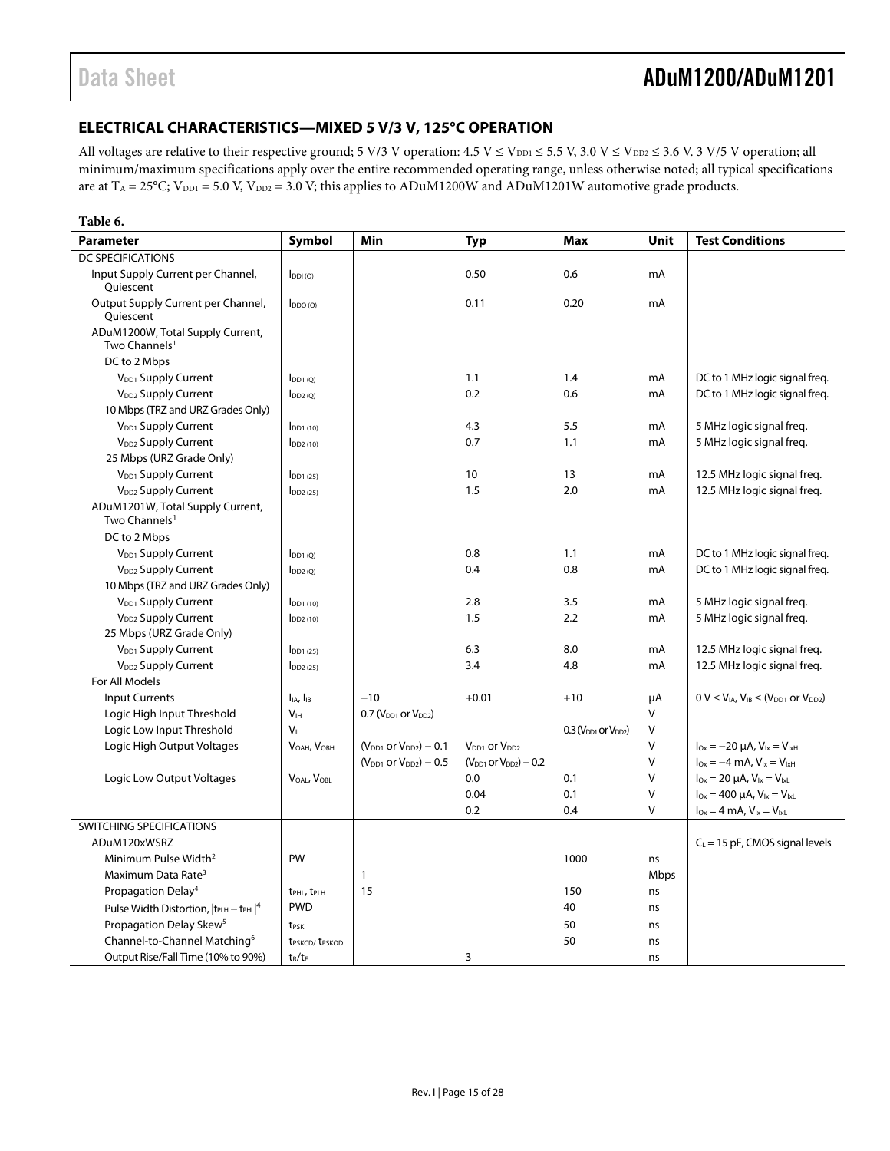### <span id="page-14-0"></span>**ELECTRICAL CHARACTERISTICS—MIXED 5 V/3 V, 125°C OPERATION**

All voltages are relative to their respective ground; 5 V/3 V operation:  $4.5$  V  $\leq$  V<sub>DD1</sub>  $\leq$  5.5 V, 3.0 V  $\leq$  V<sub>DD2</sub>  $\leq$  3.6 V. 3 V/5 V operation; all minimum/maximum specifications apply over the entire recommended operating range, unless otherwise noted; all typical specifications are at  $T_A = 25^{\circ}$ C; V<sub>DD1</sub> = 5.0 V, V<sub>DD2</sub> = 3.0 V; this applies to ADuM1200W and ADuM1201W automotive grade products.

| <b>Typ</b>                                                                                                                                                            | <b>Test Conditions</b> |
|-----------------------------------------------------------------------------------------------------------------------------------------------------------------------|------------------------|
| <b>DC SPECIFICATIONS</b>                                                                                                                                              |                        |
| 0.6<br>0.50<br>Input Supply Current per Channel,<br>mA<br>$I_{DDI(Q)}$<br>Quiescent                                                                                   |                        |
| Output Supply Current per Channel,<br>0.11<br>0.20<br>mA<br>$I_{DDO(O)}$<br>Quiescent                                                                                 |                        |
| ADuM1200W, Total Supply Current,<br>Two Channels <sup>1</sup>                                                                                                         |                        |
| DC to 2 Mbps                                                                                                                                                          |                        |
| V <sub>DD1</sub> Supply Current<br>1.1<br>1.4<br>DC to 1 MHz logic signal freq.<br>mA<br>[DD1(0)]                                                                     |                        |
| 0.2<br>V <sub>DD2</sub> Supply Current<br>0.6<br>DC to 1 MHz logic signal freq.<br>mA<br>$I_{DD2(Q)}$                                                                 |                        |
| 10 Mbps (TRZ and URZ Grades Only)                                                                                                                                     |                        |
| V <sub>DD1</sub> Supply Current<br>4.3<br>5.5<br>5 MHz logic signal freq.<br>mA<br>$I_{DD1(10)}$                                                                      |                        |
| V <sub>DD2</sub> Supply Current<br>0.7<br>5 MHz logic signal freq.<br>1.1<br>mA<br>$I_{DD2(10)}$                                                                      |                        |
| 25 Mbps (URZ Grade Only)                                                                                                                                              |                        |
| V <sub>DD1</sub> Supply Current<br>10<br>13<br>12.5 MHz logic signal freq.<br>mA<br>$I_{DD1(25)}$                                                                     |                        |
| 1.5<br>2.0<br>V <sub>DD2</sub> Supply Current<br>mA<br>12.5 MHz logic signal freq.<br>$I_{DD2(25)}$                                                                   |                        |
| ADuM1201W, Total Supply Current,<br>Two Channels <sup>1</sup>                                                                                                         |                        |
| DC to 2 Mbps                                                                                                                                                          |                        |
| DC to 1 MHz logic signal freq.<br>V <sub>DD1</sub> Supply Current<br>0.8<br>1.1<br>mA<br>$I_{DD1(0)}$                                                                 |                        |
| 0.4<br>0.8<br>DC to 1 MHz logic signal freq.<br>V <sub>DD2</sub> Supply Current<br>$I_{DD2(Q)}$<br>mA                                                                 |                        |
| 10 Mbps (TRZ and URZ Grades Only)                                                                                                                                     |                        |
| 2.8<br>3.5<br>5 MHz logic signal freq.<br>V <sub>DD1</sub> Supply Current<br>$IDD1$ (10)<br>mA                                                                        |                        |
| V <sub>DD2</sub> Supply Current<br>1.5<br>2.2<br>5 MHz logic signal freq.<br>mA<br>$I_{DD2(10)}$                                                                      |                        |
| 25 Mbps (URZ Grade Only)                                                                                                                                              |                        |
| V <sub>DD1</sub> Supply Current<br>6.3<br>8.0<br>12.5 MHz logic signal freq.<br>mA<br>$I_{DD1(25)}$                                                                   |                        |
| V <sub>DD2</sub> Supply Current<br>3.4<br>4.8<br>12.5 MHz logic signal freq.<br>mA<br>$\log(25)$                                                                      |                        |
| For All Models                                                                                                                                                        |                        |
| <b>Input Currents</b><br>I <sub>IA</sub> , I <sub>IB</sub><br>$-10$<br>$+0.01$<br>$0 V \leq V_{IA}$ , $V_{IB} \leq (V_{DD1}$ or $V_{DD2})$<br>$+10$<br>μA             |                        |
| V <sub>IH</sub><br>0.7 ( $V_{DD1}$ or $V_{DD2}$ )<br>V<br>Logic High Input Threshold                                                                                  |                        |
| V <sub>II</sub><br>V<br>Logic Low Input Threshold<br>$0.3$ ( $VDD1$ or $VDD2$ )                                                                                       |                        |
| $I_{Ox} = -20 \mu A$ , $V_{ix} = V_{ixH}$<br>Logic High Output Voltages<br>VOAH, VOBH<br>$(V_{DD1}$ or $V_{DD2}$ ) – 0.1<br>V <sub>DD1</sub> or V <sub>DD2</sub><br>٧ |                        |
| V<br>$I_{Ox} = -4$ mA, $V_{1x} = V_{1xH}$<br>$(V_{DD1}$ or $V_{DD2}$ ) – 0.5<br>$(V_{DD1}$ or $V_{DD2}$ ) – 0.2                                                       |                        |
| V<br>0.0<br>$I_{Ox} = 20 \mu A$ , $V_{1x} = V_{1xL}$<br>Logic Low Output Voltages<br>VOAL, VOBL<br>0.1                                                                |                        |
| 0.04<br>$I_{0x} = 400 \mu A$ , $V_{1x} = V_{1xL}$<br>0.1<br>V                                                                                                         |                        |
| V<br>0.2<br>0.4<br>$I_{Ox} = 4$ mA, $V_{1x} = V_{1xL}$                                                                                                                |                        |
| SWITCHING SPECIFICATIONS                                                                                                                                              |                        |
| ADuM120xWSRZ<br>$C_L$ = 15 pF, CMOS signal levels                                                                                                                     |                        |
| Minimum Pulse Width <sup>2</sup><br>PW<br>1000<br>ns                                                                                                                  |                        |
| Maximum Data Rate <sup>3</sup><br>1<br>Mbps                                                                                                                           |                        |
| 15<br>Propagation Delay <sup>4</sup><br>150<br>t <sub>PHL</sub> , t <sub>PLH</sub><br>ns                                                                              |                        |
| <b>PWD</b><br>40<br>Pulse Width Distortion, $ t_{PLH} - t_{PHL} ^4$<br>ns                                                                                             |                        |
| Propagation Delay Skew <sup>5</sup><br>50<br>t <sub>PSK</sub><br>ns                                                                                                   |                        |
| Channel-to-Channel Matching <sup>6</sup><br>50<br>t <sub>PSKCD</sub> /t <sub>PSKOD</sub><br>ns                                                                        |                        |
| Output Rise/Fall Time (10% to 90%)<br>3<br>$t_R/t_F$<br>ns                                                                                                            |                        |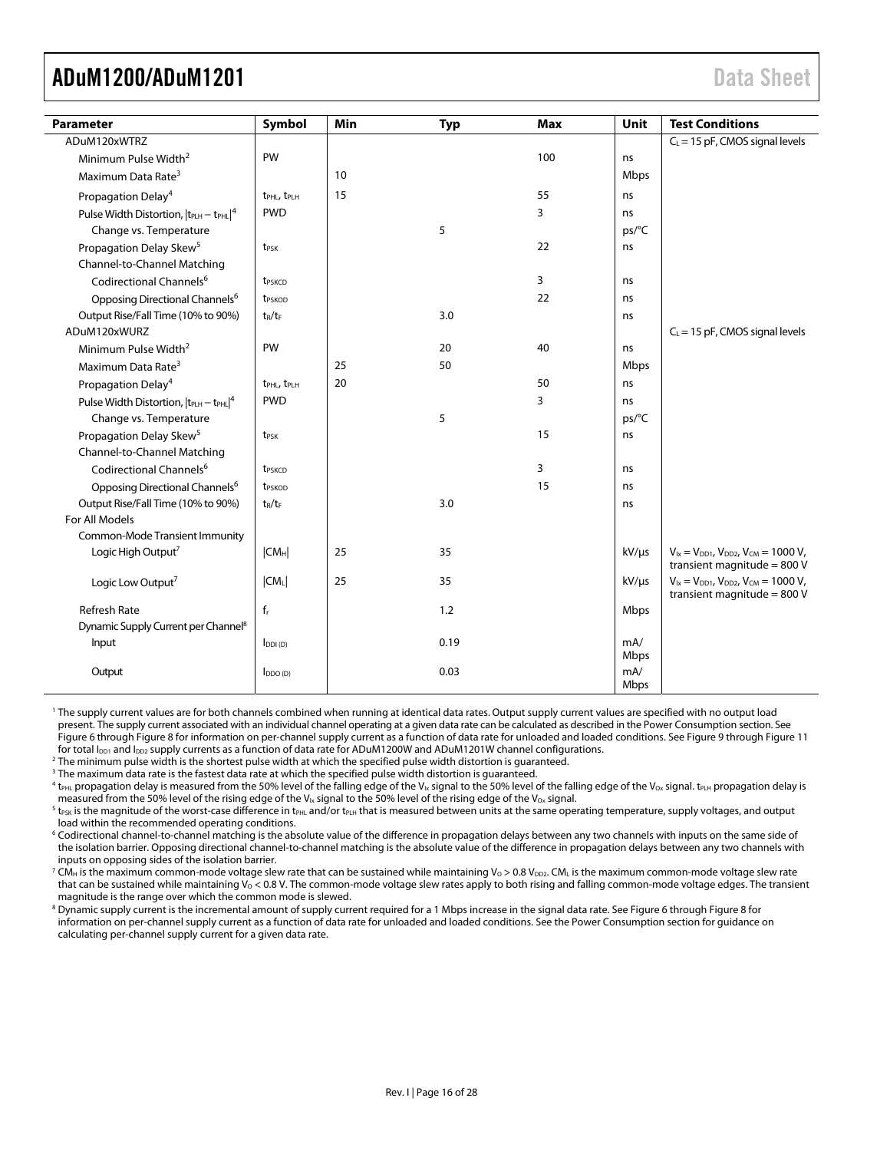<span id="page-15-0"></span>

| <b>Parameter</b>                                              | Symbol                              | Min | <b>Typ</b> | <b>Max</b> | Unit                | <b>Test Conditions</b>                                                                |
|---------------------------------------------------------------|-------------------------------------|-----|------------|------------|---------------------|---------------------------------------------------------------------------------------|
| ADuM120xWTRZ                                                  |                                     |     |            |            |                     | $C_L$ = 15 pF, CMOS signal levels                                                     |
| Minimum Pulse Width <sup>2</sup>                              | PW                                  |     |            | 100        | ns                  |                                                                                       |
| Maximum Data Rate <sup>3</sup>                                |                                     | 10  |            |            | Mbps                |                                                                                       |
| Propagation Delay <sup>4</sup>                                | t <sub>PHL</sub> , t <sub>PLH</sub> | 15  |            | 55         | ns                  |                                                                                       |
| Pulse Width Distortion, $ t_{\text{PLH}} - t_{\text{PHL}} ^4$ | <b>PWD</b>                          |     |            | 3          | ns                  |                                                                                       |
| Change vs. Temperature                                        |                                     |     | 5          |            | ps/°C               |                                                                                       |
| Propagation Delay Skew <sup>5</sup>                           | t <sub>PSK</sub>                    |     |            | 22         | ns                  |                                                                                       |
| Channel-to-Channel Matching                                   |                                     |     |            |            |                     |                                                                                       |
| Codirectional Channels <sup>6</sup>                           | t <sub>PSKCD</sub>                  |     |            | 3          | ns                  |                                                                                       |
| Opposing Directional Channels <sup>6</sup>                    | t <sub>PSKOD</sub>                  |     |            | 22         | ns                  |                                                                                       |
| Output Rise/Fall Time (10% to 90%)                            | $t_R/t_F$                           |     | 3.0        |            | ns                  |                                                                                       |
| ADuM120xWURZ                                                  |                                     |     |            |            |                     | $C_L$ = 15 pF, CMOS signal levels                                                     |
| Minimum Pulse Width <sup>2</sup>                              | PW                                  |     | 20         | 40         | ns                  |                                                                                       |
| Maximum Data Rate <sup>3</sup>                                |                                     | 25  | 50         |            | Mbps                |                                                                                       |
| Propagation Delay <sup>4</sup>                                | t <sub>PHL</sub> , t <sub>PLH</sub> | 20  |            | 50         | ns                  |                                                                                       |
| Pulse Width Distortion, $ t_{PLH} - t_{PHL} ^4$               | <b>PWD</b>                          |     |            | 3          | ns                  |                                                                                       |
| Change vs. Temperature                                        |                                     |     | 5          |            | ps/°C               |                                                                                       |
| Propagation Delay Skew <sup>5</sup>                           | t <sub>PSK</sub>                    |     |            | 15         | ns                  |                                                                                       |
| Channel-to-Channel Matching                                   |                                     |     |            |            |                     |                                                                                       |
| Codirectional Channels <sup>6</sup>                           | t <sub>PSKCD</sub>                  |     |            | 3          | ns                  |                                                                                       |
| Opposing Directional Channels <sup>6</sup>                    | t <sub>PSKOD</sub>                  |     |            | 15         | ns                  |                                                                                       |
| Output Rise/Fall Time (10% to 90%)                            | $t_R/t_F$                           |     | 3.0        |            | ns                  |                                                                                       |
| For All Models                                                |                                     |     |            |            |                     |                                                                                       |
| <b>Common-Mode Transient Immunity</b>                         |                                     |     |            |            |                     |                                                                                       |
| Logic High Output <sup>7</sup>                                | $ CM_H $                            | 25  | 35         |            | $kV/\mu s$          | $V_{1x} = V_{DD1}$ , $V_{DD2}$ , $V_{CM} = 1000 V$ ,<br>transient magnitude = $800$ V |
| Logic Low Output <sup>7</sup>                                 | CM <sub>L</sub>                     | 25  | 35         |            | kV/µs               | $V_{1x} = V_{DD1}$ , $V_{DD2}$ , $V_{CM} = 1000 V$ ,<br>transient magnitude = $800V$  |
| <b>Refresh Rate</b>                                           | $f_r$                               |     | 1.2        |            | Mbps                |                                                                                       |
| Dynamic Supply Current per Channel <sup>8</sup>               |                                     |     |            |            |                     |                                                                                       |
| Input                                                         | $I_{DDI(D)}$                        |     | 0.19       |            | mA/                 |                                                                                       |
| Output                                                        | $I_{DDO(D)}$                        |     | 0.03       |            | Mbps<br>mA/<br>Mbps |                                                                                       |

1 The supply current values are for both channels combined when running at identical data rates. Output supply current values are specified with no output load present. The supply current associated with an individual channel operating at a given data rate can be calculated as described in the [Power Consumption section. S](#page-24-1)ee [Figure 6 t](#page-22-1)hroug[h Figure 8 f](#page-22-1)or information on per-channel supply current as a function of data rate for unloaded and loaded conditions. See [Figure 9 t](#page-22-1)hrough [Figure 11](#page-22-1)  for total I<sub>DD1</sub> and I<sub>DD2</sub> supply currents as a function of data rate for ADuM1200W and ADuM1201W channel configurations.

<sup>2</sup> The minimum pulse width is the shortest pulse width at which the specified pulse width distortion is guaranteed.

<sup>3</sup> The maximum data rate is the fastest data rate at which the specified pulse width distortion is guaranteed.

 $^4$  t<sub>PHL</sub> propagation delay is measured from the 50% level of the falling edge of the V<sub>Ix</sub> signal to the 50% level of the falling edge of the V<sub>ox</sub> signal. t<sub>PLH</sub> propagation delay is measured from the 50% level of the rising edge of the V<sub>Ix</sub> signal to the 50% level of the rising edge of the V<sub>Ox</sub> signal.

 $5$  t<sub>PSK</sub> is the magnitude of the worst-case difference in t<sub>PHL</sub> and/or t<sub>PLH</sub> that is measured between units at the same operating temperature, supply voltages, and output load within the recommended operating conditions.

6 Codirectional channel-to-channel matching is the absolute value of the difference in propagation delays between any two channels with inputs on the same side of the isolation barrier. Opposing directional channel-to-channel matching is the absolute value of the difference in propagation delays between any two channels with inputs on opposing sides of the isolation barrier.

 $^7$  CM $_{\rm H}$  is the maximum common-mode voltage slew rate that can be sustained while maintaining Vo > 0.8 V $_{\rm DD2}$ . CM $_{\rm L}$  is the maximum common-mode voltage slew rate that can be sustained while maintaining  $V_0 < 0.8$  V. The common-mode voltage slew rates apply to both rising and falling common-mode voltage edges. The transient magnitude is the range over which the common mode is slewed.

 $^8$  Dynamic supply current is the incremental amount of supply current required for a 1 Mbps increase in the signal data rate. See [Figure 6](#page-22-1) through [Figure 8 f](#page-22-1)or information on per-channel supply current as a function of data rate for unloaded and loaded conditions. See the [Power Consumption section f](#page-24-1)or guidance on calculating per-channel supply current for a given data rate.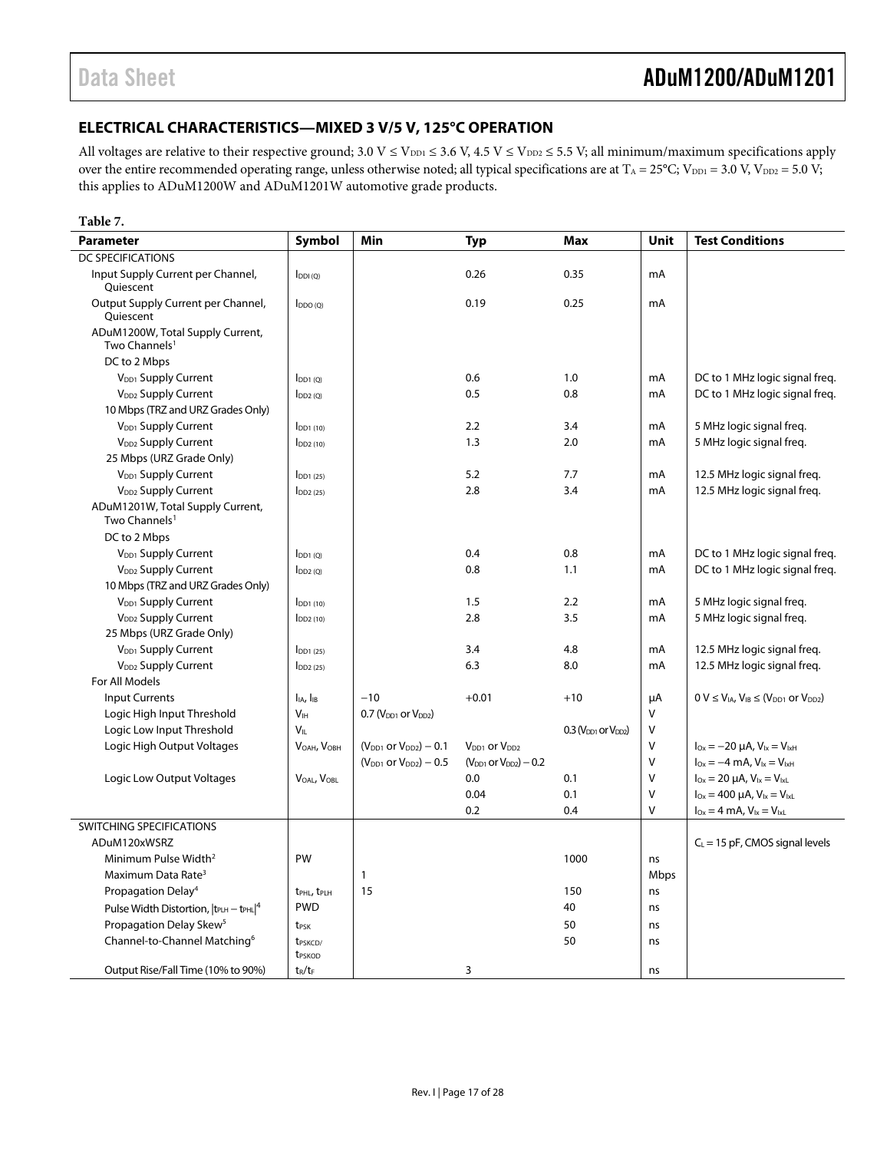### <span id="page-16-0"></span>**ELECTRICAL CHARACTERISTICS—MIXED 3 V/5 V, 125°C OPERATION**

All voltages are relative to their respective ground;  $3.0$  V  $\leq$  V<sub>DD1</sub>  $\leq$  3.6 V, 4.5 V  $\leq$  V<sub>DD2</sub>  $\leq$  5.5 V; all minimum/maximum specifications apply over the entire recommended operating range, unless otherwise noted; all typical specifications are at  $T_A = 25^{\circ}C$ ;  $V_{DD1} = 3.0$  V,  $V_{DD2} = 5.0$  V; this applies to ADuM1200W and ADuM1201W automotive grade products.

#### **Table 7.**

| <b>Parameter</b>                                              | Symbol                                   | Min                             | <b>Typ</b>                           | <b>Max</b>                 | Unit   | <b>Test Conditions</b>                                         |
|---------------------------------------------------------------|------------------------------------------|---------------------------------|--------------------------------------|----------------------------|--------|----------------------------------------------------------------|
| <b>DC SPECIFICATIONS</b>                                      |                                          |                                 |                                      |                            |        |                                                                |
| Input Supply Current per Channel,<br>Quiescent                | $I_{DDI(Q)}$                             |                                 | 0.26                                 | 0.35                       | mA     |                                                                |
| Output Supply Current per Channel,<br>Quiescent               | $I_{DDO(Q)}$                             |                                 | 0.19                                 | 0.25                       | mA     |                                                                |
| ADuM1200W, Total Supply Current,<br>Two Channels <sup>1</sup> |                                          |                                 |                                      |                            |        |                                                                |
| DC to 2 Mbps                                                  |                                          |                                 |                                      |                            |        |                                                                |
| V <sub>DD1</sub> Supply Current                               | $I_{DD1(0)}$                             |                                 | 0.6                                  | 1.0                        | mA     | DC to 1 MHz logic signal freq.                                 |
| V <sub>DD2</sub> Supply Current                               | $I_{DD2(0)}$                             |                                 | 0.5                                  | 0.8                        | mA     | DC to 1 MHz logic signal freq.                                 |
| 10 Mbps (TRZ and URZ Grades Only)                             |                                          |                                 |                                      |                            |        |                                                                |
| V <sub>DD1</sub> Supply Current                               | $I_{DD1(10)}$                            |                                 | 2.2                                  | 3.4                        | mA     | 5 MHz logic signal freg.                                       |
| V <sub>DD2</sub> Supply Current                               | $I_{DD2(10)}$                            |                                 | 1.3                                  | 2.0                        | mA     | 5 MHz logic signal freg.                                       |
| 25 Mbps (URZ Grade Only)                                      |                                          |                                 |                                      |                            |        |                                                                |
| V <sub>DD1</sub> Supply Current                               | $I_{DD1(25)}$                            |                                 | 5.2                                  | 7.7                        | mA     | 12.5 MHz logic signal freq.                                    |
| V <sub>DD2</sub> Supply Current                               | $I_{DD2(25)}$                            |                                 | 2.8                                  | 3.4                        | mA     | 12.5 MHz logic signal freq.                                    |
| ADuM1201W, Total Supply Current,<br>Two Channels <sup>1</sup> |                                          |                                 |                                      |                            |        |                                                                |
| DC to 2 Mbps                                                  |                                          |                                 |                                      |                            |        |                                                                |
| V <sub>DD1</sub> Supply Current                               | $I_{DD1(0)}$                             |                                 | 0.4                                  | 0.8                        | mA     | DC to 1 MHz logic signal freq.                                 |
| V <sub>DD2</sub> Supply Current                               | $I_{DD2(Q)}$                             |                                 | 0.8                                  | 1.1                        | mA     | DC to 1 MHz logic signal freq.                                 |
| 10 Mbps (TRZ and URZ Grades Only)                             |                                          |                                 |                                      |                            |        |                                                                |
| V <sub>DD1</sub> Supply Current                               | $I_{DD1(10)}$                            |                                 | 1.5                                  | 2.2                        | mA     | 5 MHz logic signal freg.                                       |
| V <sub>DD2</sub> Supply Current                               | $I_{DD2(10)}$                            |                                 | 2.8                                  | 3.5                        | mA     | 5 MHz logic signal freg.                                       |
| 25 Mbps (URZ Grade Only)                                      |                                          |                                 |                                      |                            |        |                                                                |
| V <sub>DD1</sub> Supply Current                               | $I_{DD1(25)}$                            |                                 | 3.4                                  | 4.8                        | mA     | 12.5 MHz logic signal freq.                                    |
| V <sub>DD2</sub> Supply Current                               | $I_{DD2(25)}$                            |                                 | 6.3                                  | 8.0                        | mA     | 12.5 MHz logic signal freq.                                    |
| For All Models                                                |                                          |                                 |                                      |                            |        |                                                                |
| <b>Input Currents</b>                                         | $I_{IA}$ , $I_{IB}$                      | $-10$                           | $+0.01$                              | $+10$                      | μA     | $0 V \leq V_{IA}$ , $V_{IB} \leq (V_{DD1}$ or $V_{DD2})$       |
| Logic High Input Threshold                                    | V <sub>IH</sub>                          | $0.7 (V_{DD1}$ or $V_{DD2})$    |                                      |                            | V      |                                                                |
| Logic Low Input Threshold                                     | VII                                      |                                 |                                      | $0.3$ ( $VDD1$ or $VDD2$ ) | V      |                                                                |
| Logic High Output Voltages                                    | VOAH, VOBH                               | $(V_{DD1}$ or $V_{DD2}$ ) – 0.1 | V <sub>DD1</sub> or V <sub>DD2</sub> |                            | V      | $I_{\text{Ox}} = -20 \mu A$ , $V_{\text{lx}} = V_{\text{lxH}}$ |
|                                                               |                                          | $(V_{DD1}$ or $V_{DD2}) - 0.5$  | $(V_{DD1}$ or $V_{DD2}$ ) – 0.2      |                            | V      | $I_{Ox} = -4$ mA, $V_{1x} = V_{1xH}$                           |
| Logic Low Output Voltages                                     | VOAL, VOBL                               |                                 | 0.0                                  | 0.1                        | V      | $I_{Ox} = 20 \mu A$ , $V_{1x} = V_{1xL}$                       |
|                                                               |                                          |                                 | 0.04                                 | 0.1                        | $\vee$ | $I_{Ox} = 400 \mu A$ , $V_{Ix} = V_{IxL}$                      |
|                                                               |                                          |                                 | 0.2                                  | 0.4                        | V      | $I_{Ox} = 4$ mA, $V_{1x} = V_{1xL}$                            |
| SWITCHING SPECIFICATIONS                                      |                                          |                                 |                                      |                            |        |                                                                |
| ADuM120xWSRZ                                                  |                                          |                                 |                                      |                            |        | $C_L$ = 15 pF, CMOS signal levels                              |
| Minimum Pulse Width <sup>2</sup>                              | PW                                       |                                 |                                      | 1000                       | ns     |                                                                |
| Maximum Data Rate <sup>3</sup>                                |                                          | $\mathbf{1}$                    |                                      |                            | Mbps   |                                                                |
| Propagation Delay <sup>4</sup>                                | t <sub>PHL</sub> , t <sub>PLH</sub>      | 15                              |                                      | 150                        | ns     |                                                                |
| Pulse Width Distortion, $ t_{\text{PLH}} - t_{\text{PHL}} ^4$ | <b>PWD</b>                               |                                 |                                      | 40                         | ns     |                                                                |
| Propagation Delay Skew <sup>5</sup>                           | t <sub>PSK</sub>                         |                                 |                                      | 50                         | ns     |                                                                |
| Channel-to-Channel Matching <sup>6</sup>                      | t <sub>PSKCD</sub><br>t <sub>PSKOD</sub> |                                 |                                      | 50                         | ns     |                                                                |
| Output Rise/Fall Time (10% to 90%)                            | $t_R/t_F$                                |                                 | 3                                    |                            | ns     |                                                                |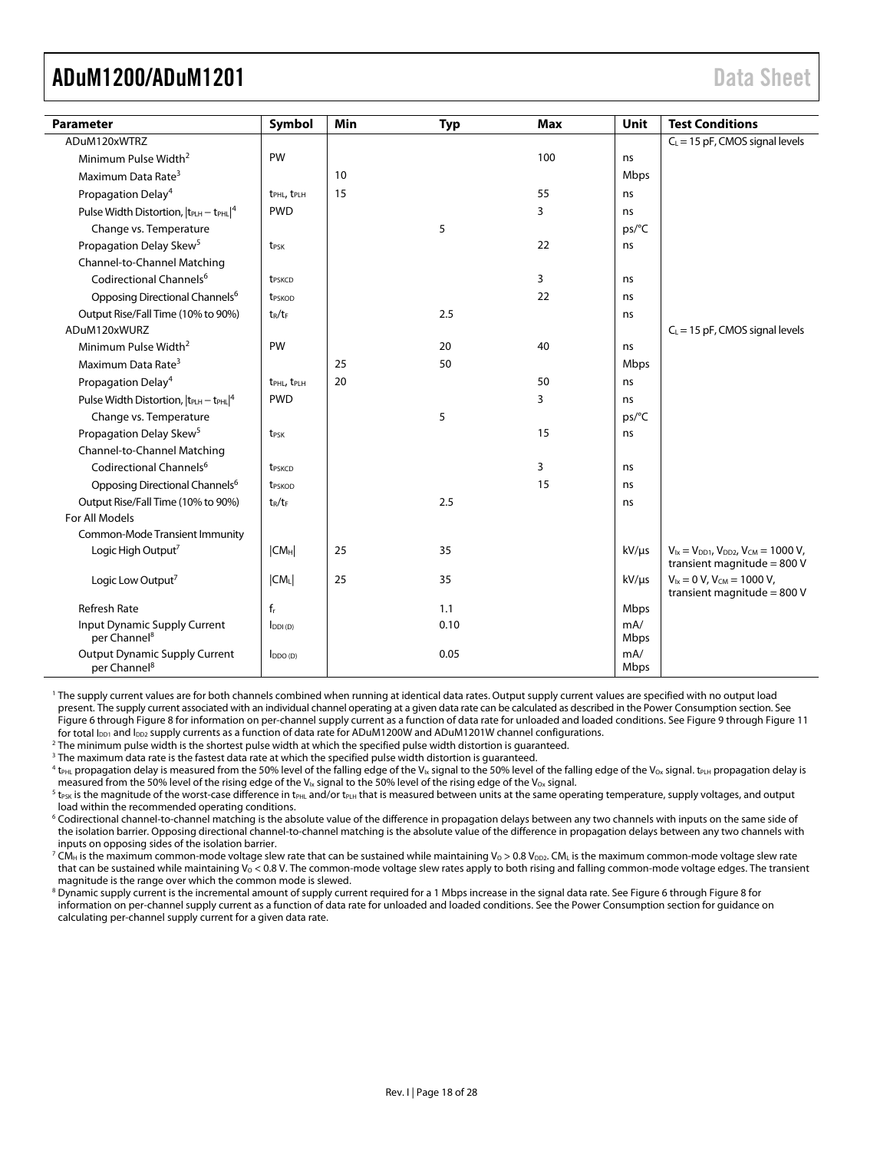<span id="page-17-0"></span>

| <b>Parameter</b>                                                 | Symbol                              | Min | <b>Typ</b> | <b>Max</b> | Unit        | <b>Test Conditions</b>                                                               |
|------------------------------------------------------------------|-------------------------------------|-----|------------|------------|-------------|--------------------------------------------------------------------------------------|
| ADuM120xWTRZ                                                     |                                     |     |            |            |             | $C_L$ = 15 pF, CMOS signal levels                                                    |
| Minimum Pulse Width <sup>2</sup>                                 | PW                                  |     |            | 100        | ns          |                                                                                      |
| Maximum Data Rate <sup>3</sup>                                   |                                     | 10  |            |            | Mbps        |                                                                                      |
| Propagation Delay <sup>4</sup>                                   | t <sub>PHL</sub> , t <sub>PLH</sub> | 15  |            | 55         | ns          |                                                                                      |
| Pulse Width Distortion, $ t_{PLH} - t_{PHL} ^4$                  | <b>PWD</b>                          |     |            | 3          | ns          |                                                                                      |
| Change vs. Temperature                                           |                                     |     | 5          |            | ps/°C       |                                                                                      |
| Propagation Delay Skew <sup>5</sup>                              | t <sub>PSK</sub>                    |     |            | 22         | ns          |                                                                                      |
| Channel-to-Channel Matching                                      |                                     |     |            |            |             |                                                                                      |
| Codirectional Channels <sup>6</sup>                              | t <sub>PSKCD</sub>                  |     |            | 3          | ns          |                                                                                      |
| Opposing Directional Channels <sup>6</sup>                       | t <sub>PSKOD</sub>                  |     |            | 22         | ns          |                                                                                      |
| Output Rise/Fall Time (10% to 90%)                               | $t_R/t_F$                           |     | 2.5        |            | ns          |                                                                                      |
| ADuM120xWURZ                                                     |                                     |     |            |            |             | $C_L$ = 15 pF, CMOS signal levels                                                    |
| Minimum Pulse Width <sup>2</sup>                                 | PW                                  |     | 20         | 40         | ns          |                                                                                      |
| Maximum Data Rate <sup>3</sup>                                   |                                     | 25  | 50         |            | Mbps        |                                                                                      |
| Propagation Delay <sup>4</sup>                                   | t <sub>PHL</sub> , t <sub>PLH</sub> | 20  |            | 50         | ns          |                                                                                      |
| Pulse Width Distortion, $ t_{PLH} - t_{PHL} ^4$                  | <b>PWD</b>                          |     |            | 3          | ns          |                                                                                      |
| Change vs. Temperature                                           |                                     |     | 5          |            | ps/°C       |                                                                                      |
| Propagation Delay Skew <sup>5</sup>                              | t <sub>PSK</sub>                    |     |            | 15         | ns          |                                                                                      |
| Channel-to-Channel Matching                                      |                                     |     |            |            |             |                                                                                      |
| Codirectional Channels <sup>6</sup>                              | t <sub>PSKCD</sub>                  |     |            | 3          | ns          |                                                                                      |
| Opposing Directional Channels <sup>6</sup>                       | t <sub>PSKOD</sub>                  |     |            | 15         | ns          |                                                                                      |
| Output Rise/Fall Time (10% to 90%)                               | $t_R/t_F$                           |     | 2.5        |            | ns          |                                                                                      |
| For All Models                                                   |                                     |     |            |            |             |                                                                                      |
| Common-Mode Transient Immunity                                   |                                     |     |            |            |             |                                                                                      |
| Logic High Output <sup>7</sup>                                   | CM <sub>H</sub>                     | 25  | 35         |            | $kV/\mu s$  | $V_{1x} = V_{DD1}$ , $V_{DD2}$ , $V_{CM} = 1000 V$ ,<br>transient magnitude = $800V$ |
| Logic Low Output <sup>7</sup>                                    | $ CM_L $                            | 25  | 35         |            | $kV/\mu s$  | $V_{ix} = 0 V$ , $V_{CM} = 1000 V$ ,<br>transient magnitude = $800$ V                |
| <b>Refresh Rate</b>                                              | $f_r$                               |     | 1.1        |            | Mbps        |                                                                                      |
| Input Dynamic Supply Current<br>per Channel <sup>8</sup>         | $I_{DDI(D)}$                        |     | 0.10       |            | mA/<br>Mbps |                                                                                      |
| <b>Output Dynamic Supply Current</b><br>per Channel <sup>8</sup> | $I_{DDO(D)}$                        |     | 0.05       |            | mA/<br>Mbps |                                                                                      |

1 The supply current values are for both channels combined when running at identical data rates. Output supply current values are specified with no output load present. The supply current associated with an individual channel operating at a given data rate can be calculated as described in the [Power Consumption section.](#page-24-1) See [Figure 6 th](#page-22-1)roug[h Figure 8](#page-22-1) for information on per-channel supply current as a function of data rate for unloaded and loaded conditions. See [Figure 9 t](#page-22-1)hrough [Figure 11](#page-22-1)  for total  $I_{DD1}$  and  $I_{DD2}$  supply currents as a function of data rate for ADuM1200W and ADuM1201W channel configurations.

<sup>2</sup> The minimum pulse width is the shortest pulse width at which the specified pulse width distortion is quaranteed.

<sup>3</sup> The maximum data rate is the fastest data rate at which the specified pulse width distortion is guaranteed.

 $^4$  t<sub>PHL</sub> propagation delay is measured from the 50% level of the falling edge of the V<sub>Ix</sub> signal to the 50% level of the falling edge of the V<sub>Ox</sub> signal. t<sub>PLH</sub> propagation delay is measured from the 50% level of the rising edge of the V<sub>Ix</sub> signal to the 50% level of the rising edge of the V<sub>Ox</sub> signal.

<sup>5</sup> t<sub>PSK</sub> is the magnitude of the worst-case difference in t<sub>PHL</sub> and/or t<sub>PLH</sub> that is measured between units at the same operating temperature, supply voltages, and output load within the recommended operating conditions.

6 Codirectional channel-to-channel matching is the absolute value of the difference in propagation delays between any two channels with inputs on the same side of the isolation barrier. Opposing directional channel-to-channel matching is the absolute value of the difference in propagation delays between any two channels with inputs on opposing sides of the isolation barrier.

 $^7$  CM $_{\rm H}$  is the maximum common-mode voltage slew rate that can be sustained while maintaining Vo > 0.8 V $_{\rm DD2}$ . CM $_{\rm L}$  is the maximum common-mode voltage slew rate that can be sustained while maintaining  $V_0 < 0.8$  V. The common-mode voltage slew rates apply to both rising and falling common-mode voltage edges. The transient magnitude is the range over which the common mode is slewed.

 $^8$  Dynamic supply current is the incremental amount of supply current required for a 1 Mbps increase in the signal data rate. See [Figure 6 t](#page-22-1)hroug[h Figure 8](#page-22-1) for information on per-channel supply current as a function of data rate for unloaded and loaded conditions. See the [Power Consumption section f](#page-24-1)or guidance on calculating per-channel supply current for a given data rate.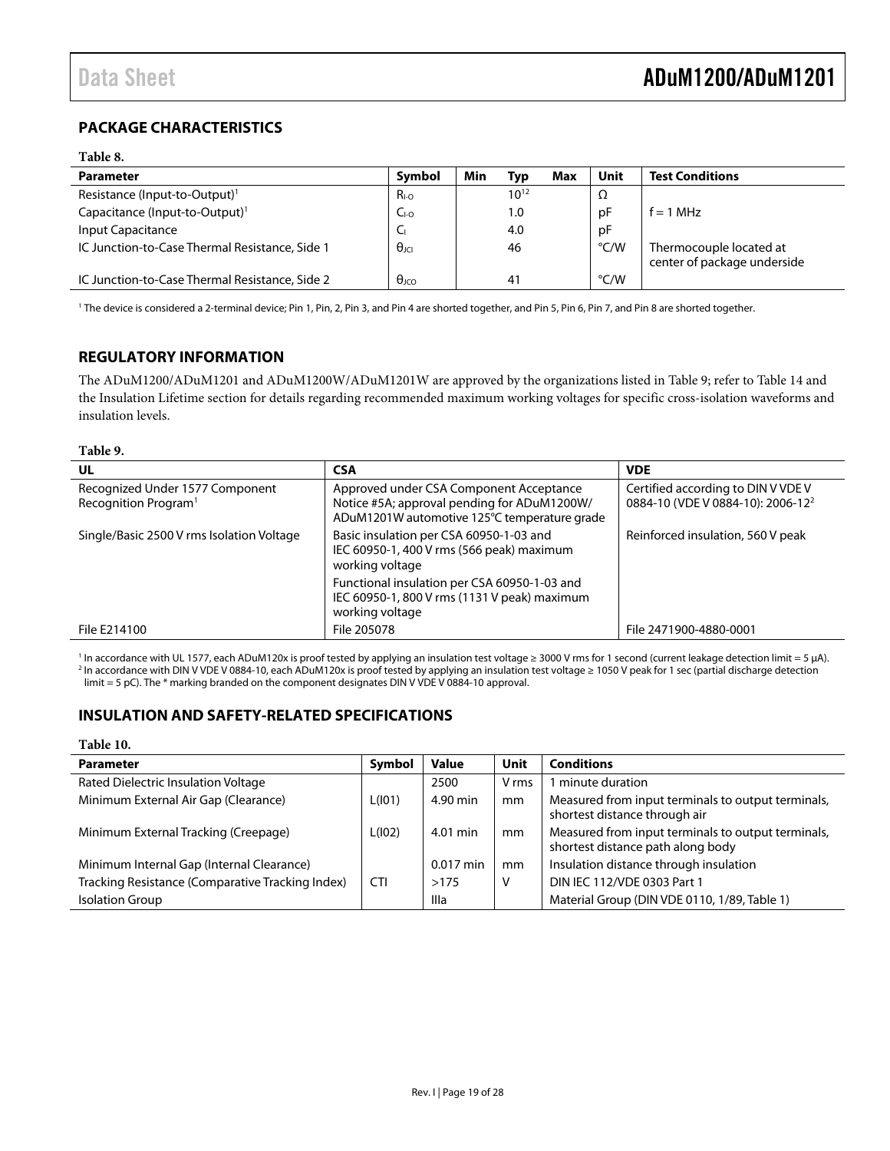### <span id="page-18-0"></span>**PACKAGE CHARACTERISTICS**

#### **Table 8.**

| <b>Parameter</b>                               | Symbol                | Min | Tvp            | Max | Unit | <b>Test Conditions</b>                                 |
|------------------------------------------------|-----------------------|-----|----------------|-----|------|--------------------------------------------------------|
| Resistance (Input-to-Output) <sup>1</sup>      | $R_{I-O}$             |     | $10^{12}$      |     | Ω    |                                                        |
| Capacitance (Input-to-Output) <sup>1</sup>     | $CI-O$                |     | 1.0            |     | рF   | $f = 1$ MHz                                            |
| Input Capacitance                              | └                     |     | 4.0            |     | рF   |                                                        |
| IC Junction-to-Case Thermal Resistance, Side 1 | $\theta_{\text{JCI}}$ |     | 46             |     | °C/W | Thermocouple located at<br>center of package underside |
| IC Junction-to-Case Thermal Resistance, Side 2 | $\theta$ JCO          |     | 4 <sup>1</sup> |     | °C/W |                                                        |

1 The device is considered a 2-terminal device; Pin 1, Pin, 2, Pin 3, and Pin 4 are shorted together, and Pin 5, Pin 6, Pin 7, and Pin 8 are shorted together.

### **REGULATORY INFORMATION**

The ADuM1200/ADuM1201 and ADuM1200W/ADuM1201W are approved by the organizations listed in [Table 9](#page-18-1); refer to [Table 14](#page-20-1) and the [Insulation Lifetime](#page-25-1) section for details regarding recommended maximum working voltages for specific cross-isolation waveforms and insulation levels.

### **Table 9.**

<span id="page-18-1"></span>

| UL                                                                  | <b>CSA</b>                                                                                                                             | <b>VDE</b>                                                                          |
|---------------------------------------------------------------------|----------------------------------------------------------------------------------------------------------------------------------------|-------------------------------------------------------------------------------------|
| Recognized Under 1577 Component<br>Recognition Program <sup>1</sup> | Approved under CSA Component Acceptance<br>Notice #5A; approval pending for ADuM1200W/<br>ADuM1201W automotive 125°C temperature grade | Certified according to DIN V VDE V<br>0884-10 (VDE V 0884-10): 2006-12 <sup>2</sup> |
| Single/Basic 2500 V rms Isolation Voltage                           | Basic insulation per CSA 60950-1-03 and<br>IEC 60950-1, 400 V rms (566 peak) maximum<br>working voltage                                | Reinforced insulation, 560 V peak                                                   |
|                                                                     | Functional insulation per CSA 60950-1-03 and<br>IEC 60950-1, 800 V rms (1131 V peak) maximum<br>working voltage                        |                                                                                     |
| File E214100                                                        | File 205078                                                                                                                            | File 2471900-4880-0001                                                              |

<sup>1</sup> In accordance with UL 1577, each ADuM120x is proof tested by applying an insulation test voltage ≥ 3000 V rms for 1 second (current leakage detection limit = 5 μA).<br><sup>2</sup> In accordance with DIN V VDE V 0884-10, each AD In accordance with DIN V VDE V 0884-10, each ADuM120x is proof tested by applying an insulation test voltage ≥ 1050 V peak for 1 sec (partial discharge detection limit = 5 pC). The \* marking branded on the component designates DIN V VDE V 0884-10 approval.

### **INSULATION AND SAFETY-RELATED SPECIFICATIONS**

### **Table 10.**

| <b>Parameter</b>                                 | Symbol | Value       | Unit  | <b>Conditions</b>                                                                       |
|--------------------------------------------------|--------|-------------|-------|-----------------------------------------------------------------------------------------|
| Rated Dielectric Insulation Voltage              |        | 2500        | V rms | minute duration                                                                         |
| Minimum External Air Gap (Clearance)             | L(101) | 4.90 min    | mm    | Measured from input terminals to output terminals,<br>shortest distance through air     |
| Minimum External Tracking (Creepage)             | L(102) | 4.01 min    | mm    | Measured from input terminals to output terminals,<br>shortest distance path along body |
| Minimum Internal Gap (Internal Clearance)        |        | $0.017$ min | mm    | Insulation distance through insulation                                                  |
| Tracking Resistance (Comparative Tracking Index) | CTI    | >175        | V     | DIN IEC 112/VDE 0303 Part 1                                                             |
| <b>Isolation Group</b>                           |        | Illa        |       | Material Group (DIN VDE 0110, 1/89, Table 1)                                            |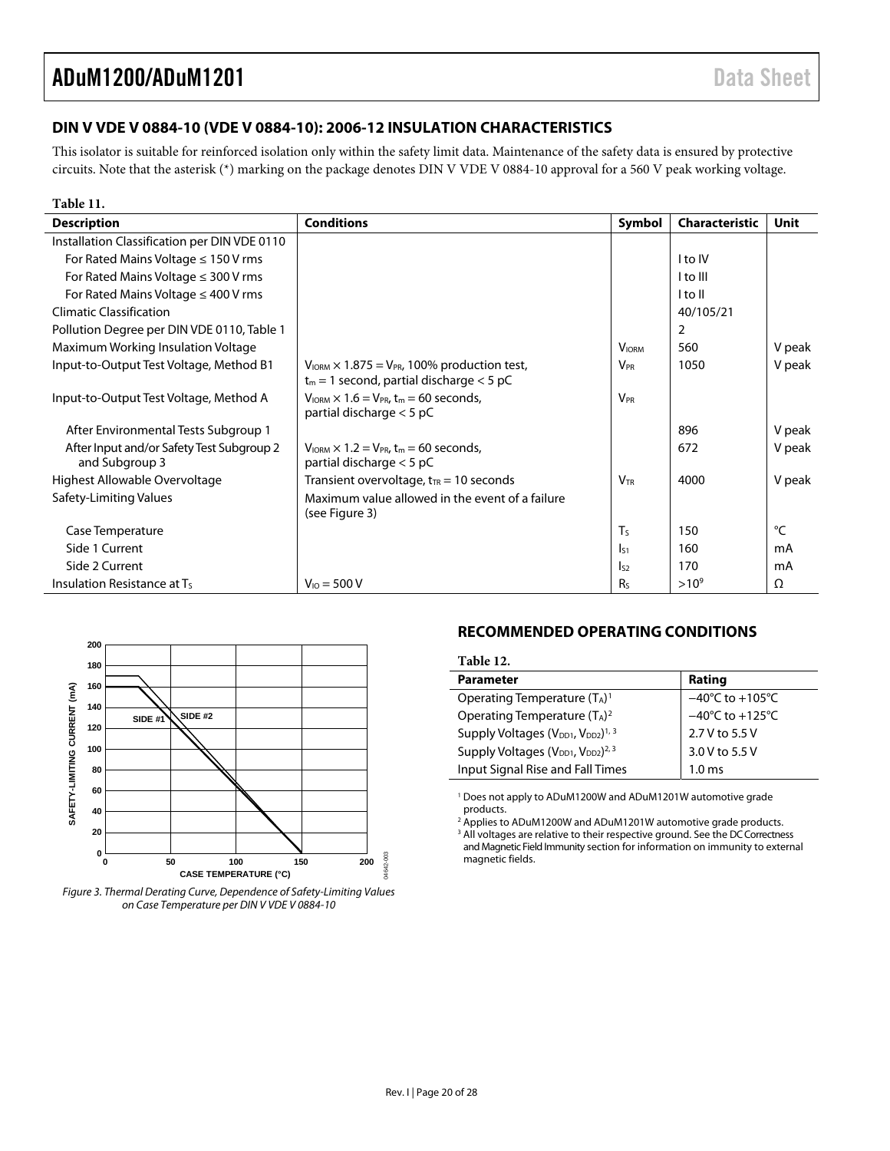### <span id="page-19-2"></span><span id="page-19-0"></span>**DIN V VDE V 0884-10 (VDE V 0884-10): 2006-12 INSULATION CHARACTERISTICS**

This isolator is suitable for reinforced isolation only within the safety limit data. Maintenance of the safety data is ensured by protective circuits. Note that the asterisk (\*) marking on the package denotes DIN V VDE V 0884-10 approval for a 560 V peak working voltage.

| Table 11.                                                   |                                                                                                         |                        |                       |        |
|-------------------------------------------------------------|---------------------------------------------------------------------------------------------------------|------------------------|-----------------------|--------|
| <b>Description</b>                                          | <b>Conditions</b>                                                                                       | Symbol                 | <b>Characteristic</b> | Unit   |
| Installation Classification per DIN VDE 0110                |                                                                                                         |                        |                       |        |
| For Rated Mains Voltage $\leq 150$ V rms                    |                                                                                                         |                        | I to IV               |        |
| For Rated Mains Voltage $\leq$ 300 V rms                    |                                                                                                         |                        | I to III              |        |
| For Rated Mains Voltage $\leq$ 400 V rms                    |                                                                                                         |                        | l to Il               |        |
| <b>Climatic Classification</b>                              |                                                                                                         |                        | 40/105/21             |        |
| Pollution Degree per DIN VDE 0110, Table 1                  |                                                                                                         |                        | 2                     |        |
| Maximum Working Insulation Voltage                          |                                                                                                         | <b>VIORM</b>           | 560                   | V peak |
| Input-to-Output Test Voltage, Method B1                     | $V_{IORM}$ × 1.875 = $V_{PR}$ , 100% production test,                                                   | $V_{PR}$               | 1050                  | V peak |
|                                                             | $t_m = 1$ second, partial discharge < 5 pC                                                              |                        |                       |        |
| Input-to-Output Test Voltage, Method A                      | $V_{\text{IORM}} \times 1.6 = V_{\text{PR}} t_{\text{m}} = 60$ seconds,<br>partial discharge $<$ 5 pC   | <b>V<sub>PR</sub></b>  |                       |        |
| After Environmental Tests Subgroup 1                        |                                                                                                         |                        | 896                   | V peak |
| After Input and/or Safety Test Subgroup 2<br>and Subgroup 3 | $V_{\text{IORM}} \times 1.2 = V_{\text{PR}}$ , t <sub>m</sub> = 60 seconds,<br>partial discharge < 5 pC |                        | 672                   | V peak |
| Highest Allowable Overvoltage                               | Transient overvoltage, $t_{TR}$ = 10 seconds                                                            | <b>V</b> <sub>TR</sub> | 4000                  | V peak |
| Safety-Limiting Values                                      | Maximum value allowed in the event of a failure<br>(see Figure 3)                                       |                        |                       |        |
| Case Temperature                                            |                                                                                                         | T <sub>S</sub>         | 150                   | °C     |
| Side 1 Current                                              |                                                                                                         |                        | 160                   | mA     |
|                                                             |                                                                                                         | $\mathsf{I}_{51}$      |                       |        |
| Side 2 Current                                              |                                                                                                         | $I_{52}$               | 170                   | mA     |
| Insulation Resistance at Ts                                 | $V_{10} = 500 V$                                                                                        | Rs                     | $>10^{9}$             | Ω      |



<span id="page-19-1"></span>

### **RECOMMENDED OPERATING CONDITIONS**

| Table 12.                                                              |                                     |
|------------------------------------------------------------------------|-------------------------------------|
| <b>Parameter</b>                                                       | Rating                              |
| Operating Temperature $(T_A)^1$                                        | $-40^{\circ}$ C to $+105^{\circ}$ C |
| Operating Temperature $(T_A)^2$                                        | $-40^{\circ}$ C to $+125^{\circ}$ C |
| Supply Voltages (V <sub>DD1</sub> , V <sub>DD2</sub> ) <sup>1, 3</sup> | 2.7 V to 5.5 V                      |
| Supply Voltages (V <sub>DD1</sub> , V <sub>DD2</sub> ) <sup>2, 3</sup> | 3.0 V to 5.5 V                      |
| Input Signal Rise and Fall Times                                       | 1.0 ms                              |

<sup>1</sup> Does not apply to ADuM1200W and ADuM1201W automotive grade products.

<sup>2</sup> Applies to ADuM1200W and ADuM1201W automotive grade products.<br><sup>3</sup> All voltages are relative to their respective ground. See the DC Correctne

<sup>3</sup> All voltages are relative to their respective ground. See the DC Correctness [and Magnetic Field Immunity section](#page-23-1) for information on immunity to external magnetic fields.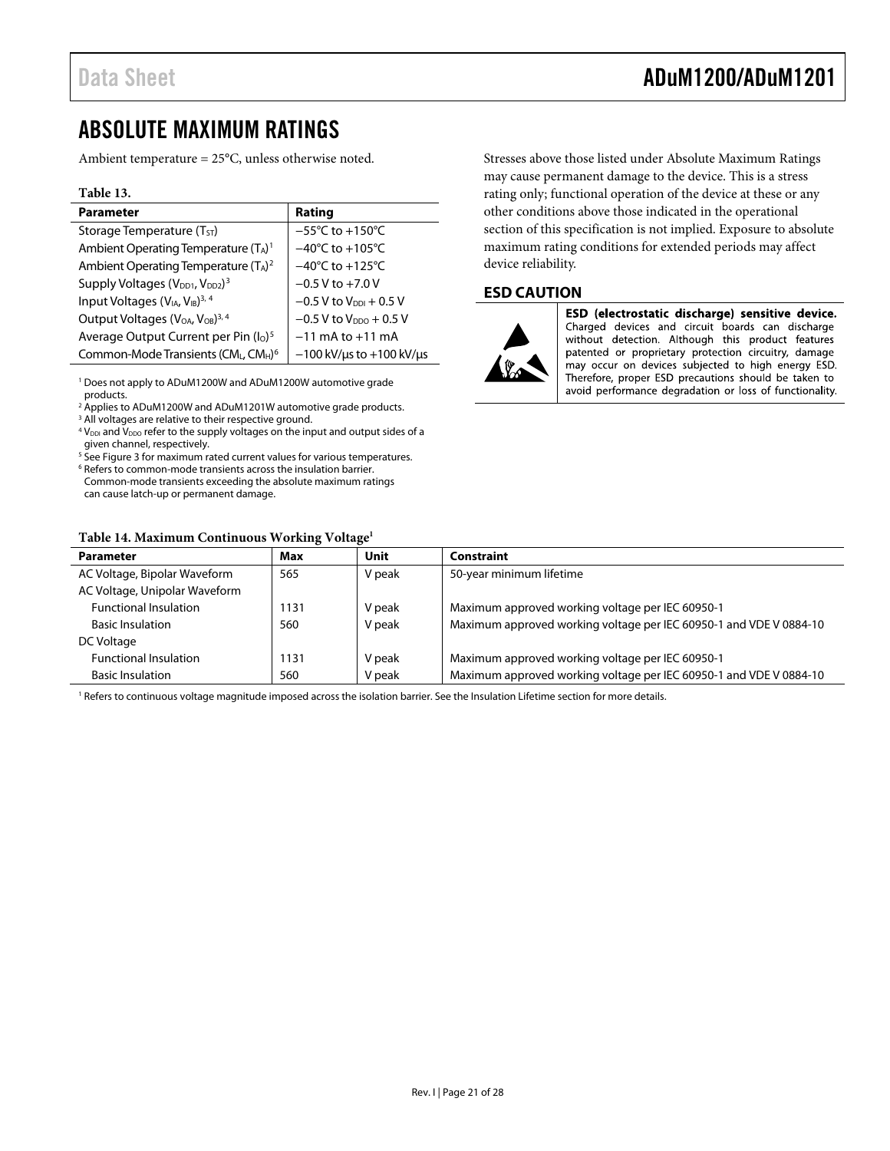### <span id="page-20-1"></span><span id="page-20-0"></span>ABSOLUTE MAXIMUM RATINGS

Ambient temperature = 25°C, unless otherwise noted.

### **Table 13.**

| <b>Parameter</b>                                                     | Rating                                 |
|----------------------------------------------------------------------|----------------------------------------|
| Storage Temperature $(T_{ST})$                                       | $-55^{\circ}$ C to +150 $^{\circ}$ C   |
| Ambient Operating Temperature (TA) <sup>1</sup>                      | $-40^{\circ}$ C to $+105^{\circ}$ C    |
| Ambient Operating Temperature (TA) <sup>2</sup>                      | $-40^{\circ}$ C to +125 $^{\circ}$ C   |
| Supply Voltages (V <sub>DD1</sub> , V <sub>DD2</sub> ) <sup>3</sup>  | $-0.5 V$ to $+7.0 V$                   |
| Input Voltages (V <sub>IA</sub> , V <sub>IB</sub> ) <sup>3, 4</sup>  | $-0.5$ V to $V_{\text{DDI}} + 0.5$ V   |
| Output Voltages (V <sub>OA</sub> , V <sub>OB</sub> ) <sup>3, 4</sup> | $-0.5$ V to $V_{DDO}$ + 0.5 V          |
| Average Output Current per Pin (I <sub>o</sub> ) <sup>5</sup>        | $-11$ mA to $+11$ mA                   |
| Common-Mode Transients (CML, CMH) <sup>6</sup>                       | $-100$ kV/ $\mu$ s to +100 kV/ $\mu$ s |

1 Does not apply to ADuM1200W and ADuM1200W automotive grade products.

<sup>2</sup> Applies to ADuM1200W and ADuM1201W automotive grade products.<br><sup>3</sup> All voltages are relative to their respective ground

<sup>3</sup> All voltages are relative to their respective ground.  $4$  V<sub>DDI</sub> and V<sub>DDO</sub> refer to the supply voltages on the input and output sides of a

given channel, respectively. <sup>5</sup> See [Figure 3](#page-19-2) for maximum rated current values for various temperatures.

<sup>6</sup> Refers to common-mode transients across the insulation barrier.

Common-mode transients exceeding the absolute maximum ratings can cause latch-up or permanent damage.

### **Table 14. Maximum Continuous Working Voltage1**

Stresses above those listed under Absolute Maximum Ratings may cause permanent damage to the device. This is a stress rating only; functional operation of the device at these or any other conditions above those indicated in the operational section of this specification is not implied. Exposure to absolute maximum rating conditions for extended periods may affect device reliability.

### **ESD CAUTION**



ESD (electrostatic discharge) sensitive device. Charged devices and circuit boards can discharge without detection. Although this product features patented or proprietary protection circuitry, damage may occur on devices subjected to high energy ESD. Therefore, proper ESD precautions should be taken to avoid performance degradation or loss of functionality.

<span id="page-20-2"></span>

| Table 14. Maximum Continuous Working Voltage |      |        |                                                                    |  |  |  |
|----------------------------------------------|------|--------|--------------------------------------------------------------------|--|--|--|
| <b>Parameter</b>                             | Max  | Unit   | Constraint                                                         |  |  |  |
| AC Voltage, Bipolar Waveform                 | 565  | V peak | 50-year minimum lifetime                                           |  |  |  |
| AC Voltage, Unipolar Waveform                |      |        |                                                                    |  |  |  |
| <b>Functional Insulation</b>                 | 1131 | V peak | Maximum approved working voltage per IEC 60950-1                   |  |  |  |
| <b>Basic Insulation</b>                      | 560  | V peak | Maximum approved working voltage per IEC 60950-1 and VDE V 0884-10 |  |  |  |
| DC Voltage                                   |      |        |                                                                    |  |  |  |
| <b>Functional Insulation</b>                 | 1131 | V peak | Maximum approved working voltage per IEC 60950-1                   |  |  |  |
| <b>Basic Insulation</b>                      | 560  | V peak | Maximum approved working voltage per IEC 60950-1 and VDE V 0884-10 |  |  |  |

1 Refers to continuous voltage magnitude imposed across the isolation barrier. See the [Insulation Lifetime](#page-25-1) section for more details.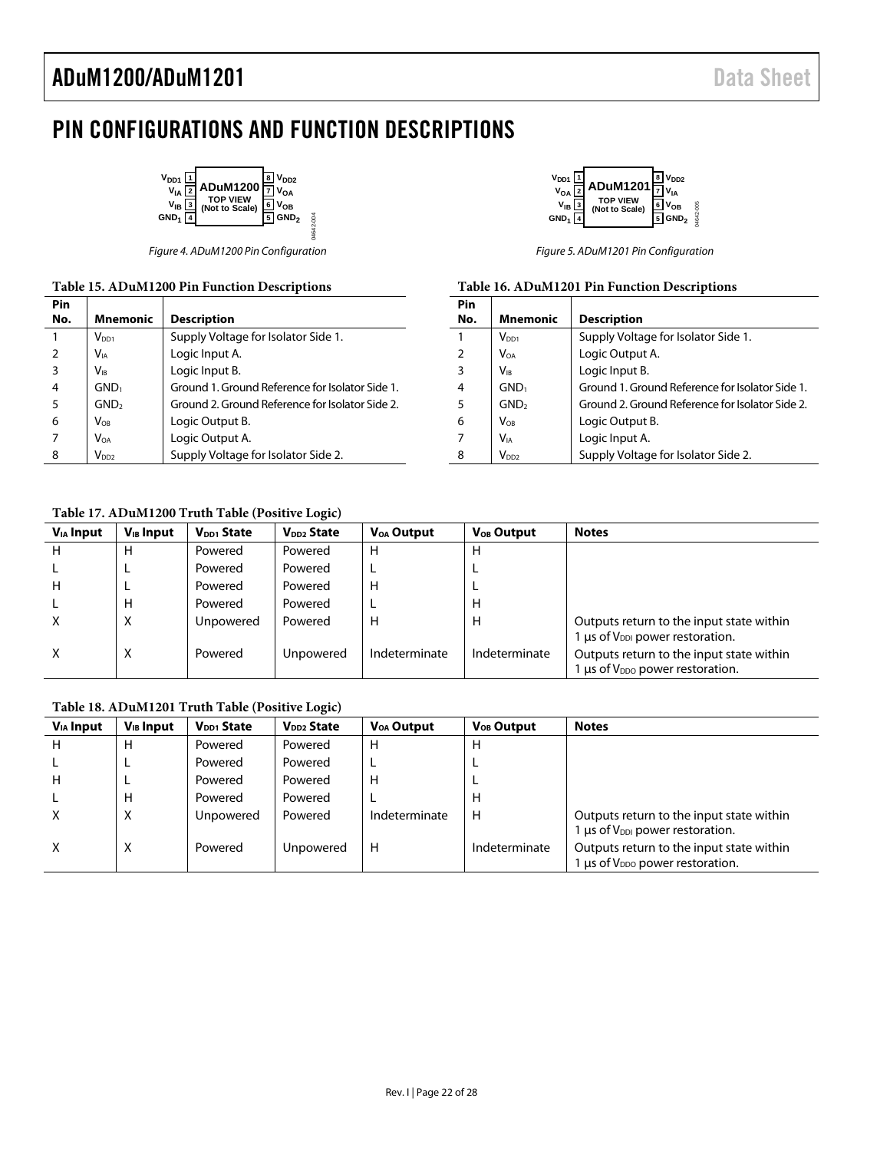## <span id="page-21-0"></span>PIN CONFIGURATIONS AND FUNCTION DESCRIPTIONS

04642-004

04642-004

| $V_{DD1}$ $1$<br>V <sub>DD2</sub><br><b>ADuM1200</b><br>$V_{IA}$<br>V <sub>OA</sub><br>TOP VIEW<br>(Not to Scale)<br>$V_{IB}$ $3$<br>V <sub>OR</sub><br>GND <sub>1</sub><br>GND <sub>2</sub> |
|----------------------------------------------------------------------------------------------------------------------------------------------------------------------------------------------|
|----------------------------------------------------------------------------------------------------------------------------------------------------------------------------------------------|

Figure 4. ADuM1200 Pin Configuration Figure 5. ADuM1201 Pin Configuration

### **Table 15. ADuM1200 Pin Function Descriptions**

| Pin            |                            |                                                 |
|----------------|----------------------------|-------------------------------------------------|
| No.            | <b>Mnemonic</b>            | <b>Description</b>                              |
| 1              | $V_{DD1}$                  | Supply Voltage for Isolator Side 1.             |
| $\overline{2}$ | <b>V</b> <sub>IA</sub>     | Logic Input A.                                  |
| 3              | $\mathsf{V}_{\textsf{IB}}$ | Logic Input B.                                  |
| 4              | GND <sub>1</sub>           | Ground 1. Ground Reference for Isolator Side 1. |
| 5              | GND <sub>2</sub>           | Ground 2. Ground Reference for Isolator Side 2. |
| 6              | $\mathsf{V}_{\texttt{OB}}$ | Logic Output B.                                 |
| 7              | $V_{OA}$                   | Logic Output A.                                 |
| 8              | $V_{DD2}$                  | Supply Voltage for Isolator Side 2.             |

### **Table 17. ADuM1200 Truth Table (Positive Logic)**



### **Table 16. ADuM1201 Pin Function Descriptions**

| Pin<br>No. | <b>Mnemonic</b>                                | <b>Description</b>                              |
|------------|------------------------------------------------|-------------------------------------------------|
|            | $V_{DD1}$                                      | Supply Voltage for Isolator Side 1.             |
|            | Voa                                            | Logic Output A.                                 |
|            | $\mathsf{V}_{\scriptscriptstyle{\mathsf{IR}}}$ | Logic Input B.                                  |
|            | GND <sub>1</sub>                               | Ground 1. Ground Reference for Isolator Side 1. |
| -5         | GND <sub>2</sub>                               | Ground 2. Ground Reference for Isolator Side 2. |
| 6          | $\mathsf{V}_{\texttt{OB}}$                     | Logic Output B.                                 |
|            | V <sub>IA</sub>                                | Logic Input A.                                  |
| 8          | V <sub>DD2</sub>                               | Supply Voltage for Isolator Side 2.             |

<span id="page-21-1"></span>

| $V_{IA}$ Input | $V_{IB}$ Input | V <sub>DD1</sub> State | V <sub>DD2</sub> State | <b>V<sub>OA</sub></b> Output | V <sub>OB</sub> Output | <b>Notes</b>                                     |
|----------------|----------------|------------------------|------------------------|------------------------------|------------------------|--------------------------------------------------|
| H              | н              | Powered                | Powered                | H                            | н                      |                                                  |
|                |                | Powered                | Powered                |                              |                        |                                                  |
| H              |                | Powered                | Powered                | H                            |                        |                                                  |
|                | н              | Powered                | Powered                |                              | н                      |                                                  |
| x              | X              | Unpowered              | Powered                | H                            | Н                      | Outputs return to the input state within         |
|                |                |                        |                        |                              |                        | 1 $\mu$ s of V <sub>DDI</sub> power restoration. |
| X              | X              | Powered                | Unpowered              | Indeterminate                | Indeterminate          | Outputs return to the input state within         |
|                |                |                        |                        |                              |                        | us of $V_{DDQ}$ power restoration.               |

### **Table 18. ADuM1201 Truth Table (Positive Logic)**

<span id="page-21-2"></span>

|                |                |                 |                        |                        |                        | <b>Notes</b>                                                                                 |
|----------------|----------------|-----------------|------------------------|------------------------|------------------------|----------------------------------------------------------------------------------------------|
| $V_{IA}$ Input | $V_{IB}$ Input | $V_{DD1}$ State | V <sub>DD2</sub> State | V <sub>OA</sub> Output | V <sub>OB</sub> Output |                                                                                              |
|                | н              | Powered         | Powered                | H                      | н                      |                                                                                              |
|                |                | Powered         | Powered                |                        |                        |                                                                                              |
| н              |                | Powered         | Powered                | н                      |                        |                                                                                              |
|                | н              | Powered         | Powered                |                        | н                      |                                                                                              |
| x              | X              | Unpowered       | Powered                | Indeterminate          | H                      | Outputs return to the input state within<br>1 $\mu$ s of V <sub>DDI</sub> power restoration. |
| х              | X              | Powered         | Unpowered              | H                      | Indeterminate          | Outputs return to the input state within<br>$\mu$ s of V <sub>DDO</sub> power restoration.   |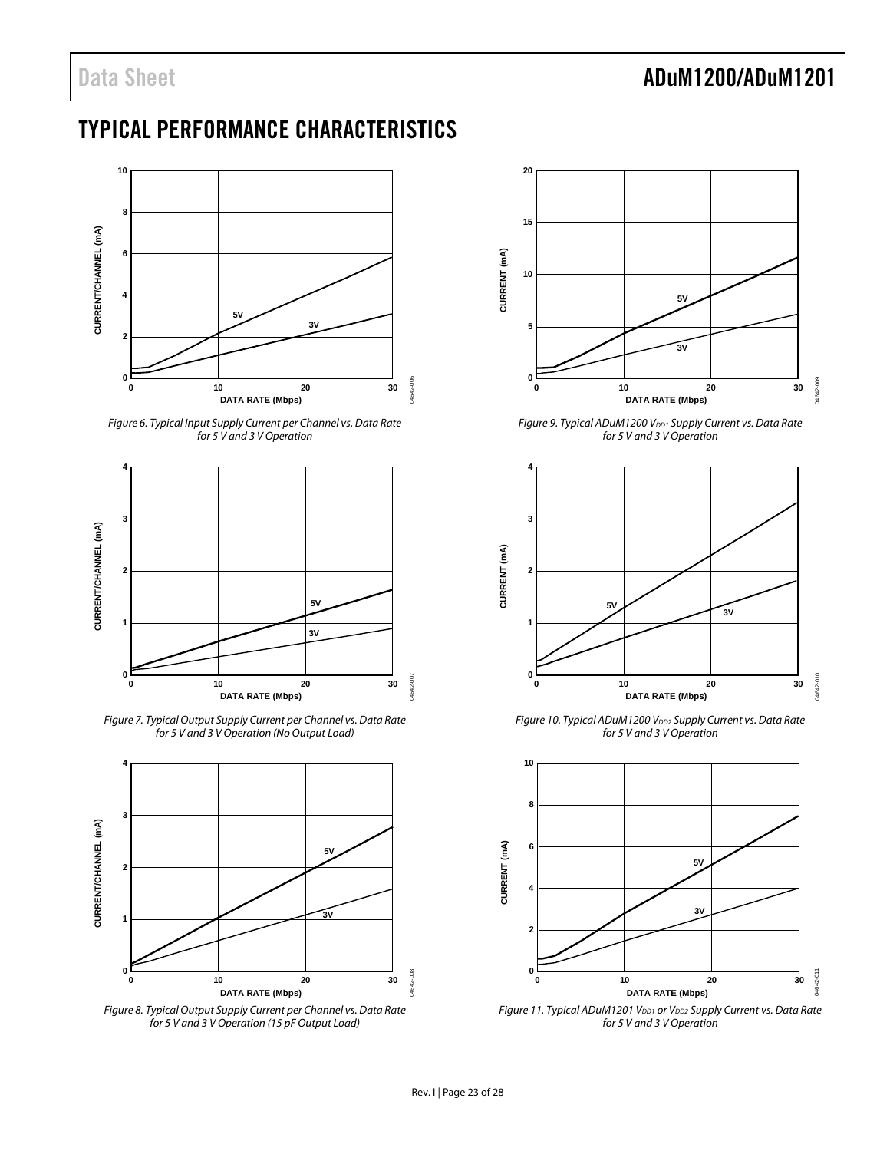### <span id="page-22-1"></span><span id="page-22-0"></span>TYPICAL PERFORMANCE CHARACTERISTICS



Figure 6. Typical Input Supply Current per Channel vs. Data Rate for 5 V and 3 V Operation

<span id="page-22-2"></span>

Figure 7. Typical Output Supply Current per Channel vs. Data Rate for 5 V and 3 V Operation (No Output Load)

<span id="page-22-3"></span>

<span id="page-22-4"></span>Figure 8. Typical Output Supply Current per Channel vs. Data Rate for 5 V and 3 V Operation (15 pF Output Load)



Figure 9. Typical ADuM1200 V<sub>DD1</sub> Supply Current vs. Data Rate for 5 V and 3 V Operation



Figure 10. Typical ADuM1200 V<sub>DD2</sub> Supply Current vs. Data Rate for 5 V and 3 V Operation



Figure 11. Typical ADuM1201 VDD1 or VDD2 Supply Current vs. Data Rate for 5 V and 3 V Operation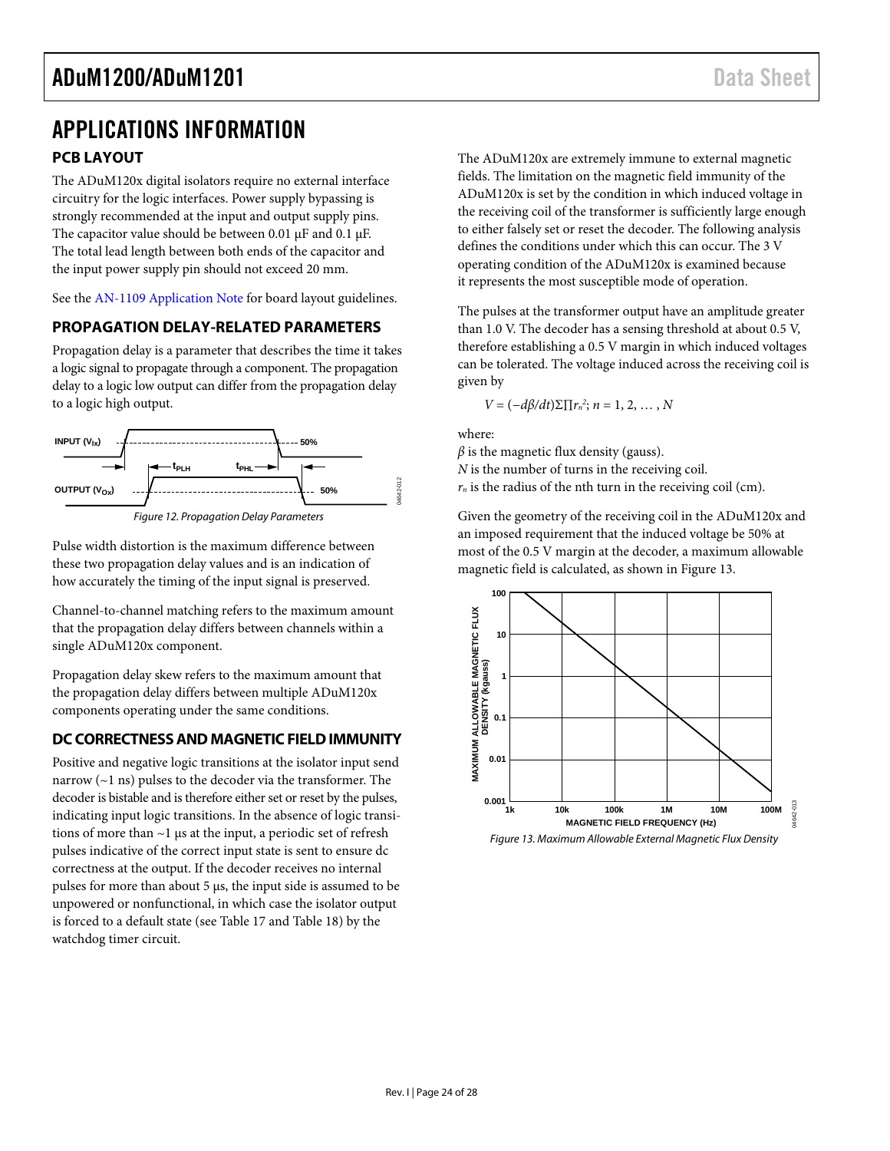### <span id="page-23-1"></span><span id="page-23-0"></span>APPLICATIONS INFORMATION **PCB LAYOUT**

The ADuM120x digital isolators require no external interface circuitry for the logic interfaces. Power supply bypassing is strongly recommended at the input and output supply pins. The capacitor value should be between 0.01 μF and 0.1 μF. The total lead length between both ends of the capacitor and the input power supply pin should not exceed 20 mm.

See the [AN-1109 Application Note](http://www.analog.com/AN-1109) for board layout guidelines.

### **PROPAGATION DELAY-RELATED PARAMETERS**

Propagation delay is a parameter that describes the time it takes a logic signal to propagate through a component. The propagation delay to a logic low output can differ from the propagation delay to a logic high output.



Pulse width distortion is the maximum difference between these two propagation delay values and is an indication of how accurately the timing of the input signal is preserved.

Channel-to-channel matching refers to the maximum amount that the propagation delay differs between channels within a single ADuM120x component.

Propagation delay skew refers to the maximum amount that the propagation delay differs between multiple ADuM120x components operating under the same conditions.

### **DC CORRECTNESS AND MAGNETIC FIELD IMMUNITY**

<span id="page-23-2"></span>Positive and negative logic transitions at the isolator input send narrow (~1 ns) pulses to the decoder via the transformer. The decoder is bistable and is therefore either set or reset by the pulses, indicating input logic transitions. In the absence of logic transitions of more than ~1 μs at the input, a periodic set of refresh pulses indicative of the correct input state is sent to ensure dc correctness at the output. If the decoder receives no internal pulses for more than about 5 μs, the input side is assumed to be unpowered or nonfunctional, in which case the isolator output is forced to a default state (see [Table 17](#page-21-1) and [Table 18](#page-21-2)) by the watchdog timer circuit.

The ADuM120x are extremely immune to external magnetic fields. The limitation on the magnetic field immunity of the ADuM120x is set by the condition in which induced voltage in the receiving coil of the transformer is sufficiently large enough to either falsely set or reset the decoder. The following analysis defines the conditions under which this can occur. The 3 V operating condition of the ADuM120x is examined because it represents the most susceptible mode of operation.

The pulses at the transformer output have an amplitude greater than 1.0 V. The decoder has a sensing threshold at about 0.5 V, therefore establishing a 0.5 V margin in which induced voltages can be tolerated. The voltage induced across the receiving coil is given by

 $V = (-dβ/dt)Σ[Γ<sub>n</sub><sup>2</sup>; n = 1, 2, ..., N$ 

where:

 $\beta$  is the magnetic flux density (gauss). *N* is the number of turns in the receiving coil.  $r_n$  is the radius of the nth turn in the receiving coil (cm).

Given the geometry of the receiving coil in the ADuM120x and an imposed requirement that the induced voltage be 50% at most of the 0.5 V margin at the decoder, a maximum allowable magnetic field is calculated, as shown in [Figure 13](#page-23-2).



Figure 13. Maximum Allowable External Magnetic Flux Density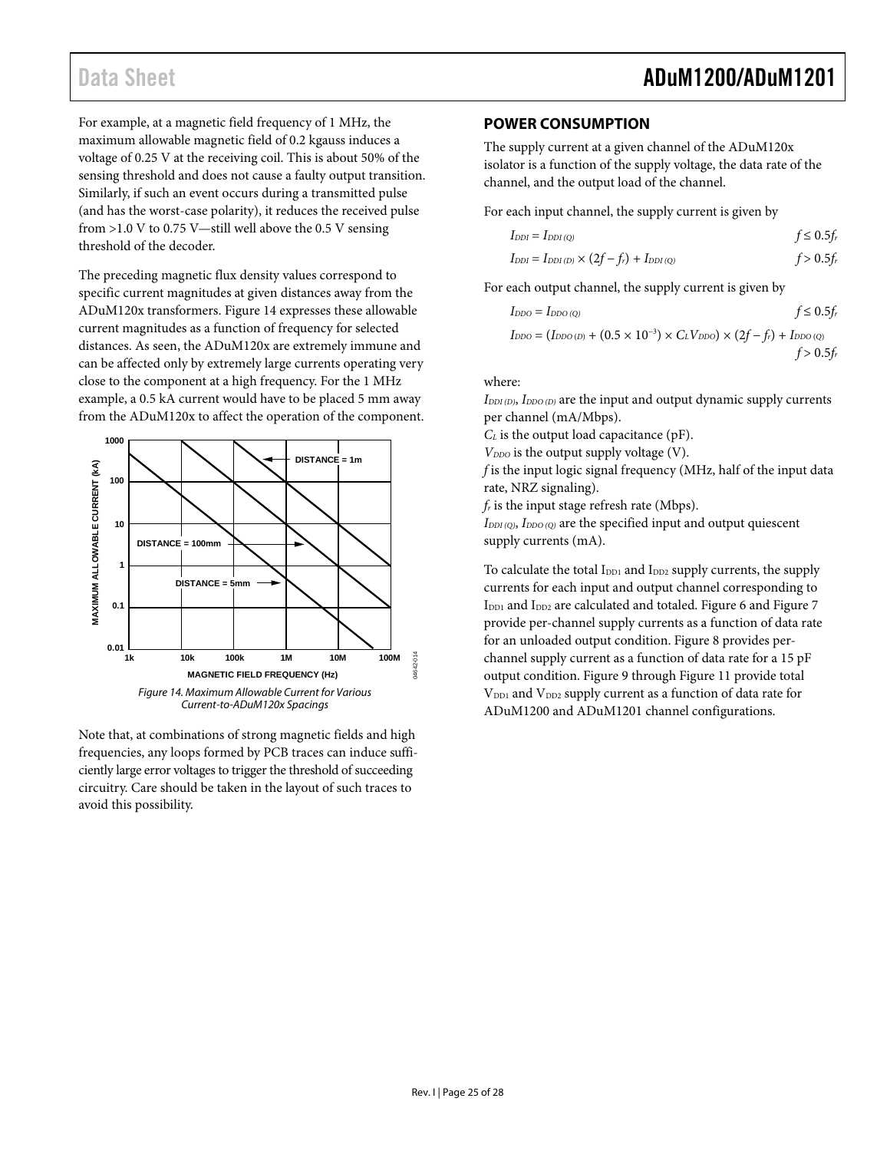<span id="page-24-1"></span><span id="page-24-0"></span>For example, at a magnetic field frequency of 1 MHz, the maximum allowable magnetic field of 0.2 kgauss induces a voltage of 0.25 V at the receiving coil. This is about 50% of the sensing threshold and does not cause a faulty output transition. Similarly, if such an event occurs during a transmitted pulse (and has the worst-case polarity), it reduces the received pulse from  $>1.0$  V to 0.75 V—still well above the 0.5 V sensing threshold of the decoder.

The preceding magnetic flux density values correspond to specific current magnitudes at given distances away from the ADuM120x transformers. [Figure 14](#page-24-2) expresses these allowable current magnitudes as a function of frequency for selected distances. As seen, the ADuM120x are extremely immune and can be affected only by extremely large currents operating very close to the component at a high frequency. For the 1 MHz example, a 0.5 kA current would have to be placed 5 mm away from the ADuM120x to affect the operation of the component.



<span id="page-24-2"></span>Note that, at combinations of strong magnetic fields and high frequencies, any loops formed by PCB traces can induce sufficiently large error voltages to trigger the threshold of succeeding circuitry. Care should be taken in the layout of such traces to avoid this possibility.

### **POWER CONSUMPTION**

The supply current at a given channel of the ADuM120x isolator is a function of the supply voltage, the data rate of the channel, and the output load of the channel.

For each input channel, the supply current is given by

$$
I_{DDI} = I_{DDI(Q)} \t\t f \le 0.5f_r
$$
  

$$
I_{DDI} = I_{DDI(D)} \times (2f - f_r) + I_{DDI(Q)} \t\t f > 0.5f_r
$$

For each output channel, the supply current is given by

$$
I_{DDO} = I_{DDO(Q)}
$$
  
\n
$$
I_{DDO} = (I_{DDO(D)} + (0.5 \times 10^{-3}) \times C_L V_{DDO}) \times (2f - f_r) + I_{DDO(Q)}
$$
  
\n
$$
f > 0.5f_r
$$

where:

*IDDI (D)*, *IDDO (D)* are the input and output dynamic supply currents per channel (mA/Mbps).

*C<sub>L</sub>* is the output load capacitance (pF).

*V<sub>DDO</sub>* is the output supply voltage (V).

*f* is the input logic signal frequency (MHz, half of the input data rate, NRZ signaling).

*fr* is the input stage refresh rate (Mbps).

*IDDI (Q)*, *IDDO (Q)* are the specified input and output quiescent supply currents (mA).

To calculate the total I<sub>DD1</sub> and I<sub>DD2</sub> supply currents, the supply currents for each input and output channel corresponding to I<sub>DD1</sub> and I<sub>DD2</sub> are calculated and totaled. [Figure 6](#page-22-2) and [Figure 7](#page-22-3) provide per-channel supply currents as a function of data rate for an unloaded output condition. [Figure 8](#page-22-4) provides perchannel supply current as a function of data rate for a 15 pF output condition. [Figure 9](#page-22-2) through [Figure 11](#page-22-4) provide total V<sub>DD1</sub> and V<sub>DD2</sub> supply current as a function of data rate for ADuM1200 and ADuM1201 channel configurations.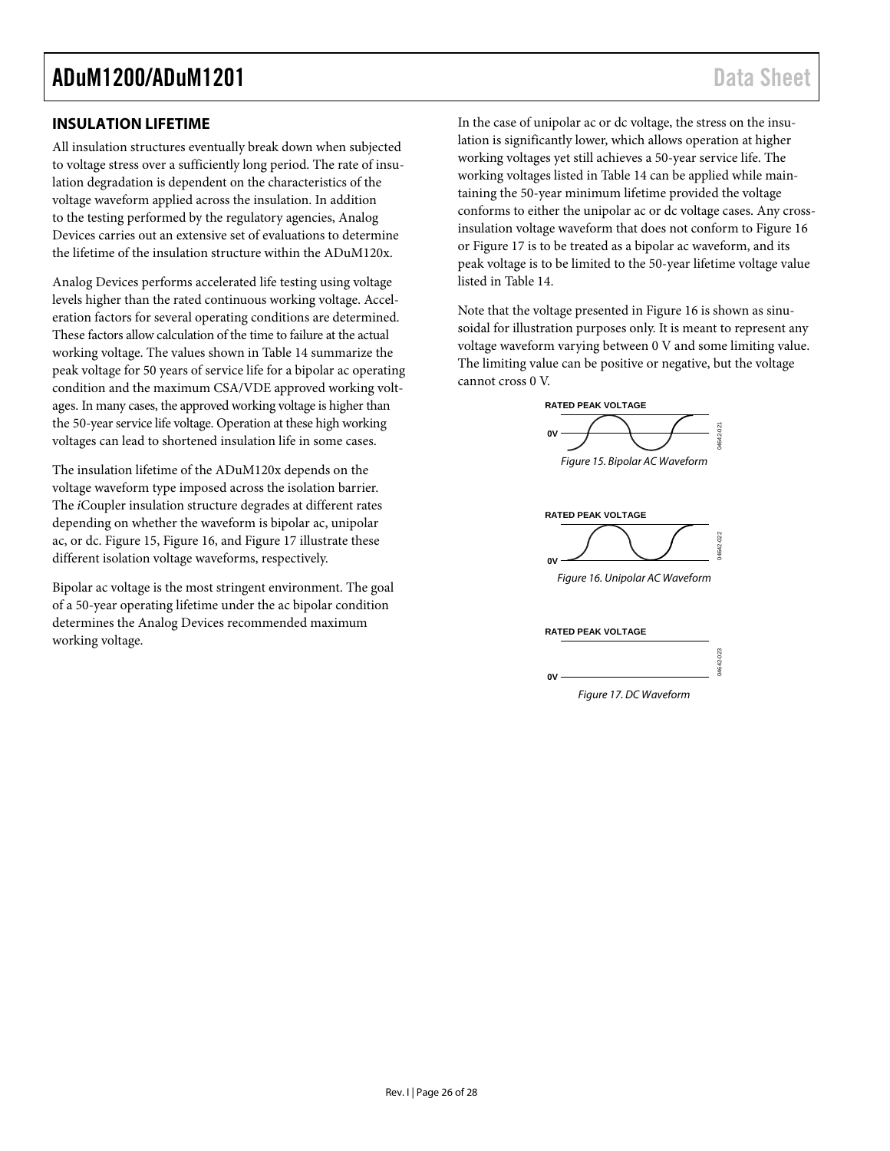### <span id="page-25-1"></span><span id="page-25-0"></span>**INSULATION LIFETIME**

All insulation structures eventually break down when subjected to voltage stress over a sufficiently long period. The rate of insulation degradation is dependent on the characteristics of the voltage waveform applied across the insulation. In addition to the testing performed by the regulatory agencies, Analog Devices carries out an extensive set of evaluations to determine the lifetime of the insulation structure within the ADuM120x.

Analog Devices performs accelerated life testing using voltage levels higher than the rated continuous working voltage. Acceleration factors for several operating conditions are determined. These factors allow calculation of the time to failure at the actual working voltage. The values shown in Table 14 summarize the peak voltage for 50 years of service life for a bipolar ac operating condition and the maximum CSA/VDE approved working voltages. In many cases, the approved working voltage is higher than the 50-year service life voltage. Operation at these high working voltages can lead to shortened insulation life in some cases.

<span id="page-25-2"></span>Figure 15. Bipolar AC Waveform The insulation lifetime of the ADuM120x depends on the voltage waveform type imposed across the isolation barrier. The *i*Coupler insulation structure degrades at different rates depending on whether the waveform is bipolar ac, unipolar ac, or dc. [Figure 15,](#page-25-2) [Figure 16,](#page-25-3) and [Figure 17](#page-25-4) illustrate these different isolation voltage waveforms, respectively.

<span id="page-25-4"></span><span id="page-25-3"></span>Figure 16. Unipolar AC Waveform Bipolar ac voltage is the most stringent environment. The goal of a 50-year operating lifetime under the ac bipolar condition determines the Analog Devices recommended maximum working voltage.

In the case of unipolar ac or dc voltage, the stress on the insulation is significantly lower, which allows operation at higher working voltages yet still achieves a 50-year service life. The working voltages listed in [Table 14 c](#page-20-2)an be applied while maintaining the 50-year minimum lifetime provided the voltage conforms to either the unipolar ac or dc voltage cases. Any crossinsulation voltage waveform that does not conform to [Figure 16](#page-25-3) or [Figure 17](#page-25-4) is to be treated as a bipolar ac waveform, and its peak voltage is to be limited to the 50-year lifetime voltage value listed in [Table 14.](#page-20-2)

Note that the voltage presented in [Figure 16](#page-25-3) is shown as sinusoidal for illustration purposes only. It is meant to represent any voltage waveform varying between 0 V and some limiting value. The limiting value can be positive or negative, but the voltage cannot cross 0 V.



Figure 17. DC Waveform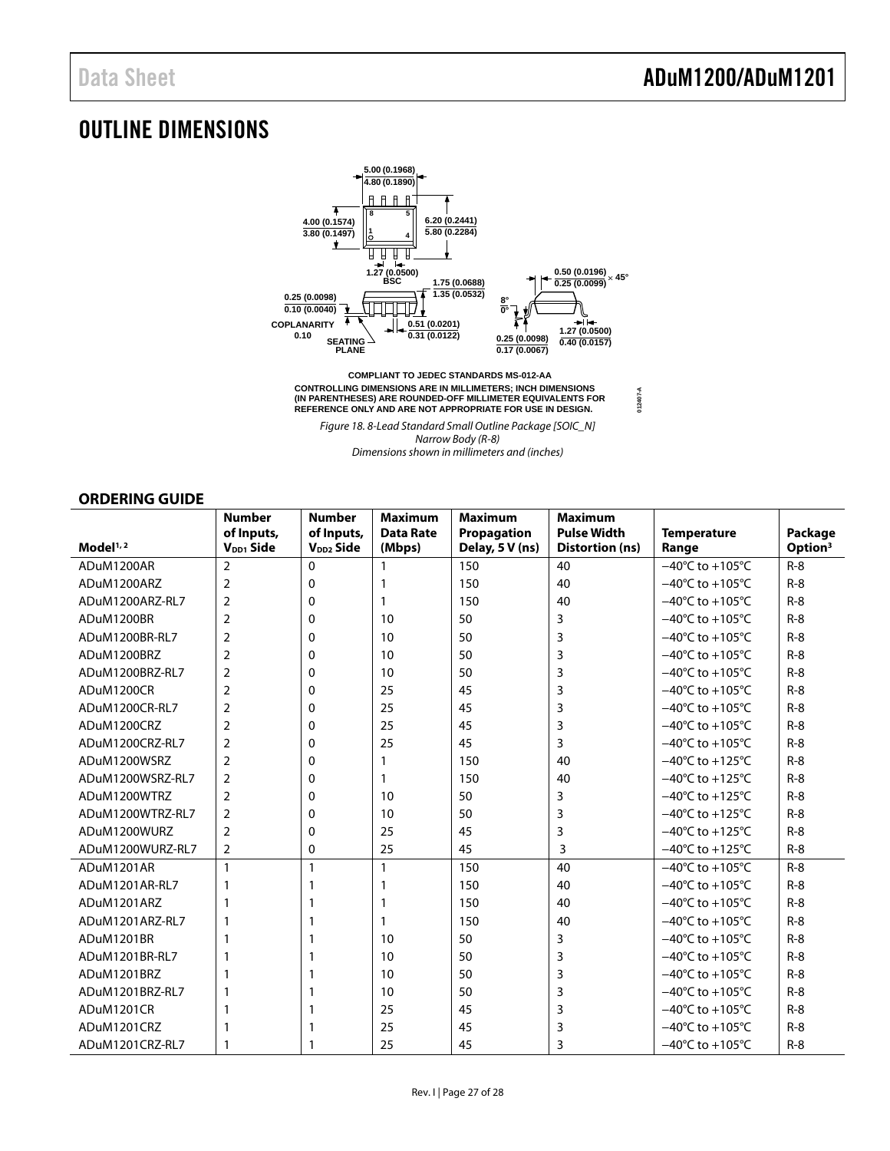### <span id="page-26-1"></span>OUTLINE DIMENSIONS



Figure 18. 8-Lead Standard Small Outline Package [SOIC\_N] Narrow Body (R-8) Dimensions shown in millimeters and (inches)

### **ORDERING GUIDE**

<span id="page-26-0"></span>

|                      | <b>Number</b><br>of Inputs, | <b>Number</b><br>of Inputs, | <b>Maximum</b><br><b>Data Rate</b> | <b>Maximum</b><br>Propagation | <b>Maximum</b><br><b>Pulse Width</b> | <b>Temperature</b>                   | Package             |
|----------------------|-----------------------------|-----------------------------|------------------------------------|-------------------------------|--------------------------------------|--------------------------------------|---------------------|
| Model <sup>1,2</sup> | $V_{DD1}$ Side              | V <sub>DD2</sub> Side       | (Mbps)                             | Delay, 5 V (ns)               | <b>Distortion (ns)</b>               | Range                                | Option <sup>3</sup> |
| ADuM1200AR           | $\overline{2}$              | $\Omega$                    | 1                                  | 150                           | 40                                   | $-40^{\circ}$ C to $+105^{\circ}$ C  | $R-8$               |
| ADuM1200ARZ          | $\overline{2}$              | 0                           | 1                                  | 150                           | 40                                   | $-40^{\circ}$ C to $+105^{\circ}$ C  | $R-8$               |
| ADuM1200ARZ-RL7      | $\overline{2}$              | 0                           | 1                                  | 150                           | 40                                   | $-40^{\circ}$ C to $+105^{\circ}$ C  | $R-8$               |
| ADuM1200BR           | $\overline{2}$              | 0                           | 10                                 | 50                            | 3                                    | $-40^{\circ}$ C to $+105^{\circ}$ C  | $R-8$               |
| ADuM1200BR-RL7       | $\overline{2}$              | 0                           | 10                                 | 50                            | 3                                    | $-40^{\circ}$ C to $+105^{\circ}$ C  | $R-8$               |
| ADuM1200BRZ          | $\overline{2}$              | 0                           | 10                                 | 50                            | 3                                    | $-40^{\circ}$ C to +105 $^{\circ}$ C | $R - 8$             |
| ADuM1200BRZ-RL7      | $\overline{2}$              | 0                           | 10                                 | 50                            | 3                                    | $-40^{\circ}$ C to $+105^{\circ}$ C  | $R - 8$             |
| ADuM1200CR           | $\overline{2}$              | 0                           | 25                                 | 45                            | 3                                    | $-40^{\circ}$ C to $+105^{\circ}$ C  | $R-8$               |
| ADuM1200CR-RL7       | $\overline{2}$              | 0                           | 25                                 | 45                            | 3                                    | $-40^{\circ}$ C to $+105^{\circ}$ C  | $R-8$               |
| ADuM1200CRZ          | $\overline{2}$              | 0                           | 25                                 | 45                            | 3                                    | $-40^{\circ}$ C to $+105^{\circ}$ C  | $R-8$               |
| ADuM1200CRZ-RL7      | $\overline{2}$              | 0                           | 25                                 | 45                            | 3                                    | $-40^{\circ}$ C to $+105^{\circ}$ C  | $R-8$               |
| ADuM1200WSRZ         | $\overline{2}$              | 0                           | 1                                  | 150                           | 40                                   | $-40^{\circ}$ C to $+125^{\circ}$ C  | $R-8$               |
| ADuM1200WSRZ-RL7     | $\overline{2}$              | 0                           | 1                                  | 150                           | 40                                   | $-40^{\circ}$ C to $+125^{\circ}$ C  | $R-8$               |
| ADuM1200WTRZ         | $\overline{2}$              | 0                           | 10                                 | 50                            | 3                                    | $-40^{\circ}$ C to $+125^{\circ}$ C  | $R - 8$             |
| ADuM1200WTRZ-RL7     | $\overline{2}$              | 0                           | 10                                 | 50                            | 3                                    | $-40^{\circ}$ C to $+125^{\circ}$ C  | $R-8$               |
| ADuM1200WURZ         | $\overline{2}$              | 0                           | 25                                 | 45                            | 3                                    | $-40^{\circ}$ C to $+125^{\circ}$ C  | $R-8$               |
| ADuM1200WURZ-RL7     | $\overline{2}$              | 0                           | 25                                 | 45                            | 3                                    | $-40^{\circ}$ C to $+125^{\circ}$ C  | $R-8$               |
| ADuM1201AR           | 1                           | 1                           | $\mathbf{1}$                       | 150                           | 40                                   | $-40^{\circ}$ C to $+105^{\circ}$ C  | $R-8$               |
| ADuM1201AR-RL7       | 1                           | 1                           | 1                                  | 150                           | 40                                   | $-40^{\circ}$ C to $+105^{\circ}$ C  | $R-8$               |
| ADuM1201ARZ          | 1                           | 1                           | 1                                  | 150                           | 40                                   | $-40^{\circ}$ C to $+105^{\circ}$ C  | $R - 8$             |
| ADuM1201ARZ-RL7      | 1                           | 1                           | $\mathbf{1}$                       | 150                           | 40                                   | $-40^{\circ}$ C to +105 $^{\circ}$ C | $R-8$               |
| ADuM1201BR           |                             | 1                           | 10                                 | 50                            | 3                                    | $-40^{\circ}$ C to $+105^{\circ}$ C  | $R-8$               |
| ADuM1201BR-RL7       |                             | 1                           | 10                                 | 50                            | 3                                    | $-40^{\circ}$ C to $+105^{\circ}$ C  | $R - 8$             |
| ADuM1201BRZ          |                             | 1                           | 10                                 | 50                            | 3                                    | $-40^{\circ}$ C to $+105^{\circ}$ C  | $R-8$               |
| ADuM1201BRZ-RL7      | 1                           | 1                           | 10                                 | 50                            | 3                                    | $-40^{\circ}$ C to +105 $^{\circ}$ C | $R - 8$             |
| ADuM1201CR           | 1                           | 1                           | 25                                 | 45                            | 3                                    | $-40^{\circ}$ C to +105 $^{\circ}$ C | $R-8$               |
| ADuM1201CRZ          |                             | 1                           | 25                                 | 45                            | 3                                    | $-40^{\circ}$ C to $+105^{\circ}$ C  | $R-8$               |
| ADuM1201CRZ-RL7      |                             | 1                           | 25                                 | 45                            | 3                                    | $-40^{\circ}$ C to $+105^{\circ}$ C  | $R-8$               |